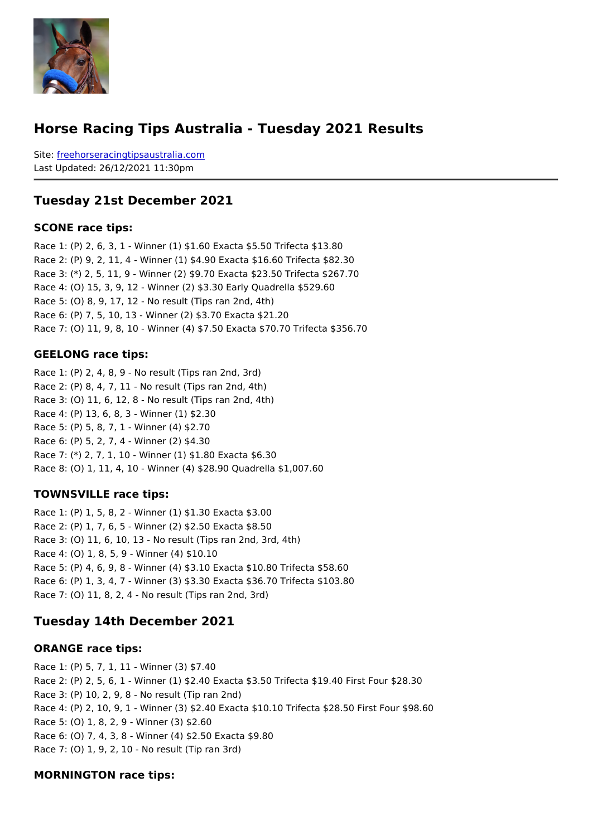#### Horse Racing Tips Australia - Tuesday 2021 Results

Sitefreehorseracingtipsaustralia.com Last Updated: 26/12/2021 11:30pm

#### Tuesday 21st December 2021

SCONE race tips:

```
Race 1: (P) 2, 6, 3, 1 - Winner (1) $1.60 Exacta $5.50 Trifecta $13.80
Race 2: (P) 9, 2, 11, 4 - Winner (1) $4.90 Exacta $16.60 Trifecta $82.30
Race 3: (*) 2, 5, 11, 9 - Winner (2) $9.70 Exacta $23.50 Trifecta $267.70
Race 4: (O) 15, 3, 9, 12 - Winner (2) $3.30 Early Quadrella $529.60
Race 5: (O) 8, 9, 17, 12 - No result (Tips ran 2nd, 4th)
Race 6: (P) 7, 5, 10, 13 - Winner (2) $3.70 Exacta $21.20
Race 7: (O) 11, 9, 8, 10 - Winner (4) $7.50 Exacta $70.70 Trifecta $356.70
```
#### GEELONG race tips:

```
Race 1: (P) 2, 4, 8, 9 - No result (Tips ran 2nd, 3rd)
Race 2: (P) 8, 4, 7, 11 - No result (Tips ran 2nd, 4th)
Race 3: (O) 11, 6, 12, 8 - No result (Tips ran 2nd, 4th)
Race 4: (P) 13, 6, 8, 3 - Winner (1) $2.30
Race 5: (P) 5, 8, 7, 1 - Winner (4) $2.70
Race 6: (P) 5, 2, 7, 4 - Winner (2) $4.30
Race 7: (*) 2, 7, 1, 10 - Winner (1) $1.80 Exacta $6.30
Race 8: (O) 1, 11, 4, 10 - Winner (4) $28.90 Quadrella $1,007.60
```
TOWNSVILLE race tips:

Race 1: (P) 1, 5, 8, 2 - Winner (1) \$1.30 Exacta \$3.00 Race 2: (P) 1, 7, 6, 5 - Winner (2) \$2.50 Exacta \$8.50 Race 3: (O) 11, 6, 10, 13 - No result (Tips ran 2nd, 3rd, 4th) Race 4: (O) 1, 8, 5, 9 - Winner (4) \$10.10 Race 5: (P) 4, 6, 9, 8 - Winner (4) \$3.10 Exacta \$10.80 Trifecta \$58.60 Race 6: (P) 1, 3, 4, 7 - Winner (3) \$3.30 Exacta \$36.70 Trifecta \$103.80 Race 7: (O) 11, 8, 2, 4 - No result (Tips ran 2nd, 3rd)

Tuesday 14th December 2021

#### ORANGE race tips:

```
Race 1: (P) 5, 7, 1, 11 - Winner (3) $7.40
Race 2: (P) 2, 5, 6, 1 - Winner (1) $2.40 Exacta $3.50 Trifecta $19.40 First Four $28.30
Race 3: (P) 10, 2, 9, 8 - No result (Tip ran 2nd)
Race 4: (P) 2, 10, 9, 1 - Winner (3) $2.40 Exacta $10.10 Trifecta $28.50 First Four $98.60
Race 5: (O) 1, 8, 2, 9 - Winner (3) $2.60
Race 6: (O) 7, 4, 3, 8 - Winner (4) $2.50 Exacta $9.80
Race 7: (O) 1, 9, 2, 10 - No result (Tip ran 3rd)
```
MORNINGTON race tips: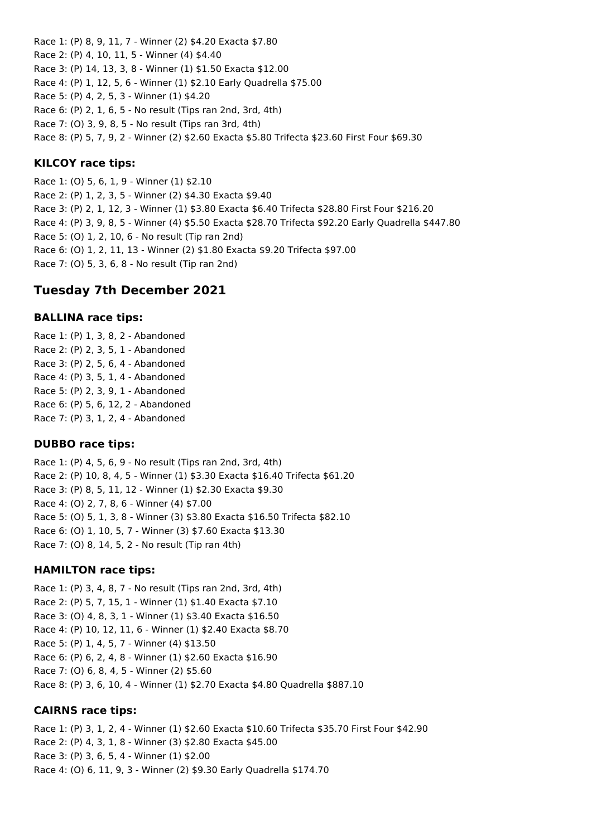Race 1: (P) 8, 9, 11, 7 - Winner (2) \$4.20 Exacta \$7.80 Race 2: (P) 4, 10, 11, 5 - Winner (4) \$4.40 Race 3: (P) 14, 13, 3, 8 - Winner (1) \$1.50 Exacta \$12.00 Race 4: (P) 1, 12, 5, 6 - Winner (1) \$2.10 Early Quadrella \$75.00 Race 5: (P) 4, 2, 5, 3 - Winner (1) \$4.20 Race 6: (P) 2, 1, 6, 5 - No result (Tips ran 2nd, 3rd, 4th) Race 7: (O) 3, 9, 8, 5 - No result (Tips ran 3rd, 4th) Race 8: (P) 5, 7, 9, 2 - Winner (2) \$2.60 Exacta \$5.80 Trifecta \$23.60 First Four \$69.30 **KILCOY race tips:**

Race 1: (O) 5, 6, 1, 9 - Winner (1) \$2.10 Race 2: (P) 1, 2, 3, 5 - Winner (2) \$4.30 Exacta \$9.40 Race 3: (P) 2, 1, 12, 3 - Winner (1) \$3.80 Exacta \$6.40 Trifecta \$28.80 First Four \$216.20 Race 4: (P) 3, 9, 8, 5 - Winner (4) \$5.50 Exacta \$28.70 Trifecta \$92.20 Early Quadrella \$447.80 Race 5: (O) 1, 2, 10, 6 - No result (Tip ran 2nd) Race 6: (O) 1, 2, 11, 13 - Winner (2) \$1.80 Exacta \$9.20 Trifecta \$97.00 Race 7: (O) 5, 3, 6, 8 - No result (Tip ran 2nd)

# **Tuesday 7th December 2021**

### **BALLINA race tips:**

Race 1: (P) 1, 3, 8, 2 - Abandoned Race 2: (P) 2, 3, 5, 1 - Abandoned Race 3: (P) 2, 5, 6, 4 - Abandoned Race 4: (P) 3, 5, 1, 4 - Abandoned Race 5: (P) 2, 3, 9, 1 - Abandoned Race 6: (P) 5, 6, 12, 2 - Abandoned Race 7: (P) 3, 1, 2, 4 - Abandoned

### **DUBBO race tips:**

Race 1: (P) 4, 5, 6, 9 - No result (Tips ran 2nd, 3rd, 4th) Race 2: (P) 10, 8, 4, 5 - Winner (1) \$3.30 Exacta \$16.40 Trifecta \$61.20 Race 3: (P) 8, 5, 11, 12 - Winner (1) \$2.30 Exacta \$9.30 Race 4: (O) 2, 7, 8, 6 - Winner (4) \$7.00 Race 5: (O) 5, 1, 3, 8 - Winner (3) \$3.80 Exacta \$16.50 Trifecta \$82.10 Race 6: (O) 1, 10, 5, 7 - Winner (3) \$7.60 Exacta \$13.30 Race 7: (O) 8, 14, 5, 2 - No result (Tip ran 4th)

### **HAMILTON race tips:**

Race 1: (P) 3, 4, 8, 7 - No result (Tips ran 2nd, 3rd, 4th) Race 2: (P) 5, 7, 15, 1 - Winner (1) \$1.40 Exacta \$7.10 Race 3: (O) 4, 8, 3, 1 - Winner (1) \$3.40 Exacta \$16.50 Race 4: (P) 10, 12, 11, 6 - Winner (1) \$2.40 Exacta \$8.70 Race 5: (P) 1, 4, 5, 7 - Winner (4) \$13.50 Race 6: (P) 6, 2, 4, 8 - Winner (1) \$2.60 Exacta \$16.90 Race 7: (O) 6, 8, 4, 5 - Winner (2) \$5.60 Race 8: (P) 3, 6, 10, 4 - Winner (1) \$2.70 Exacta \$4.80 Quadrella \$887.10

### **CAIRNS race tips:**

Race 1: (P) 3, 1, 2, 4 - Winner (1) \$2.60 Exacta \$10.60 Trifecta \$35.70 First Four \$42.90 Race 2: (P) 4, 3, 1, 8 - Winner (3) \$2.80 Exacta \$45.00 Race 3: (P) 3, 6, 5, 4 - Winner (1) \$2.00 Race 4: (O) 6, 11, 9, 3 - Winner (2) \$9.30 Early Quadrella \$174.70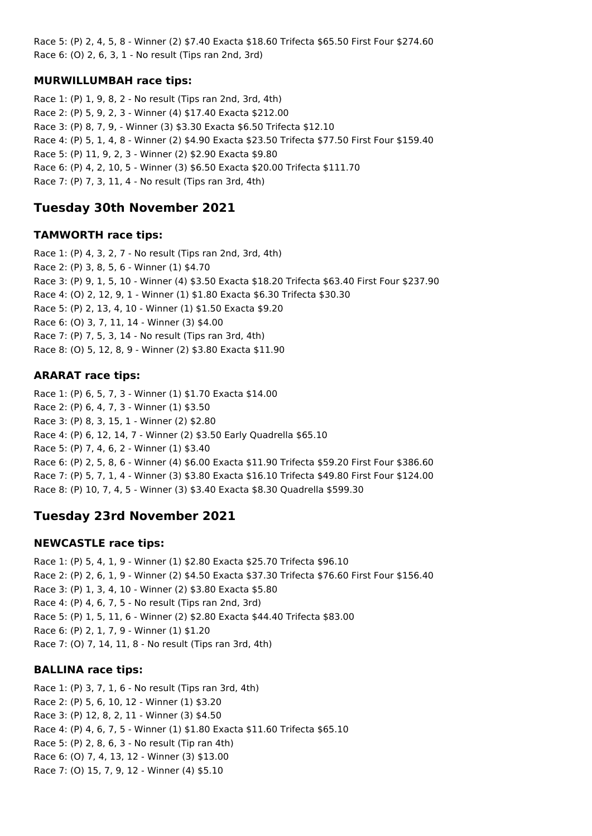Race 5: (P) 2, 4, 5, 8 - Winner (2) \$7.40 Exacta \$18.60 Trifecta \$65.50 First Four \$274.60 Race 6: (O) 2, 6, 3, 1 - No result (Tips ran 2nd, 3rd)

## **MURWILLUMBAH race tips:**

Race 1: (P) 1, 9, 8, 2 - No result (Tips ran 2nd, 3rd, 4th) Race 2: (P) 5, 9, 2, 3 - Winner (4) \$17.40 Exacta \$212.00 Race 3: (P) 8, 7, 9, - Winner (3) \$3.30 Exacta \$6.50 Trifecta \$12.10 Race 4: (P) 5, 1, 4, 8 - Winner (2) \$4.90 Exacta \$23.50 Trifecta \$77.50 First Four \$159.40 Race 5: (P) 11, 9, 2, 3 - Winner (2) \$2.90 Exacta \$9.80 Race 6: (P) 4, 2, 10, 5 - Winner (3) \$6.50 Exacta \$20.00 Trifecta \$111.70 Race 7: (P) 7, 3, 11, 4 - No result (Tips ran 3rd, 4th)

# **Tuesday 30th November 2021**

#### **TAMWORTH race tips:**

Race 1: (P) 4, 3, 2, 7 - No result (Tips ran 2nd, 3rd, 4th) Race 2: (P) 3, 8, 5, 6 - Winner (1) \$4.70 Race 3: (P) 9, 1, 5, 10 - Winner (4) \$3.50 Exacta \$18.20 Trifecta \$63.40 First Four \$237.90 Race 4: (O) 2, 12, 9, 1 - Winner (1) \$1.80 Exacta \$6.30 Trifecta \$30.30 Race 5: (P) 2, 13, 4, 10 - Winner (1) \$1.50 Exacta \$9.20 Race 6: (O) 3, 7, 11, 14 - Winner (3) \$4.00 Race 7: (P) 7, 5, 3, 14 - No result (Tips ran 3rd, 4th) Race 8: (O) 5, 12, 8, 9 - Winner (2) \$3.80 Exacta \$11.90

## **ARARAT race tips:**

Race 1: (P) 6, 5, 7, 3 - Winner (1) \$1.70 Exacta \$14.00 Race 2: (P) 6, 4, 7, 3 - Winner (1) \$3.50 Race 3: (P) 8, 3, 15, 1 - Winner (2) \$2.80 Race 4: (P) 6, 12, 14, 7 - Winner (2) \$3.50 Early Quadrella \$65.10 Race 5: (P) 7, 4, 6, 2 - Winner (1) \$3.40 Race 6: (P) 2, 5, 8, 6 - Winner (4) \$6.00 Exacta \$11.90 Trifecta \$59.20 First Four \$386.60 Race 7: (P) 5, 7, 1, 4 - Winner (3) \$3.80 Exacta \$16.10 Trifecta \$49.80 First Four \$124.00 Race 8: (P) 10, 7, 4, 5 - Winner (3) \$3.40 Exacta \$8.30 Quadrella \$599.30

# **Tuesday 23rd November 2021**

### **NEWCASTLE race tips:**

Race 1: (P) 5, 4, 1, 9 - Winner (1) \$2.80 Exacta \$25.70 Trifecta \$96.10 Race 2: (P) 2, 6, 1, 9 - Winner (2) \$4.50 Exacta \$37.30 Trifecta \$76.60 First Four \$156.40 Race 3: (P) 1, 3, 4, 10 - Winner (2) \$3.80 Exacta \$5.80 Race 4: (P) 4, 6, 7, 5 - No result (Tips ran 2nd, 3rd) Race 5: (P) 1, 5, 11, 6 - Winner (2) \$2.80 Exacta \$44.40 Trifecta \$83.00 Race 6: (P) 2, 1, 7, 9 - Winner (1) \$1.20 Race 7: (O) 7, 14, 11, 8 - No result (Tips ran 3rd, 4th)

### **BALLINA race tips:**

Race 1: (P) 3, 7, 1, 6 - No result (Tips ran 3rd, 4th) Race 2: (P) 5, 6, 10, 12 - Winner (1) \$3.20 Race 3: (P) 12, 8, 2, 11 - Winner (3) \$4.50 Race 4: (P) 4, 6, 7, 5 - Winner (1) \$1.80 Exacta \$11.60 Trifecta \$65.10 Race 5: (P) 2, 8, 6, 3 - No result (Tip ran 4th) Race 6: (O) 7, 4, 13, 12 - Winner (3) \$13.00 Race 7: (O) 15, 7, 9, 12 - Winner (4) \$5.10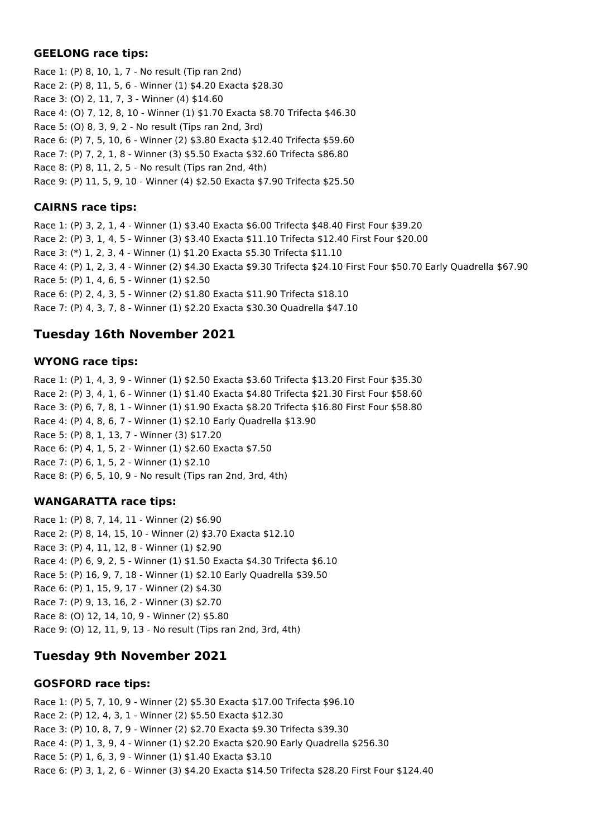#### **GEELONG race tips:**

Race 1: (P) 8, 10, 1, 7 - No result (Tip ran 2nd) Race 2: (P) 8, 11, 5, 6 - Winner (1) \$4.20 Exacta \$28.30 Race 3: (O) 2, 11, 7, 3 - Winner (4) \$14.60 Race 4: (O) 7, 12, 8, 10 - Winner (1) \$1.70 Exacta \$8.70 Trifecta \$46.30 Race 5: (O) 8, 3, 9, 2 - No result (Tips ran 2nd, 3rd) Race 6: (P) 7, 5, 10, 6 - Winner (2) \$3.80 Exacta \$12.40 Trifecta \$59.60 Race 7: (P) 7, 2, 1, 8 - Winner (3) \$5.50 Exacta \$32.60 Trifecta \$86.80 Race 8: (P) 8, 11, 2, 5 - No result (Tips ran 2nd, 4th) Race 9: (P) 11, 5, 9, 10 - Winner (4) \$2.50 Exacta \$7.90 Trifecta \$25.50

### **CAIRNS race tips:**

Race 1: (P) 3, 2, 1, 4 - Winner (1) \$3.40 Exacta \$6.00 Trifecta \$48.40 First Four \$39.20 Race 2: (P) 3, 1, 4, 5 - Winner (3) \$3.40 Exacta \$11.10 Trifecta \$12.40 First Four \$20.00 Race 3: (\*) 1, 2, 3, 4 - Winner (1) \$1.20 Exacta \$5.30 Trifecta \$11.10 Race 4: (P) 1, 2, 3, 4 - Winner (2) \$4.30 Exacta \$9.30 Trifecta \$24.10 First Four \$50.70 Early Quadrella \$67.90 Race 5: (P) 1, 4, 6, 5 - Winner (1) \$2.50 Race 6: (P) 2, 4, 3, 5 - Winner (2) \$1.80 Exacta \$11.90 Trifecta \$18.10 Race 7: (P) 4, 3, 7, 8 - Winner (1) \$2.20 Exacta \$30.30 Quadrella \$47.10

# **Tuesday 16th November 2021**

### **WYONG race tips:**

Race 1: (P) 1, 4, 3, 9 - Winner (1) \$2.50 Exacta \$3.60 Trifecta \$13.20 First Four \$35.30 Race 2: (P) 3, 4, 1, 6 - Winner (1) \$1.40 Exacta \$4.80 Trifecta \$21.30 First Four \$58.60 Race 3: (P) 6, 7, 8, 1 - Winner (1) \$1.90 Exacta \$8.20 Trifecta \$16.80 First Four \$58.80 Race 4: (P) 4, 8, 6, 7 - Winner (1) \$2.10 Early Quadrella \$13.90 Race 5: (P) 8, 1, 13, 7 - Winner (3) \$17.20 Race 6: (P) 4, 1, 5, 2 - Winner (1) \$2.60 Exacta \$7.50 Race 7: (P) 6, 1, 5, 2 - Winner (1) \$2.10 Race 8: (P) 6, 5, 10, 9 - No result (Tips ran 2nd, 3rd, 4th)

### **WANGARATTA race tips:**

Race 1: (P) 8, 7, 14, 11 - Winner (2) \$6.90 Race 2: (P) 8, 14, 15, 10 - Winner (2) \$3.70 Exacta \$12.10 Race 3: (P) 4, 11, 12, 8 - Winner (1) \$2.90 Race 4: (P) 6, 9, 2, 5 - Winner (1) \$1.50 Exacta \$4.30 Trifecta \$6.10 Race 5: (P) 16, 9, 7, 18 - Winner (1) \$2.10 Early Quadrella \$39.50 Race 6: (P) 1, 15, 9, 17 - Winner (2) \$4.30 Race 7: (P) 9, 13, 16, 2 - Winner (3) \$2.70 Race 8: (O) 12, 14, 10, 9 - Winner (2) \$5.80 Race 9: (O) 12, 11, 9, 13 - No result (Tips ran 2nd, 3rd, 4th)

# **Tuesday 9th November 2021**

### **GOSFORD race tips:**

Race 1: (P) 5, 7, 10, 9 - Winner (2) \$5.30 Exacta \$17.00 Trifecta \$96.10 Race 2: (P) 12, 4, 3, 1 - Winner (2) \$5.50 Exacta \$12.30 Race 3: (P) 10, 8, 7, 9 - Winner (2) \$2.70 Exacta \$9.30 Trifecta \$39.30 Race 4: (P) 1, 3, 9, 4 - Winner (1) \$2.20 Exacta \$20.90 Early Quadrella \$256.30 Race 5: (P) 1, 6, 3, 9 - Winner (1) \$1.40 Exacta \$3.10 Race 6: (P) 3, 1, 2, 6 - Winner (3) \$4.20 Exacta \$14.50 Trifecta \$28.20 First Four \$124.40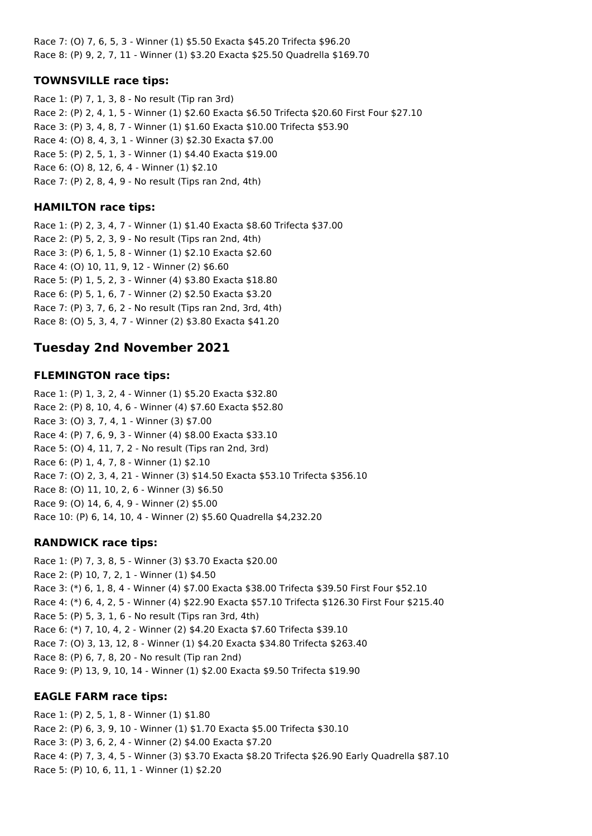Race 7: (O) 7, 6, 5, 3 - Winner (1) \$5.50 Exacta \$45.20 Trifecta \$96.20 Race 8: (P) 9, 2, 7, 11 - Winner (1) \$3.20 Exacta \$25.50 Quadrella \$169.70

### **TOWNSVILLE race tips:**

Race 1: (P) 7, 1, 3, 8 - No result (Tip ran 3rd) Race 2: (P) 2, 4, 1, 5 - Winner (1) \$2.60 Exacta \$6.50 Trifecta \$20.60 First Four \$27.10 Race 3: (P) 3, 4, 8, 7 - Winner (1) \$1.60 Exacta \$10.00 Trifecta \$53.90 Race 4: (O) 8, 4, 3, 1 - Winner (3) \$2.30 Exacta \$7.00 Race 5: (P) 2, 5, 1, 3 - Winner (1) \$4.40 Exacta \$19.00 Race 6: (O) 8, 12, 6, 4 - Winner (1) \$2.10 Race 7: (P) 2, 8, 4, 9 - No result (Tips ran 2nd, 4th)

## **HAMILTON race tips:**

Race 1: (P) 2, 3, 4, 7 - Winner (1) \$1.40 Exacta \$8.60 Trifecta \$37.00 Race 2: (P) 5, 2, 3, 9 - No result (Tips ran 2nd, 4th) Race 3: (P) 6, 1, 5, 8 - Winner (1) \$2.10 Exacta \$2.60 Race 4: (O) 10, 11, 9, 12 - Winner (2) \$6.60 Race 5: (P) 1, 5, 2, 3 - Winner (4) \$3.80 Exacta \$18.80 Race 6: (P) 5, 1, 6, 7 - Winner (2) \$2.50 Exacta \$3.20 Race 7: (P) 3, 7, 6, 2 - No result (Tips ran 2nd, 3rd, 4th) Race 8: (O) 5, 3, 4, 7 - Winner (2) \$3.80 Exacta \$41.20

# **Tuesday 2nd November 2021**

## **FLEMINGTON race tips:**

Race 1: (P) 1, 3, 2, 4 - Winner (1) \$5.20 Exacta \$32.80 Race 2: (P) 8, 10, 4, 6 - Winner (4) \$7.60 Exacta \$52.80 Race 3: (O) 3, 7, 4, 1 - Winner (3) \$7.00 Race 4: (P) 7, 6, 9, 3 - Winner (4) \$8.00 Exacta \$33.10 Race 5: (O) 4, 11, 7, 2 - No result (Tips ran 2nd, 3rd) Race 6: (P) 1, 4, 7, 8 - Winner (1) \$2.10 Race 7: (O) 2, 3, 4, 21 - Winner (3) \$14.50 Exacta \$53.10 Trifecta \$356.10 Race 8: (O) 11, 10, 2, 6 - Winner (3) \$6.50 Race 9: (O) 14, 6, 4, 9 - Winner (2) \$5.00 Race 10: (P) 6, 14, 10, 4 - Winner (2) \$5.60 Quadrella \$4,232.20

### **RANDWICK race tips:**

Race 1: (P) 7, 3, 8, 5 - Winner (3) \$3.70 Exacta \$20.00 Race 2: (P) 10, 7, 2, 1 - Winner (1) \$4.50 Race 3: (\*) 6, 1, 8, 4 - Winner (4) \$7.00 Exacta \$38.00 Trifecta \$39.50 First Four \$52.10 Race 4: (\*) 6, 4, 2, 5 - Winner (4) \$22.90 Exacta \$57.10 Trifecta \$126.30 First Four \$215.40 Race 5: (P) 5, 3, 1, 6 - No result (Tips ran 3rd, 4th) Race 6: (\*) 7, 10, 4, 2 - Winner (2) \$4.20 Exacta \$7.60 Trifecta \$39.10 Race 7: (O) 3, 13, 12, 8 - Winner (1) \$4.20 Exacta \$34.80 Trifecta \$263.40 Race 8: (P) 6, 7, 8, 20 - No result (Tip ran 2nd) Race 9: (P) 13, 9, 10, 14 - Winner (1) \$2.00 Exacta \$9.50 Trifecta \$19.90

### **EAGLE FARM race tips:**

Race 1: (P) 2, 5, 1, 8 - Winner (1) \$1.80 Race 2: (P) 6, 3, 9, 10 - Winner (1) \$1.70 Exacta \$5.00 Trifecta \$30.10 Race 3: (P) 3, 6, 2, 4 - Winner (2) \$4.00 Exacta \$7.20 Race 4: (P) 7, 3, 4, 5 - Winner (3) \$3.70 Exacta \$8.20 Trifecta \$26.90 Early Quadrella \$87.10 Race 5: (P) 10, 6, 11, 1 - Winner (1) \$2.20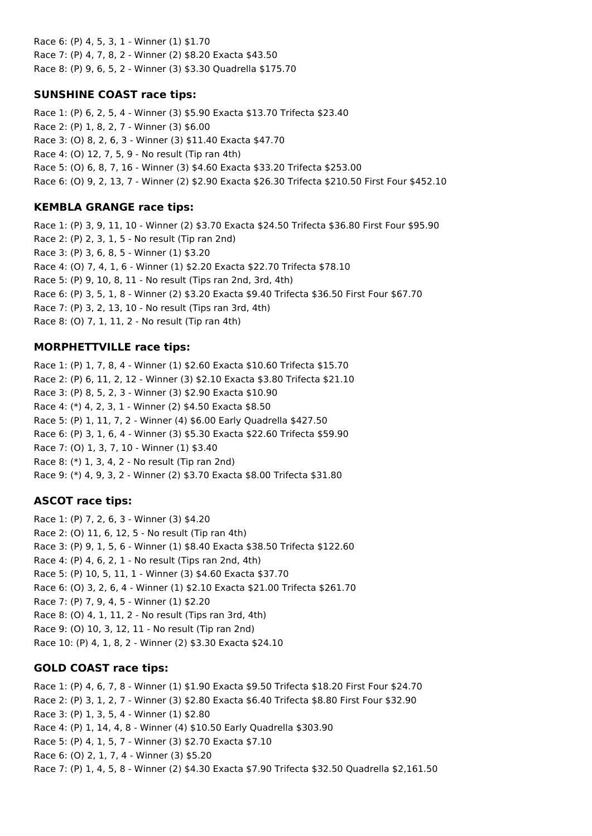Race 6: (P) 4, 5, 3, 1 - Winner (1) \$1.70 Race 7: (P) 4, 7, 8, 2 - Winner (2) \$8.20 Exacta \$43.50 Race 8: (P) 9, 6, 5, 2 - Winner (3) \$3.30 Quadrella \$175.70

### **SUNSHINE COAST race tips:**

Race 1: (P) 6, 2, 5, 4 - Winner (3) \$5.90 Exacta \$13.70 Trifecta \$23.40 Race 2: (P) 1, 8, 2, 7 - Winner (3) \$6.00 Race 3: (O) 8, 2, 6, 3 - Winner (3) \$11.40 Exacta \$47.70 Race 4: (O) 12, 7, 5, 9 - No result (Tip ran 4th) Race 5: (O) 6, 8, 7, 16 - Winner (3) \$4.60 Exacta \$33.20 Trifecta \$253.00 Race 6: (O) 9, 2, 13, 7 - Winner (2) \$2.90 Exacta \$26.30 Trifecta \$210.50 First Four \$452.10

## **KEMBLA GRANGE race tips:**

Race 1: (P) 3, 9, 11, 10 - Winner (2) \$3.70 Exacta \$24.50 Trifecta \$36.80 First Four \$95.90 Race 2: (P) 2, 3, 1, 5 - No result (Tip ran 2nd) Race 3: (P) 3, 6, 8, 5 - Winner (1) \$3.20 Race 4: (O) 7, 4, 1, 6 - Winner (1) \$2.20 Exacta \$22.70 Trifecta \$78.10 Race 5: (P) 9, 10, 8, 11 - No result (Tips ran 2nd, 3rd, 4th) Race 6: (P) 3, 5, 1, 8 - Winner (2) \$3.20 Exacta \$9.40 Trifecta \$36.50 First Four \$67.70 Race 7: (P) 3, 2, 13, 10 - No result (Tips ran 3rd, 4th) Race 8: (O) 7, 1, 11, 2 - No result (Tip ran 4th)

## **MORPHETTVILLE race tips:**

Race 1: (P) 1, 7, 8, 4 - Winner (1) \$2.60 Exacta \$10.60 Trifecta \$15.70 Race 2: (P) 6, 11, 2, 12 - Winner (3) \$2.10 Exacta \$3.80 Trifecta \$21.10 Race 3: (P) 8, 5, 2, 3 - Winner (3) \$2.90 Exacta \$10.90 Race 4: (\*) 4, 2, 3, 1 - Winner (2) \$4.50 Exacta \$8.50 Race 5: (P) 1, 11, 7, 2 - Winner (4) \$6.00 Early Quadrella \$427.50 Race 6: (P) 3, 1, 6, 4 - Winner (3) \$5.30 Exacta \$22.60 Trifecta \$59.90 Race 7: (O) 1, 3, 7, 10 - Winner (1) \$3.40 Race 8: (\*) 1, 3, 4, 2 - No result (Tip ran 2nd) Race 9: (\*) 4, 9, 3, 2 - Winner (2) \$3.70 Exacta \$8.00 Trifecta \$31.80

# **ASCOT race tips:**

Race 1: (P) 7, 2, 6, 3 - Winner (3) \$4.20 Race 2: (O) 11, 6, 12, 5 - No result (Tip ran 4th) Race 3: (P) 9, 1, 5, 6 - Winner (1) \$8.40 Exacta \$38.50 Trifecta \$122.60 Race 4: (P) 4, 6, 2, 1 - No result (Tips ran 2nd, 4th) Race 5: (P) 10, 5, 11, 1 - Winner (3) \$4.60 Exacta \$37.70 Race 6: (O) 3, 2, 6, 4 - Winner (1) \$2.10 Exacta \$21.00 Trifecta \$261.70 Race 7: (P) 7, 9, 4, 5 - Winner (1) \$2.20 Race 8: (O) 4, 1, 11, 2 - No result (Tips ran 3rd, 4th) Race 9: (O) 10, 3, 12, 11 - No result (Tip ran 2nd) Race 10: (P) 4, 1, 8, 2 - Winner (2) \$3.30 Exacta \$24.10

# **GOLD COAST race tips:**

Race 1: (P) 4, 6, 7, 8 - Winner (1) \$1.90 Exacta \$9.50 Trifecta \$18.20 First Four \$24.70 Race 2: (P) 3, 1, 2, 7 - Winner (3) \$2.80 Exacta \$6.40 Trifecta \$8.80 First Four \$32.90 Race 3: (P) 1, 3, 5, 4 - Winner (1) \$2.80 Race 4: (P) 1, 14, 4, 8 - Winner (4) \$10.50 Early Quadrella \$303.90 Race 5: (P) 4, 1, 5, 7 - Winner (3) \$2.70 Exacta \$7.10 Race 6: (O) 2, 1, 7, 4 - Winner (3) \$5.20 Race 7: (P) 1, 4, 5, 8 - Winner (2) \$4.30 Exacta \$7.90 Trifecta \$32.50 Quadrella \$2,161.50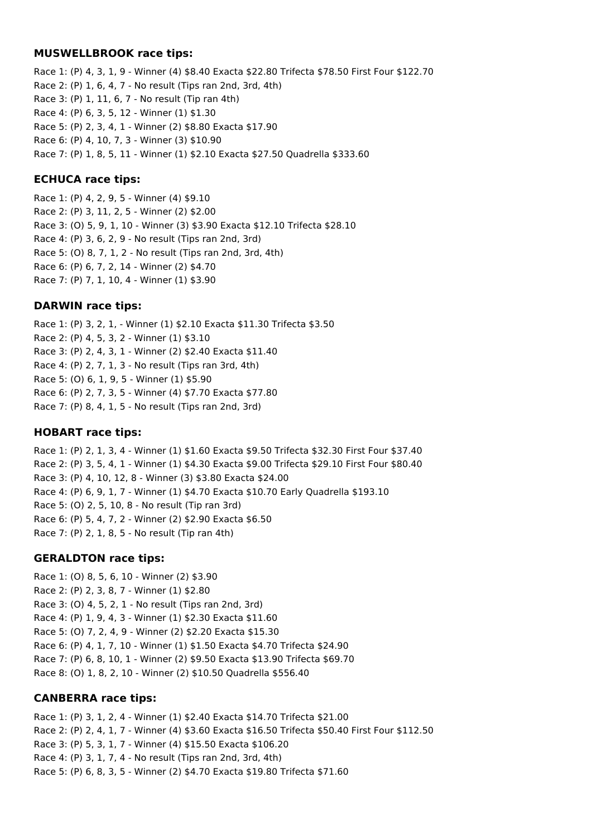#### **MUSWELLBROOK race tips:**

Race 1: (P) 4, 3, 1, 9 - Winner (4) \$8.40 Exacta \$22.80 Trifecta \$78.50 First Four \$122.70 Race 2: (P) 1, 6, 4, 7 - No result (Tips ran 2nd, 3rd, 4th) Race 3: (P) 1, 11, 6, 7 - No result (Tip ran 4th) Race 4: (P) 6, 3, 5, 12 - Winner (1) \$1.30 Race 5: (P) 2, 3, 4, 1 - Winner (2) \$8.80 Exacta \$17.90 Race 6: (P) 4, 10, 7, 3 - Winner (3) \$10.90 Race 7: (P) 1, 8, 5, 11 - Winner (1) \$2.10 Exacta \$27.50 Quadrella \$333.60

#### **ECHUCA race tips:**

Race 1: (P) 4, 2, 9, 5 - Winner (4) \$9.10 Race 2: (P) 3, 11, 2, 5 - Winner (2) \$2.00 Race 3: (O) 5, 9, 1, 10 - Winner (3) \$3.90 Exacta \$12.10 Trifecta \$28.10 Race 4: (P) 3, 6, 2, 9 - No result (Tips ran 2nd, 3rd) Race 5: (O) 8, 7, 1, 2 - No result (Tips ran 2nd, 3rd, 4th) Race 6: (P) 6, 7, 2, 14 - Winner (2) \$4.70 Race 7: (P) 7, 1, 10, 4 - Winner (1) \$3.90

#### **DARWIN race tips:**

Race 1: (P) 3, 2, 1, - Winner (1) \$2.10 Exacta \$11.30 Trifecta \$3.50 Race 2: (P) 4, 5, 3, 2 - Winner (1) \$3.10 Race 3: (P) 2, 4, 3, 1 - Winner (2) \$2.40 Exacta \$11.40 Race 4: (P) 2, 7, 1, 3 - No result (Tips ran 3rd, 4th) Race 5: (O) 6, 1, 9, 5 - Winner (1) \$5.90 Race 6: (P) 2, 7, 3, 5 - Winner (4) \$7.70 Exacta \$77.80 Race 7: (P) 8, 4, 1, 5 - No result (Tips ran 2nd, 3rd)

#### **HOBART race tips:**

Race 1: (P) 2, 1, 3, 4 - Winner (1) \$1.60 Exacta \$9.50 Trifecta \$32.30 First Four \$37.40 Race 2: (P) 3, 5, 4, 1 - Winner (1) \$4.30 Exacta \$9.00 Trifecta \$29.10 First Four \$80.40 Race 3: (P) 4, 10, 12, 8 - Winner (3) \$3.80 Exacta \$24.00 Race 4: (P) 6, 9, 1, 7 - Winner (1) \$4.70 Exacta \$10.70 Early Quadrella \$193.10 Race 5: (O) 2, 5, 10, 8 - No result (Tip ran 3rd) Race 6: (P) 5, 4, 7, 2 - Winner (2) \$2.90 Exacta \$6.50 Race 7: (P) 2, 1, 8, 5 - No result (Tip ran 4th)

### **GERALDTON race tips:**

Race 1: (O) 8, 5, 6, 10 - Winner (2) \$3.90 Race 2: (P) 2, 3, 8, 7 - Winner (1) \$2.80 Race 3: (O) 4, 5, 2, 1 - No result (Tips ran 2nd, 3rd) Race 4: (P) 1, 9, 4, 3 - Winner (1) \$2.30 Exacta \$11.60 Race 5: (O) 7, 2, 4, 9 - Winner (2) \$2.20 Exacta \$15.30 Race 6: (P) 4, 1, 7, 10 - Winner (1) \$1.50 Exacta \$4.70 Trifecta \$24.90 Race 7: (P) 6, 8, 10, 1 - Winner (2) \$9.50 Exacta \$13.90 Trifecta \$69.70 Race 8: (O) 1, 8, 2, 10 - Winner (2) \$10.50 Quadrella \$556.40

### **CANBERRA race tips:**

Race 1: (P) 3, 1, 2, 4 - Winner (1) \$2.40 Exacta \$14.70 Trifecta \$21.00 Race 2: (P) 2, 4, 1, 7 - Winner (4) \$3.60 Exacta \$16.50 Trifecta \$50.40 First Four \$112.50 Race 3: (P) 5, 3, 1, 7 - Winner (4) \$15.50 Exacta \$106.20 Race 4: (P) 3, 1, 7, 4 - No result (Tips ran 2nd, 3rd, 4th) Race 5: (P) 6, 8, 3, 5 - Winner (2) \$4.70 Exacta \$19.80 Trifecta \$71.60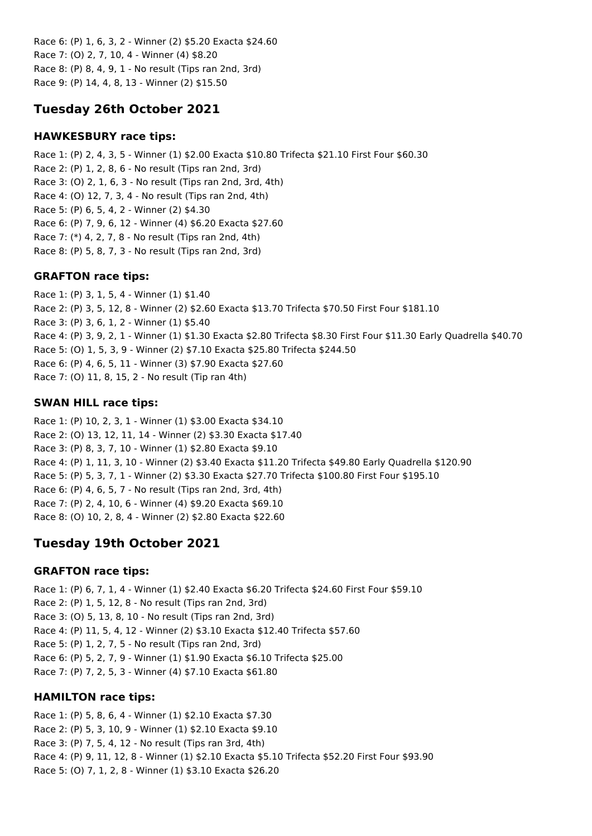Race 6: (P) 1, 6, 3, 2 - Winner (2) \$5.20 Exacta \$24.60 Race 7: (O) 2, 7, 10, 4 - Winner (4) \$8.20 Race 8: (P) 8, 4, 9, 1 - No result (Tips ran 2nd, 3rd) Race 9: (P) 14, 4, 8, 13 - Winner (2) \$15.50

# **Tuesday 26th October 2021**

## **HAWKESBURY race tips:**

Race 1: (P) 2, 4, 3, 5 - Winner (1) \$2.00 Exacta \$10.80 Trifecta \$21.10 First Four \$60.30 Race 2: (P) 1, 2, 8, 6 - No result (Tips ran 2nd, 3rd) Race 3: (O) 2, 1, 6, 3 - No result (Tips ran 2nd, 3rd, 4th) Race 4: (O) 12, 7, 3, 4 - No result (Tips ran 2nd, 4th) Race 5: (P) 6, 5, 4, 2 - Winner (2) \$4.30 Race 6: (P) 7, 9, 6, 12 - Winner (4) \$6.20 Exacta \$27.60 Race 7: (\*) 4, 2, 7, 8 - No result (Tips ran 2nd, 4th) Race 8: (P) 5, 8, 7, 3 - No result (Tips ran 2nd, 3rd)

# **GRAFTON race tips:**

Race 1: (P) 3, 1, 5, 4 - Winner (1) \$1.40 Race 2: (P) 3, 5, 12, 8 - Winner (2) \$2.60 Exacta \$13.70 Trifecta \$70.50 First Four \$181.10 Race 3: (P) 3, 6, 1, 2 - Winner (1) \$5.40 Race 4: (P) 3, 9, 2, 1 - Winner (1) \$1.30 Exacta \$2.80 Trifecta \$8.30 First Four \$11.30 Early Quadrella \$40.70 Race 5: (O) 1, 5, 3, 9 - Winner (2) \$7.10 Exacta \$25.80 Trifecta \$244.50 Race 6: (P) 4, 6, 5, 11 - Winner (3) \$7.90 Exacta \$27.60 Race 7: (O) 11, 8, 15, 2 - No result (Tip ran 4th)

# **SWAN HILL race tips:**

Race 1: (P) 10, 2, 3, 1 - Winner (1) \$3.00 Exacta \$34.10 Race 2: (O) 13, 12, 11, 14 - Winner (2) \$3.30 Exacta \$17.40 Race 3: (P) 8, 3, 7, 10 - Winner (1) \$2.80 Exacta \$9.10 Race 4: (P) 1, 11, 3, 10 - Winner (2) \$3.40 Exacta \$11.20 Trifecta \$49.80 Early Quadrella \$120.90 Race 5: (P) 5, 3, 7, 1 - Winner (2) \$3.30 Exacta \$27.70 Trifecta \$100.80 First Four \$195.10 Race 6: (P) 4, 6, 5, 7 - No result (Tips ran 2nd, 3rd, 4th) Race 7: (P) 2, 4, 10, 6 - Winner (4) \$9.20 Exacta \$69.10 Race 8: (O) 10, 2, 8, 4 - Winner (2) \$2.80 Exacta \$22.60

# **Tuesday 19th October 2021**

# **GRAFTON race tips:**

Race 1: (P) 6, 7, 1, 4 - Winner (1) \$2.40 Exacta \$6.20 Trifecta \$24.60 First Four \$59.10 Race 2: (P) 1, 5, 12, 8 - No result (Tips ran 2nd, 3rd) Race 3: (O) 5, 13, 8, 10 - No result (Tips ran 2nd, 3rd) Race 4: (P) 11, 5, 4, 12 - Winner (2) \$3.10 Exacta \$12.40 Trifecta \$57.60 Race 5: (P) 1, 2, 7, 5 - No result (Tips ran 2nd, 3rd) Race 6: (P) 5, 2, 7, 9 - Winner (1) \$1.90 Exacta \$6.10 Trifecta \$25.00 Race 7: (P) 7, 2, 5, 3 - Winner (4) \$7.10 Exacta \$61.80

# **HAMILTON race tips:**

Race 1: (P) 5, 8, 6, 4 - Winner (1) \$2.10 Exacta \$7.30 Race 2: (P) 5, 3, 10, 9 - Winner (1) \$2.10 Exacta \$9.10 Race 3: (P) 7, 5, 4, 12 - No result (Tips ran 3rd, 4th) Race 4: (P) 9, 11, 12, 8 - Winner (1) \$2.10 Exacta \$5.10 Trifecta \$52.20 First Four \$93.90 Race 5: (O) 7, 1, 2, 8 - Winner (1) \$3.10 Exacta \$26.20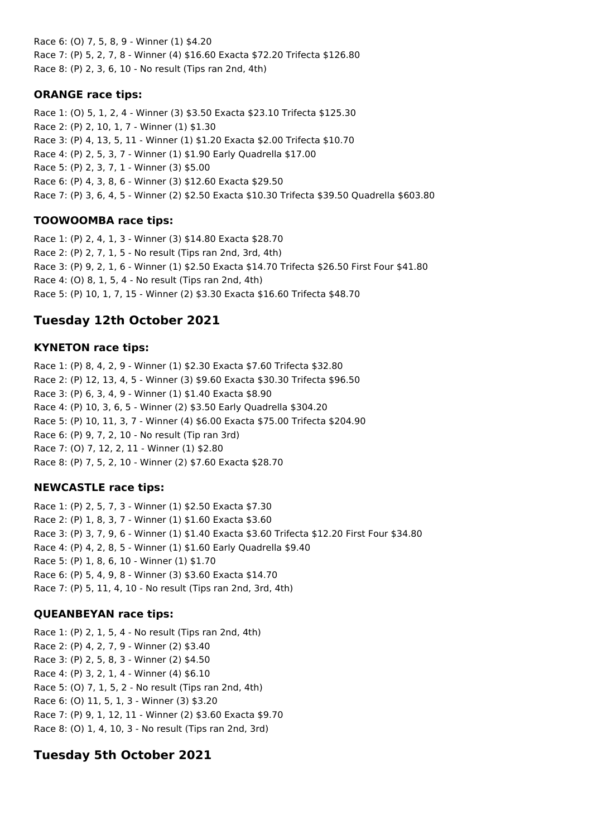Race 6: (O) 7, 5, 8, 9 - Winner (1) \$4.20 Race 7: (P) 5, 2, 7, 8 - Winner (4) \$16.60 Exacta \$72.20 Trifecta \$126.80 Race 8: (P) 2, 3, 6, 10 - No result (Tips ran 2nd, 4th)

### **ORANGE race tips:**

Race 1: (O) 5, 1, 2, 4 - Winner (3) \$3.50 Exacta \$23.10 Trifecta \$125.30 Race 2: (P) 2, 10, 1, 7 - Winner (1) \$1.30 Race 3: (P) 4, 13, 5, 11 - Winner (1) \$1.20 Exacta \$2.00 Trifecta \$10.70 Race 4: (P) 2, 5, 3, 7 - Winner (1) \$1.90 Early Quadrella \$17.00 Race 5: (P) 2, 3, 7, 1 - Winner (3) \$5.00 Race 6: (P) 4, 3, 8, 6 - Winner (3) \$12.60 Exacta \$29.50 Race 7: (P) 3, 6, 4, 5 - Winner (2) \$2.50 Exacta \$10.30 Trifecta \$39.50 Quadrella \$603.80

# **TOOWOOMBA race tips:**

Race 1: (P) 2, 4, 1, 3 - Winner (3) \$14.80 Exacta \$28.70 Race 2: (P) 2, 7, 1, 5 - No result (Tips ran 2nd, 3rd, 4th) Race 3: (P) 9, 2, 1, 6 - Winner (1) \$2.50 Exacta \$14.70 Trifecta \$26.50 First Four \$41.80 Race 4: (O) 8, 1, 5, 4 - No result (Tips ran 2nd, 4th) Race 5: (P) 10, 1, 7, 15 - Winner (2) \$3.30 Exacta \$16.60 Trifecta \$48.70

# **Tuesday 12th October 2021**

# **KYNETON race tips:**

Race 1: (P) 8, 4, 2, 9 - Winner (1) \$2.30 Exacta \$7.60 Trifecta \$32.80 Race 2: (P) 12, 13, 4, 5 - Winner (3) \$9.60 Exacta \$30.30 Trifecta \$96.50 Race 3: (P) 6, 3, 4, 9 - Winner (1) \$1.40 Exacta \$8.90 Race 4: (P) 10, 3, 6, 5 - Winner (2) \$3.50 Early Quadrella \$304.20 Race 5: (P) 10, 11, 3, 7 - Winner (4) \$6.00 Exacta \$75.00 Trifecta \$204.90 Race 6: (P) 9, 7, 2, 10 - No result (Tip ran 3rd) Race 7: (O) 7, 12, 2, 11 - Winner (1) \$2.80 Race 8: (P) 7, 5, 2, 10 - Winner (2) \$7.60 Exacta \$28.70

# **NEWCASTLE race tips:**

Race 1: (P) 2, 5, 7, 3 - Winner (1) \$2.50 Exacta \$7.30 Race 2: (P) 1, 8, 3, 7 - Winner (1) \$1.60 Exacta \$3.60 Race 3: (P) 3, 7, 9, 6 - Winner (1) \$1.40 Exacta \$3.60 Trifecta \$12.20 First Four \$34.80 Race 4: (P) 4, 2, 8, 5 - Winner (1) \$1.60 Early Quadrella \$9.40 Race 5: (P) 1, 8, 6, 10 - Winner (1) \$1.70 Race 6: (P) 5, 4, 9, 8 - Winner (3) \$3.60 Exacta \$14.70 Race 7: (P) 5, 11, 4, 10 - No result (Tips ran 2nd, 3rd, 4th)

# **QUEANBEYAN race tips:**

Race 1: (P) 2, 1, 5, 4 - No result (Tips ran 2nd, 4th) Race 2: (P) 4, 2, 7, 9 - Winner (2) \$3.40 Race 3: (P) 2, 5, 8, 3 - Winner (2) \$4.50 Race 4: (P) 3, 2, 1, 4 - Winner (4) \$6.10 Race 5: (O) 7, 1, 5, 2 - No result (Tips ran 2nd, 4th) Race 6: (O) 11, 5, 1, 3 - Winner (3) \$3.20 Race 7: (P) 9, 1, 12, 11 - Winner (2) \$3.60 Exacta \$9.70 Race 8: (O) 1, 4, 10, 3 - No result (Tips ran 2nd, 3rd)

# **Tuesday 5th October 2021**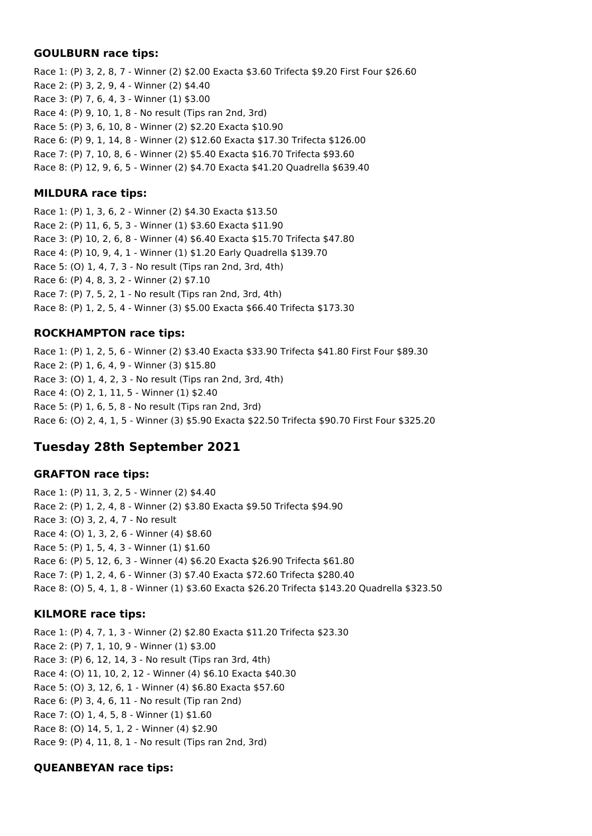#### **GOULBURN race tips:**

Race 1: (P) 3, 2, 8, 7 - Winner (2) \$2.00 Exacta \$3.60 Trifecta \$9.20 First Four \$26.60 Race 2: (P) 3, 2, 9, 4 - Winner (2) \$4.40 Race 3: (P) 7, 6, 4, 3 - Winner (1) \$3.00 Race 4: (P) 9, 10, 1, 8 - No result (Tips ran 2nd, 3rd) Race 5: (P) 3, 6, 10, 8 - Winner (2) \$2.20 Exacta \$10.90 Race 6: (P) 9, 1, 14, 8 - Winner (2) \$12.60 Exacta \$17.30 Trifecta \$126.00 Race 7: (P) 7, 10, 8, 6 - Winner (2) \$5.40 Exacta \$16.70 Trifecta \$93.60 Race 8: (P) 12, 9, 6, 5 - Winner (2) \$4.70 Exacta \$41.20 Quadrella \$639.40

### **MILDURA race tips:**

Race 1: (P) 1, 3, 6, 2 - Winner (2) \$4.30 Exacta \$13.50 Race 2: (P) 11, 6, 5, 3 - Winner (1) \$3.60 Exacta \$11.90 Race 3: (P) 10, 2, 6, 8 - Winner (4) \$6.40 Exacta \$15.70 Trifecta \$47.80 Race 4: (P) 10, 9, 4, 1 - Winner (1) \$1.20 Early Quadrella \$139.70 Race 5: (O) 1, 4, 7, 3 - No result (Tips ran 2nd, 3rd, 4th) Race 6: (P) 4, 8, 3, 2 - Winner (2) \$7.10 Race 7: (P) 7, 5, 2, 1 - No result (Tips ran 2nd, 3rd, 4th) Race 8: (P) 1, 2, 5, 4 - Winner (3) \$5.00 Exacta \$66.40 Trifecta \$173.30

### **ROCKHAMPTON race tips:**

Race 1: (P) 1, 2, 5, 6 - Winner (2) \$3.40 Exacta \$33.90 Trifecta \$41.80 First Four \$89.30 Race 2: (P) 1, 6, 4, 9 - Winner (3) \$15.80 Race 3: (O) 1, 4, 2, 3 - No result (Tips ran 2nd, 3rd, 4th) Race 4: (O) 2, 1, 11, 5 - Winner (1) \$2.40 Race 5: (P) 1, 6, 5, 8 - No result (Tips ran 2nd, 3rd) Race 6: (O) 2, 4, 1, 5 - Winner (3) \$5.90 Exacta \$22.50 Trifecta \$90.70 First Four \$325.20

# **Tuesday 28th September 2021**

### **GRAFTON race tips:**

Race 1: (P) 11, 3, 2, 5 - Winner (2) \$4.40 Race 2: (P) 1, 2, 4, 8 - Winner (2) \$3.80 Exacta \$9.50 Trifecta \$94.90 Race 3: (O) 3, 2, 4, 7 - No result Race 4: (O) 1, 3, 2, 6 - Winner (4) \$8.60 Race 5: (P) 1, 5, 4, 3 - Winner (1) \$1.60 Race 6: (P) 5, 12, 6, 3 - Winner (4) \$6.20 Exacta \$26.90 Trifecta \$61.80 Race 7: (P) 1, 2, 4, 6 - Winner (3) \$7.40 Exacta \$72.60 Trifecta \$280.40 Race 8: (O) 5, 4, 1, 8 - Winner (1) \$3.60 Exacta \$26.20 Trifecta \$143.20 Quadrella \$323.50

# **KILMORE race tips:**

Race 1: (P) 4, 7, 1, 3 - Winner (2) \$2.80 Exacta \$11.20 Trifecta \$23.30 Race 2: (P) 7, 1, 10, 9 - Winner (1) \$3.00 Race 3: (P) 6, 12, 14, 3 - No result (Tips ran 3rd, 4th) Race 4: (O) 11, 10, 2, 12 - Winner (4) \$6.10 Exacta \$40.30 Race 5: (O) 3, 12, 6, 1 - Winner (4) \$6.80 Exacta \$57.60 Race 6: (P) 3, 4, 6, 11 - No result (Tip ran 2nd) Race 7: (O) 1, 4, 5, 8 - Winner (1) \$1.60 Race 8: (O) 14, 5, 1, 2 - Winner (4) \$2.90 Race 9: (P) 4, 11, 8, 1 - No result (Tips ran 2nd, 3rd)

### **QUEANBEYAN race tips:**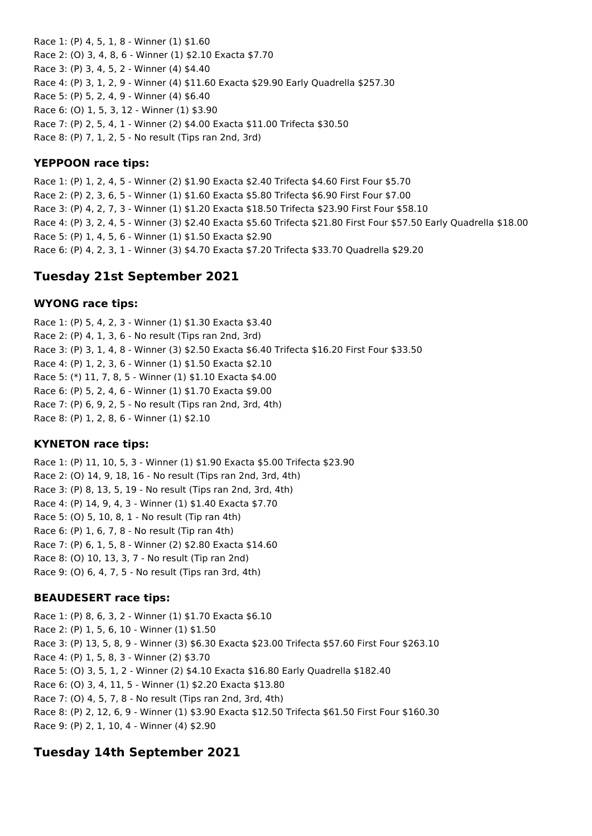Race 1: (P) 4, 5, 1, 8 - Winner (1) \$1.60 Race 2: (O) 3, 4, 8, 6 - Winner (1) \$2.10 Exacta \$7.70 Race 3: (P) 3, 4, 5, 2 - Winner (4) \$4.40 Race 4: (P) 3, 1, 2, 9 - Winner (4) \$11.60 Exacta \$29.90 Early Quadrella \$257.30 Race 5: (P) 5, 2, 4, 9 - Winner (4) \$6.40 Race 6: (O) 1, 5, 3, 12 - Winner (1) \$3.90 Race 7: (P) 2, 5, 4, 1 - Winner (2) \$4.00 Exacta \$11.00 Trifecta \$30.50 Race 8: (P) 7, 1, 2, 5 - No result (Tips ran 2nd, 3rd)

### **YEPPOON race tips:**

Race 1: (P) 1, 2, 4, 5 - Winner (2) \$1.90 Exacta \$2.40 Trifecta \$4.60 First Four \$5.70 Race 2: (P) 2, 3, 6, 5 - Winner (1) \$1.60 Exacta \$5.80 Trifecta \$6.90 First Four \$7.00 Race 3: (P) 4, 2, 7, 3 - Winner (1) \$1.20 Exacta \$18.50 Trifecta \$23.90 First Four \$58.10 Race 4: (P) 3, 2, 4, 5 - Winner (3) \$2.40 Exacta \$5.60 Trifecta \$21.80 First Four \$57.50 Early Quadrella \$18.00 Race 5: (P) 1, 4, 5, 6 - Winner (1) \$1.50 Exacta \$2.90 Race 6: (P) 4, 2, 3, 1 - Winner (3) \$4.70 Exacta \$7.20 Trifecta \$33.70 Quadrella \$29.20

# **Tuesday 21st September 2021**

## **WYONG race tips:**

Race 1: (P) 5, 4, 2, 3 - Winner (1) \$1.30 Exacta \$3.40 Race 2: (P) 4, 1, 3, 6 - No result (Tips ran 2nd, 3rd) Race 3: (P) 3, 1, 4, 8 - Winner (3) \$2.50 Exacta \$6.40 Trifecta \$16.20 First Four \$33.50 Race 4: (P) 1, 2, 3, 6 - Winner (1) \$1.50 Exacta \$2.10 Race 5: (\*) 11, 7, 8, 5 - Winner (1) \$1.10 Exacta \$4.00 Race 6: (P) 5, 2, 4, 6 - Winner (1) \$1.70 Exacta \$9.00 Race 7: (P) 6, 9, 2, 5 - No result (Tips ran 2nd, 3rd, 4th) Race 8: (P) 1, 2, 8, 6 - Winner (1) \$2.10

# **KYNETON race tips:**

Race 1: (P) 11, 10, 5, 3 - Winner (1) \$1.90 Exacta \$5.00 Trifecta \$23.90 Race 2: (O) 14, 9, 18, 16 - No result (Tips ran 2nd, 3rd, 4th) Race 3: (P) 8, 13, 5, 19 - No result (Tips ran 2nd, 3rd, 4th) Race 4: (P) 14, 9, 4, 3 - Winner (1) \$1.40 Exacta \$7.70 Race 5: (O) 5, 10, 8, 1 - No result (Tip ran 4th) Race 6: (P) 1, 6, 7, 8 - No result (Tip ran 4th) Race 7: (P) 6, 1, 5, 8 - Winner (2) \$2.80 Exacta \$14.60 Race 8: (O) 10, 13, 3, 7 - No result (Tip ran 2nd) Race 9: (O) 6, 4, 7, 5 - No result (Tips ran 3rd, 4th)

# **BEAUDESERT race tips:**

Race 1: (P) 8, 6, 3, 2 - Winner (1) \$1.70 Exacta \$6.10 Race 2: (P) 1, 5, 6, 10 - Winner (1) \$1.50 Race 3: (P) 13, 5, 8, 9 - Winner (3) \$6.30 Exacta \$23.00 Trifecta \$57.60 First Four \$263.10 Race 4: (P) 1, 5, 8, 3 - Winner (2) \$3.70 Race 5: (O) 3, 5, 1, 2 - Winner (2) \$4.10 Exacta \$16.80 Early Quadrella \$182.40 Race 6: (O) 3, 4, 11, 5 - Winner (1) \$2.20 Exacta \$13.80 Race 7: (O) 4, 5, 7, 8 - No result (Tips ran 2nd, 3rd, 4th) Race 8: (P) 2, 12, 6, 9 - Winner (1) \$3.90 Exacta \$12.50 Trifecta \$61.50 First Four \$160.30 Race 9: (P) 2, 1, 10, 4 - Winner (4) \$2.90

# **Tuesday 14th September 2021**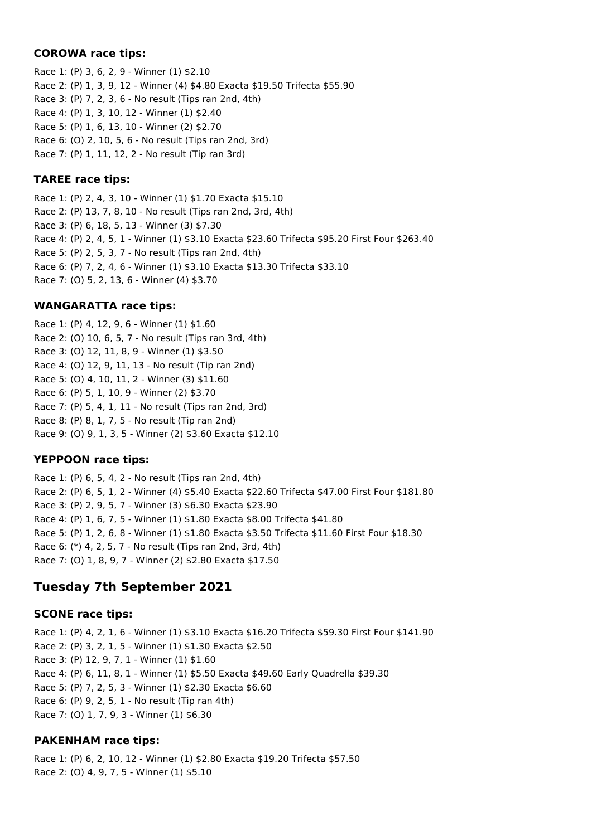#### **COROWA race tips:**

Race 1: (P) 3, 6, 2, 9 - Winner (1) \$2.10 Race 2: (P) 1, 3, 9, 12 - Winner (4) \$4.80 Exacta \$19.50 Trifecta \$55.90 Race 3: (P) 7, 2, 3, 6 - No result (Tips ran 2nd, 4th) Race 4: (P) 1, 3, 10, 12 - Winner (1) \$2.40 Race 5: (P) 1, 6, 13, 10 - Winner (2) \$2.70 Race 6: (O) 2, 10, 5, 6 - No result (Tips ran 2nd, 3rd) Race 7: (P) 1, 11, 12, 2 - No result (Tip ran 3rd)

### **TAREE race tips:**

Race 1: (P) 2, 4, 3, 10 - Winner (1) \$1.70 Exacta \$15.10 Race 2: (P) 13, 7, 8, 10 - No result (Tips ran 2nd, 3rd, 4th) Race 3: (P) 6, 18, 5, 13 - Winner (3) \$7.30 Race 4: (P) 2, 4, 5, 1 - Winner (1) \$3.10 Exacta \$23.60 Trifecta \$95.20 First Four \$263.40 Race 5: (P) 2, 5, 3, 7 - No result (Tips ran 2nd, 4th) Race 6: (P) 7, 2, 4, 6 - Winner (1) \$3.10 Exacta \$13.30 Trifecta \$33.10 Race 7: (O) 5, 2, 13, 6 - Winner (4) \$3.70

# **WANGARATTA race tips:**

Race 1: (P) 4, 12, 9, 6 - Winner (1) \$1.60 Race 2: (O) 10, 6, 5, 7 - No result (Tips ran 3rd, 4th) Race 3: (O) 12, 11, 8, 9 - Winner (1) \$3.50 Race 4: (O) 12, 9, 11, 13 - No result (Tip ran 2nd) Race 5: (O) 4, 10, 11, 2 - Winner (3) \$11.60 Race 6: (P) 5, 1, 10, 9 - Winner (2) \$3.70 Race 7: (P) 5, 4, 1, 11 - No result (Tips ran 2nd, 3rd) Race 8: (P) 8, 1, 7, 5 - No result (Tip ran 2nd) Race 9: (O) 9, 1, 3, 5 - Winner (2) \$3.60 Exacta \$12.10

# **YEPPOON race tips:**

Race 1: (P) 6, 5, 4, 2 - No result (Tips ran 2nd, 4th) Race 2: (P) 6, 5, 1, 2 - Winner (4) \$5.40 Exacta \$22.60 Trifecta \$47.00 First Four \$181.80 Race 3: (P) 2, 9, 5, 7 - Winner (3) \$6.30 Exacta \$23.90 Race 4: (P) 1, 6, 7, 5 - Winner (1) \$1.80 Exacta \$8.00 Trifecta \$41.80 Race 5: (P) 1, 2, 6, 8 - Winner (1) \$1.80 Exacta \$3.50 Trifecta \$11.60 First Four \$18.30 Race 6: (\*) 4, 2, 5, 7 - No result (Tips ran 2nd, 3rd, 4th) Race 7: (O) 1, 8, 9, 7 - Winner (2) \$2.80 Exacta \$17.50

# **Tuesday 7th September 2021**

### **SCONE race tips:**

Race 1: (P) 4, 2, 1, 6 - Winner (1) \$3.10 Exacta \$16.20 Trifecta \$59.30 First Four \$141.90 Race 2: (P) 3, 2, 1, 5 - Winner (1) \$1.30 Exacta \$2.50 Race 3: (P) 12, 9, 7, 1 - Winner (1) \$1.60 Race 4: (P) 6, 11, 8, 1 - Winner (1) \$5.50 Exacta \$49.60 Early Quadrella \$39.30 Race 5: (P) 7, 2, 5, 3 - Winner (1) \$2.30 Exacta \$6.60 Race 6: (P) 9, 2, 5, 1 - No result (Tip ran 4th) Race 7: (O) 1, 7, 9, 3 - Winner (1) \$6.30

# **PAKENHAM race tips:**

Race 1: (P) 6, 2, 10, 12 - Winner (1) \$2.80 Exacta \$19.20 Trifecta \$57.50 Race 2: (O) 4, 9, 7, 5 - Winner (1) \$5.10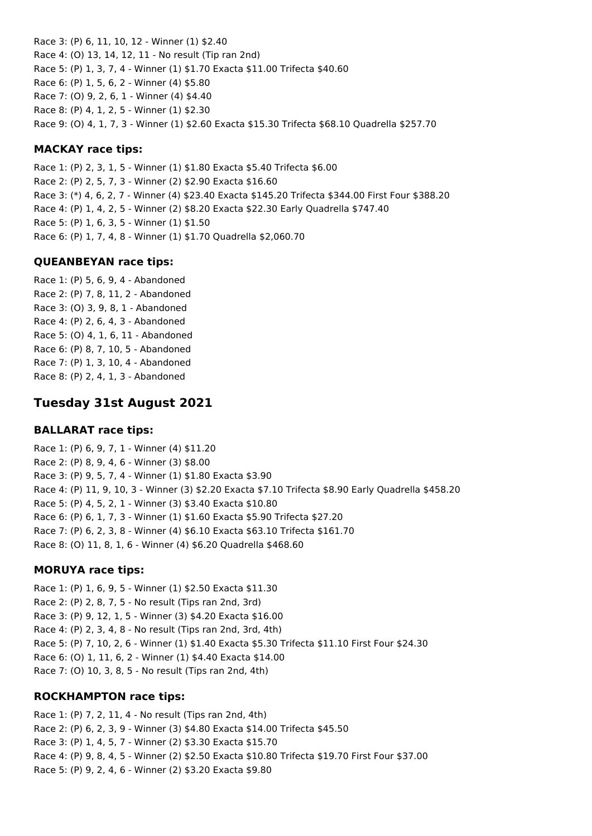Race 3: (P) 6, 11, 10, 12 - Winner (1) \$2.40 Race 4: (O) 13, 14, 12, 11 - No result (Tip ran 2nd) Race 5: (P) 1, 3, 7, 4 - Winner (1) \$1.70 Exacta \$11.00 Trifecta \$40.60 Race 6: (P) 1, 5, 6, 2 - Winner (4) \$5.80 Race 7: (O) 9, 2, 6, 1 - Winner (4) \$4.40 Race 8: (P) 4, 1, 2, 5 - Winner (1) \$2.30 Race 9: (O) 4, 1, 7, 3 - Winner (1) \$2.60 Exacta \$15.30 Trifecta \$68.10 Quadrella \$257.70

#### **MACKAY race tips:**

Race 1: (P) 2, 3, 1, 5 - Winner (1) \$1.80 Exacta \$5.40 Trifecta \$6.00 Race 2: (P) 2, 5, 7, 3 - Winner (2) \$2.90 Exacta \$16.60 Race 3: (\*) 4, 6, 2, 7 - Winner (4) \$23.40 Exacta \$145.20 Trifecta \$344.00 First Four \$388.20 Race 4: (P) 1, 4, 2, 5 - Winner (2) \$8.20 Exacta \$22.30 Early Quadrella \$747.40 Race 5: (P) 1, 6, 3, 5 - Winner (1) \$1.50 Race 6: (P) 1, 7, 4, 8 - Winner (1) \$1.70 Quadrella \$2,060.70

### **QUEANBEYAN race tips:**

Race 1: (P) 5, 6, 9, 4 - Abandoned Race 2: (P) 7, 8, 11, 2 - Abandoned Race 3: (O) 3, 9, 8, 1 - Abandoned Race 4: (P) 2, 6, 4, 3 - Abandoned Race 5: (O) 4, 1, 6, 11 - Abandoned Race 6: (P) 8, 7, 10, 5 - Abandoned Race 7: (P) 1, 3, 10, 4 - Abandoned Race 8: (P) 2, 4, 1, 3 - Abandoned

# **Tuesday 31st August 2021**

#### **BALLARAT race tips:**

Race 1: (P) 6, 9, 7, 1 - Winner (4) \$11.20 Race 2: (P) 8, 9, 4, 6 - Winner (3) \$8.00 Race 3: (P) 9, 5, 7, 4 - Winner (1) \$1.80 Exacta \$3.90 Race 4: (P) 11, 9, 10, 3 - Winner (3) \$2.20 Exacta \$7.10 Trifecta \$8.90 Early Quadrella \$458.20 Race 5: (P) 4, 5, 2, 1 - Winner (3) \$3.40 Exacta \$10.80 Race 6: (P) 6, 1, 7, 3 - Winner (1) \$1.60 Exacta \$5.90 Trifecta \$27.20 Race 7: (P) 6, 2, 3, 8 - Winner (4) \$6.10 Exacta \$63.10 Trifecta \$161.70 Race 8: (O) 11, 8, 1, 6 - Winner (4) \$6.20 Quadrella \$468.60

#### **MORUYA race tips:**

Race 1: (P) 1, 6, 9, 5 - Winner (1) \$2.50 Exacta \$11.30 Race 2: (P) 2, 8, 7, 5 - No result (Tips ran 2nd, 3rd) Race 3: (P) 9, 12, 1, 5 - Winner (3) \$4.20 Exacta \$16.00 Race 4: (P) 2, 3, 4, 8 - No result (Tips ran 2nd, 3rd, 4th) Race 5: (P) 7, 10, 2, 6 - Winner (1) \$1.40 Exacta \$5.30 Trifecta \$11.10 First Four \$24.30 Race 6: (O) 1, 11, 6, 2 - Winner (1) \$4.40 Exacta \$14.00 Race 7: (O) 10, 3, 8, 5 - No result (Tips ran 2nd, 4th)

#### **ROCKHAMPTON race tips:**

Race 1: (P) 7, 2, 11, 4 - No result (Tips ran 2nd, 4th) Race 2: (P) 6, 2, 3, 9 - Winner (3) \$4.80 Exacta \$14.00 Trifecta \$45.50 Race 3: (P) 1, 4, 5, 7 - Winner (2) \$3.30 Exacta \$15.70 Race 4: (P) 9, 8, 4, 5 - Winner (2) \$2.50 Exacta \$10.80 Trifecta \$19.70 First Four \$37.00 Race 5: (P) 9, 2, 4, 6 - Winner (2) \$3.20 Exacta \$9.80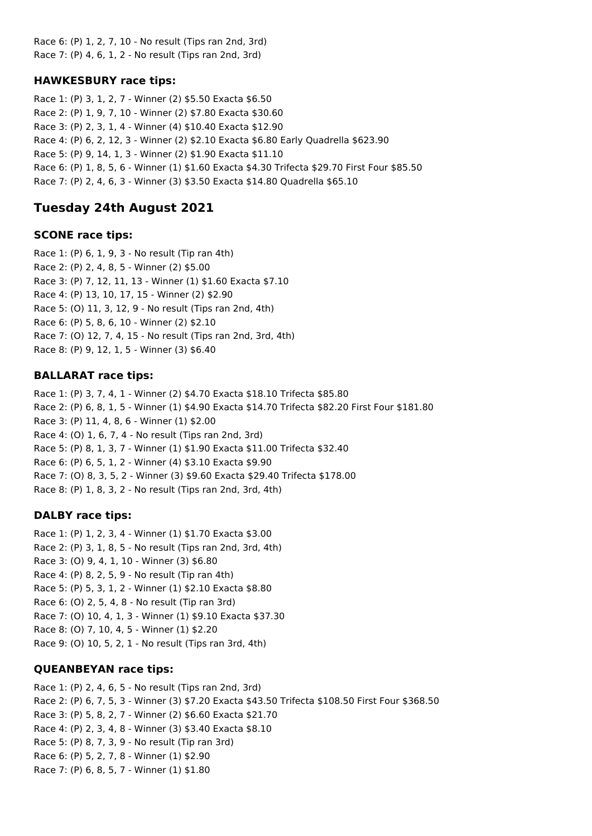Race 6: (P) 1, 2, 7, 10 - No result (Tips ran 2nd, 3rd) Race 7: (P) 4, 6, 1, 2 - No result (Tips ran 2nd, 3rd)

# **HAWKESBURY race tips:**

Race 1: (P) 3, 1, 2, 7 - Winner (2) \$5.50 Exacta \$6.50 Race 2: (P) 1, 9, 7, 10 - Winner (2) \$7.80 Exacta \$30.60 Race 3: (P) 2, 3, 1, 4 - Winner (4) \$10.40 Exacta \$12.90 Race 4: (P) 6, 2, 12, 3 - Winner (2) \$2.10 Exacta \$6.80 Early Quadrella \$623.90 Race 5: (P) 9, 14, 1, 3 - Winner (2) \$1.90 Exacta \$11.10 Race 6: (P) 1, 8, 5, 6 - Winner (1) \$1.60 Exacta \$4.30 Trifecta \$29.70 First Four \$85.50 Race 7: (P) 2, 4, 6, 3 - Winner (3) \$3.50 Exacta \$14.80 Quadrella \$65.10

# **Tuesday 24th August 2021**

### **SCONE race tips:**

Race 1: (P) 6, 1, 9, 3 - No result (Tip ran 4th) Race 2: (P) 2, 4, 8, 5 - Winner (2) \$5.00 Race 3: (P) 7, 12, 11, 13 - Winner (1) \$1.60 Exacta \$7.10 Race 4: (P) 13, 10, 17, 15 - Winner (2) \$2.90 Race 5: (O) 11, 3, 12, 9 - No result (Tips ran 2nd, 4th) Race 6: (P) 5, 8, 6, 10 - Winner (2) \$2.10 Race 7: (O) 12, 7, 4, 15 - No result (Tips ran 2nd, 3rd, 4th) Race 8: (P) 9, 12, 1, 5 - Winner (3) \$6.40

## **BALLARAT race tips:**

Race 1: (P) 3, 7, 4, 1 - Winner (2) \$4.70 Exacta \$18.10 Trifecta \$85.80 Race 2: (P) 6, 8, 1, 5 - Winner (1) \$4.90 Exacta \$14.70 Trifecta \$82.20 First Four \$181.80 Race 3: (P) 11, 4, 8, 6 - Winner (1) \$2.00 Race 4: (O) 1, 6, 7, 4 - No result (Tips ran 2nd, 3rd) Race 5: (P) 8, 1, 3, 7 - Winner (1) \$1.90 Exacta \$11.00 Trifecta \$32.40 Race 6: (P) 6, 5, 1, 2 - Winner (4) \$3.10 Exacta \$9.90 Race 7: (O) 8, 3, 5, 2 - Winner (3) \$9.60 Exacta \$29.40 Trifecta \$178.00 Race 8: (P) 1, 8, 3, 2 - No result (Tips ran 2nd, 3rd, 4th)

### **DALBY race tips:**

Race 1: (P) 1, 2, 3, 4 - Winner (1) \$1.70 Exacta \$3.00 Race 2: (P) 3, 1, 8, 5 - No result (Tips ran 2nd, 3rd, 4th) Race 3: (O) 9, 4, 1, 10 - Winner (3) \$6.80 Race 4: (P) 8, 2, 5, 9 - No result (Tip ran 4th) Race 5: (P) 5, 3, 1, 2 - Winner (1) \$2.10 Exacta \$8.80 Race 6: (O) 2, 5, 4, 8 - No result (Tip ran 3rd) Race 7: (O) 10, 4, 1, 3 - Winner (1) \$9.10 Exacta \$37.30 Race 8: (O) 7, 10, 4, 5 - Winner (1) \$2.20 Race 9: (O) 10, 5, 2, 1 - No result (Tips ran 3rd, 4th)

# **QUEANBEYAN race tips:**

Race 1: (P) 2, 4, 6, 5 - No result (Tips ran 2nd, 3rd) Race 2: (P) 6, 7, 5, 3 - Winner (3) \$7.20 Exacta \$43.50 Trifecta \$108.50 First Four \$368.50 Race 3: (P) 5, 8, 2, 7 - Winner (2) \$6.60 Exacta \$21.70 Race 4: (P) 2, 3, 4, 8 - Winner (3) \$3.40 Exacta \$8.10 Race 5: (P) 8, 7, 3, 9 - No result (Tip ran 3rd) Race 6: (P) 5, 2, 7, 8 - Winner (1) \$2.90 Race 7: (P) 6, 8, 5, 7 - Winner (1) \$1.80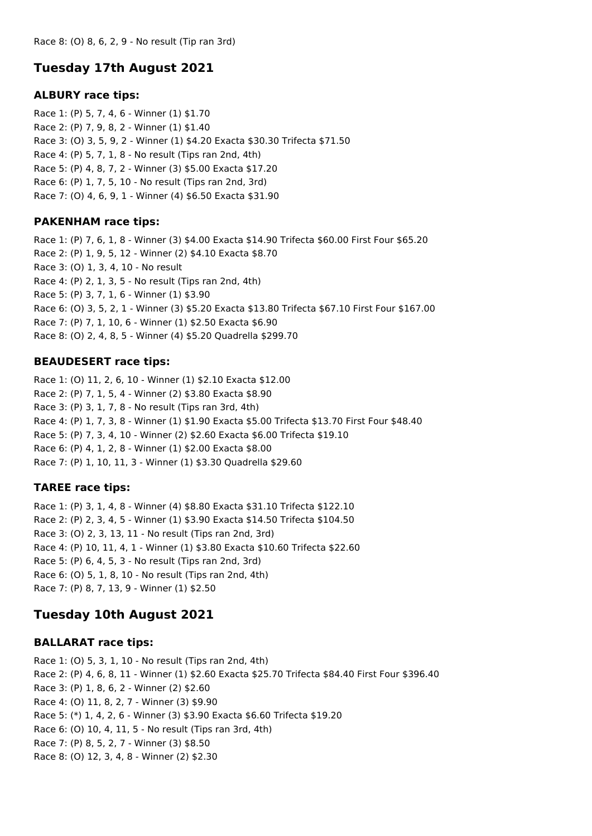# **Tuesday 17th August 2021**

## **ALBURY race tips:**

Race 1: (P) 5, 7, 4, 6 - Winner (1) \$1.70 Race 2: (P) 7, 9, 8, 2 - Winner (1) \$1.40 Race 3: (O) 3, 5, 9, 2 - Winner (1) \$4.20 Exacta \$30.30 Trifecta \$71.50 Race 4: (P) 5, 7, 1, 8 - No result (Tips ran 2nd, 4th) Race 5: (P) 4, 8, 7, 2 - Winner (3) \$5.00 Exacta \$17.20 Race 6: (P) 1, 7, 5, 10 - No result (Tips ran 2nd, 3rd) Race 7: (O) 4, 6, 9, 1 - Winner (4) \$6.50 Exacta \$31.90

# **PAKENHAM race tips:**

Race 1: (P) 7, 6, 1, 8 - Winner (3) \$4.00 Exacta \$14.90 Trifecta \$60.00 First Four \$65.20 Race 2: (P) 1, 9, 5, 12 - Winner (2) \$4.10 Exacta \$8.70 Race 3: (O) 1, 3, 4, 10 - No result Race 4: (P) 2, 1, 3, 5 - No result (Tips ran 2nd, 4th) Race 5: (P) 3, 7, 1, 6 - Winner (1) \$3.90 Race 6: (O) 3, 5, 2, 1 - Winner (3) \$5.20 Exacta \$13.80 Trifecta \$67.10 First Four \$167.00 Race 7: (P) 7, 1, 10, 6 - Winner (1) \$2.50 Exacta \$6.90 Race 8: (O) 2, 4, 8, 5 - Winner (4) \$5.20 Quadrella \$299.70

# **BEAUDESERT race tips:**

Race 1: (O) 11, 2, 6, 10 - Winner (1) \$2.10 Exacta \$12.00 Race 2: (P) 7, 1, 5, 4 - Winner (2) \$3.80 Exacta \$8.90 Race 3: (P) 3, 1, 7, 8 - No result (Tips ran 3rd, 4th) Race 4: (P) 1, 7, 3, 8 - Winner (1) \$1.90 Exacta \$5.00 Trifecta \$13.70 First Four \$48.40 Race 5: (P) 7, 3, 4, 10 - Winner (2) \$2.60 Exacta \$6.00 Trifecta \$19.10 Race 6: (P) 4, 1, 2, 8 - Winner (1) \$2.00 Exacta \$8.00 Race 7: (P) 1, 10, 11, 3 - Winner (1) \$3.30 Quadrella \$29.60

# **TAREE race tips:**

Race 1: (P) 3, 1, 4, 8 - Winner (4) \$8.80 Exacta \$31.10 Trifecta \$122.10 Race 2: (P) 2, 3, 4, 5 - Winner (1) \$3.90 Exacta \$14.50 Trifecta \$104.50 Race 3: (O) 2, 3, 13, 11 - No result (Tips ran 2nd, 3rd) Race 4: (P) 10, 11, 4, 1 - Winner (1) \$3.80 Exacta \$10.60 Trifecta \$22.60 Race 5: (P) 6, 4, 5, 3 - No result (Tips ran 2nd, 3rd) Race 6: (O) 5, 1, 8, 10 - No result (Tips ran 2nd, 4th) Race 7: (P) 8, 7, 13, 9 - Winner (1) \$2.50

# **Tuesday 10th August 2021**

# **BALLARAT race tips:**

Race 1: (O) 5, 3, 1, 10 - No result (Tips ran 2nd, 4th) Race 2: (P) 4, 6, 8, 11 - Winner (1) \$2.60 Exacta \$25.70 Trifecta \$84.40 First Four \$396.40 Race 3: (P) 1, 8, 6, 2 - Winner (2) \$2.60 Race 4: (O) 11, 8, 2, 7 - Winner (3) \$9.90 Race 5: (\*) 1, 4, 2, 6 - Winner (3) \$3.90 Exacta \$6.60 Trifecta \$19.20 Race 6: (O) 10, 4, 11, 5 - No result (Tips ran 3rd, 4th) Race 7: (P) 8, 5, 2, 7 - Winner (3) \$8.50 Race 8: (O) 12, 3, 4, 8 - Winner (2) \$2.30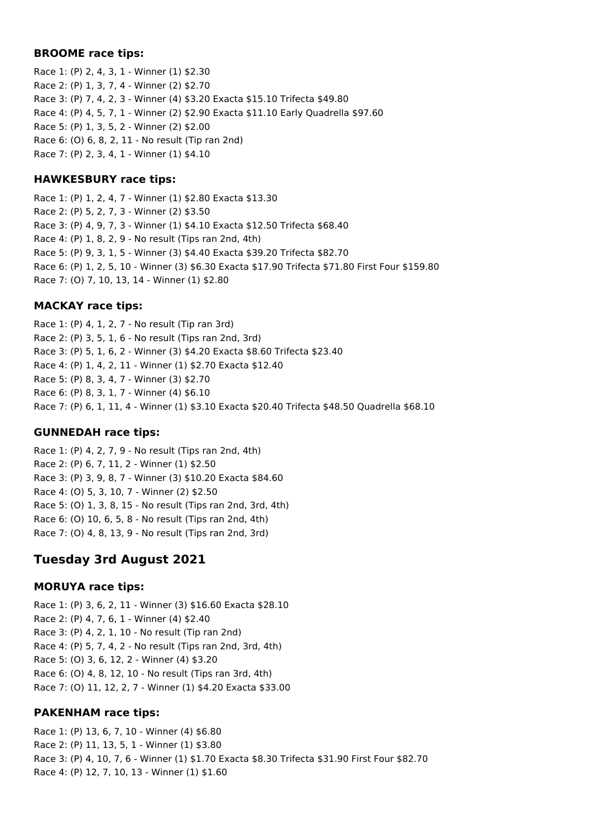#### **BROOME race tips:**

Race 1: (P) 2, 4, 3, 1 - Winner (1) \$2.30 Race 2: (P) 1, 3, 7, 4 - Winner (2) \$2.70 Race 3: (P) 7, 4, 2, 3 - Winner (4) \$3.20 Exacta \$15.10 Trifecta \$49.80 Race 4: (P) 4, 5, 7, 1 - Winner (2) \$2.90 Exacta \$11.10 Early Quadrella \$97.60 Race 5: (P) 1, 3, 5, 2 - Winner (2) \$2.00 Race 6: (O) 6, 8, 2, 11 - No result (Tip ran 2nd) Race 7: (P) 2, 3, 4, 1 - Winner (1) \$4.10

#### **HAWKESBURY race tips:**

Race 1: (P) 1, 2, 4, 7 - Winner (1) \$2.80 Exacta \$13.30 Race 2: (P) 5, 2, 7, 3 - Winner (2) \$3.50 Race 3: (P) 4, 9, 7, 3 - Winner (1) \$4.10 Exacta \$12.50 Trifecta \$68.40 Race 4: (P) 1, 8, 2, 9 - No result (Tips ran 2nd, 4th) Race 5: (P) 9, 3, 1, 5 - Winner (3) \$4.40 Exacta \$39.20 Trifecta \$82.70 Race 6: (P) 1, 2, 5, 10 - Winner (3) \$6.30 Exacta \$17.90 Trifecta \$71.80 First Four \$159.80 Race 7: (O) 7, 10, 13, 14 - Winner (1) \$2.80

#### **MACKAY race tips:**

Race 1: (P) 4, 1, 2, 7 - No result (Tip ran 3rd) Race 2: (P) 3, 5, 1, 6 - No result (Tips ran 2nd, 3rd) Race 3: (P) 5, 1, 6, 2 - Winner (3) \$4.20 Exacta \$8.60 Trifecta \$23.40 Race 4: (P) 1, 4, 2, 11 - Winner (1) \$2.70 Exacta \$12.40 Race 5: (P) 8, 3, 4, 7 - Winner (3) \$2.70 Race 6: (P) 8, 3, 1, 7 - Winner (4) \$6.10 Race 7: (P) 6, 1, 11, 4 - Winner (1) \$3.10 Exacta \$20.40 Trifecta \$48.50 Quadrella \$68.10

#### **GUNNEDAH race tips:**

Race 1: (P) 4, 2, 7, 9 - No result (Tips ran 2nd, 4th) Race 2: (P) 6, 7, 11, 2 - Winner (1) \$2.50 Race 3: (P) 3, 9, 8, 7 - Winner (3) \$10.20 Exacta \$84.60 Race 4: (O) 5, 3, 10, 7 - Winner (2) \$2.50 Race 5: (O) 1, 3, 8, 15 - No result (Tips ran 2nd, 3rd, 4th) Race 6: (O) 10, 6, 5, 8 - No result (Tips ran 2nd, 4th) Race 7: (O) 4, 8, 13, 9 - No result (Tips ran 2nd, 3rd)

# **Tuesday 3rd August 2021**

#### **MORUYA race tips:**

Race 1: (P) 3, 6, 2, 11 - Winner (3) \$16.60 Exacta \$28.10 Race 2: (P) 4, 7, 6, 1 - Winner (4) \$2.40 Race 3: (P) 4, 2, 1, 10 - No result (Tip ran 2nd) Race 4: (P) 5, 7, 4, 2 - No result (Tips ran 2nd, 3rd, 4th) Race 5: (O) 3, 6, 12, 2 - Winner (4) \$3.20 Race 6: (O) 4, 8, 12, 10 - No result (Tips ran 3rd, 4th) Race 7: (O) 11, 12, 2, 7 - Winner (1) \$4.20 Exacta \$33.00

#### **PAKENHAM race tips:**

Race 1: (P) 13, 6, 7, 10 - Winner (4) \$6.80 Race 2: (P) 11, 13, 5, 1 - Winner (1) \$3.80 Race 3: (P) 4, 10, 7, 6 - Winner (1) \$1.70 Exacta \$8.30 Trifecta \$31.90 First Four \$82.70 Race 4: (P) 12, 7, 10, 13 - Winner (1) \$1.60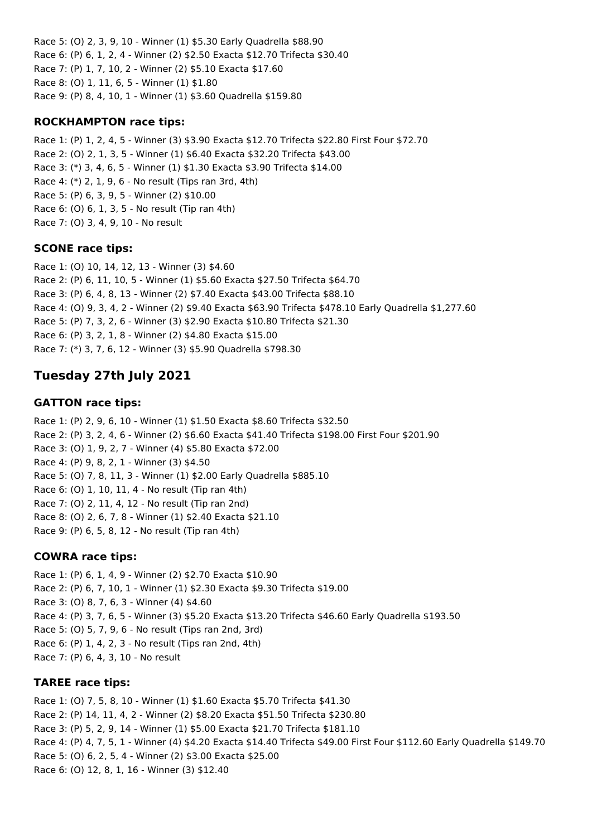Race 5: (O) 2, 3, 9, 10 - Winner (1) \$5.30 Early Quadrella \$88.90 Race 6: (P) 6, 1, 2, 4 - Winner (2) \$2.50 Exacta \$12.70 Trifecta \$30.40 Race 7: (P) 1, 7, 10, 2 - Winner (2) \$5.10 Exacta \$17.60 Race 8: (O) 1, 11, 6, 5 - Winner (1) \$1.80 Race 9: (P) 8, 4, 10, 1 - Winner (1) \$3.60 Quadrella \$159.80

### **ROCKHAMPTON race tips:**

Race 1: (P) 1, 2, 4, 5 - Winner (3) \$3.90 Exacta \$12.70 Trifecta \$22.80 First Four \$72.70 Race 2: (O) 2, 1, 3, 5 - Winner (1) \$6.40 Exacta \$32.20 Trifecta \$43.00 Race 3: (\*) 3, 4, 6, 5 - Winner (1) \$1.30 Exacta \$3.90 Trifecta \$14.00 Race 4: (\*) 2, 1, 9, 6 - No result (Tips ran 3rd, 4th) Race 5: (P) 6, 3, 9, 5 - Winner (2) \$10.00 Race 6: (O) 6, 1, 3, 5 - No result (Tip ran 4th) Race 7: (O) 3, 4, 9, 10 - No result

## **SCONE race tips:**

Race 1: (O) 10, 14, 12, 13 - Winner (3) \$4.60 Race 2: (P) 6, 11, 10, 5 - Winner (1) \$5.60 Exacta \$27.50 Trifecta \$64.70 Race 3: (P) 6, 4, 8, 13 - Winner (2) \$7.40 Exacta \$43.00 Trifecta \$88.10 Race 4: (O) 9, 3, 4, 2 - Winner (2) \$9.40 Exacta \$63.90 Trifecta \$478.10 Early Quadrella \$1,277.60 Race 5: (P) 7, 3, 2, 6 - Winner (3) \$2.90 Exacta \$10.80 Trifecta \$21.30 Race 6: (P) 3, 2, 1, 8 - Winner (2) \$4.80 Exacta \$15.00 Race 7: (\*) 3, 7, 6, 12 - Winner (3) \$5.90 Quadrella \$798.30

# **Tuesday 27th July 2021**

## **GATTON race tips:**

Race 1: (P) 2, 9, 6, 10 - Winner (1) \$1.50 Exacta \$8.60 Trifecta \$32.50 Race 2: (P) 3, 2, 4, 6 - Winner (2) \$6.60 Exacta \$41.40 Trifecta \$198.00 First Four \$201.90 Race 3: (O) 1, 9, 2, 7 - Winner (4) \$5.80 Exacta \$72.00 Race 4: (P) 9, 8, 2, 1 - Winner (3) \$4.50 Race 5: (O) 7, 8, 11, 3 - Winner (1) \$2.00 Early Quadrella \$885.10 Race 6: (O) 1, 10, 11, 4 - No result (Tip ran 4th) Race 7: (O) 2, 11, 4, 12 - No result (Tip ran 2nd) Race 8: (O) 2, 6, 7, 8 - Winner (1) \$2.40 Exacta \$21.10 Race 9: (P) 6, 5, 8, 12 - No result (Tip ran 4th)

# **COWRA race tips:**

Race 1: (P) 6, 1, 4, 9 - Winner (2) \$2.70 Exacta \$10.90 Race 2: (P) 6, 7, 10, 1 - Winner (1) \$2.30 Exacta \$9.30 Trifecta \$19.00 Race 3: (O) 8, 7, 6, 3 - Winner (4) \$4.60 Race 4: (P) 3, 7, 6, 5 - Winner (3) \$5.20 Exacta \$13.20 Trifecta \$46.60 Early Quadrella \$193.50 Race 5: (O) 5, 7, 9, 6 - No result (Tips ran 2nd, 3rd) Race 6: (P) 1, 4, 2, 3 - No result (Tips ran 2nd, 4th) Race 7: (P) 6, 4, 3, 10 - No result

# **TAREE race tips:**

Race 1: (O) 7, 5, 8, 10 - Winner (1) \$1.60 Exacta \$5.70 Trifecta \$41.30 Race 2: (P) 14, 11, 4, 2 - Winner (2) \$8.20 Exacta \$51.50 Trifecta \$230.80 Race 3: (P) 5, 2, 9, 14 - Winner (1) \$5.00 Exacta \$21.70 Trifecta \$181.10 Race 4: (P) 4, 7, 5, 1 - Winner (4) \$4.20 Exacta \$14.40 Trifecta \$49.00 First Four \$112.60 Early Quadrella \$149.70 Race 5: (O) 6, 2, 5, 4 - Winner (2) \$3.00 Exacta \$25.00 Race 6: (O) 12, 8, 1, 16 - Winner (3) \$12.40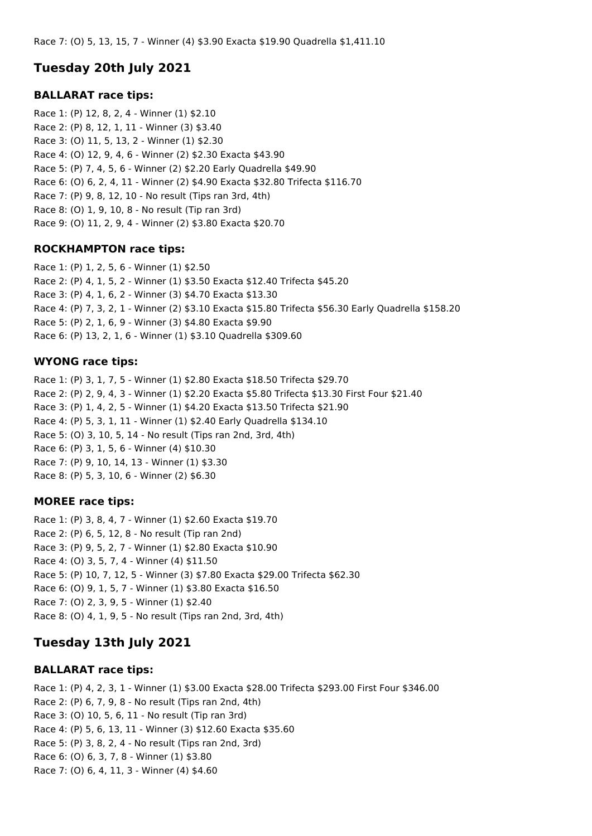# **Tuesday 20th July 2021**

#### **BALLARAT race tips:**

Race 1: (P) 12, 8, 2, 4 - Winner (1) \$2.10 Race 2: (P) 8, 12, 1, 11 - Winner (3) \$3.40 Race 3: (O) 11, 5, 13, 2 - Winner (1) \$2.30 Race 4: (O) 12, 9, 4, 6 - Winner (2) \$2.30 Exacta \$43.90 Race 5: (P) 7, 4, 5, 6 - Winner (2) \$2.20 Early Quadrella \$49.90 Race 6: (O) 6, 2, 4, 11 - Winner (2) \$4.90 Exacta \$32.80 Trifecta \$116.70 Race 7: (P) 9, 8, 12, 10 - No result (Tips ran 3rd, 4th) Race 8: (O) 1, 9, 10, 8 - No result (Tip ran 3rd) Race 9: (O) 11, 2, 9, 4 - Winner (2) \$3.80 Exacta \$20.70

### **ROCKHAMPTON race tips:**

Race 1: (P) 1, 2, 5, 6 - Winner (1) \$2.50 Race 2: (P) 4, 1, 5, 2 - Winner (1) \$3.50 Exacta \$12.40 Trifecta \$45.20 Race 3: (P) 4, 1, 6, 2 - Winner (3) \$4.70 Exacta \$13.30 Race 4: (P) 7, 3, 2, 1 - Winner (2) \$3.10 Exacta \$15.80 Trifecta \$56.30 Early Quadrella \$158.20 Race 5: (P) 2, 1, 6, 9 - Winner (3) \$4.80 Exacta \$9.90 Race 6: (P) 13, 2, 1, 6 - Winner (1) \$3.10 Quadrella \$309.60

#### **WYONG race tips:**

Race 1: (P) 3, 1, 7, 5 - Winner (1) \$2.80 Exacta \$18.50 Trifecta \$29.70 Race 2: (P) 2, 9, 4, 3 - Winner (1) \$2.20 Exacta \$5.80 Trifecta \$13.30 First Four \$21.40 Race 3: (P) 1, 4, 2, 5 - Winner (1) \$4.20 Exacta \$13.50 Trifecta \$21.90 Race 4: (P) 5, 3, 1, 11 - Winner (1) \$2.40 Early Quadrella \$134.10 Race 5: (O) 3, 10, 5, 14 - No result (Tips ran 2nd, 3rd, 4th) Race 6: (P) 3, 1, 5, 6 - Winner (4) \$10.30 Race 7: (P) 9, 10, 14, 13 - Winner (1) \$3.30 Race 8: (P) 5, 3, 10, 6 - Winner (2) \$6.30

#### **MOREE race tips:**

Race 1: (P) 3, 8, 4, 7 - Winner (1) \$2.60 Exacta \$19.70 Race 2: (P) 6, 5, 12, 8 - No result (Tip ran 2nd) Race 3: (P) 9, 5, 2, 7 - Winner (1) \$2.80 Exacta \$10.90 Race 4: (O) 3, 5, 7, 4 - Winner (4) \$11.50 Race 5: (P) 10, 7, 12, 5 - Winner (3) \$7.80 Exacta \$29.00 Trifecta \$62.30 Race 6: (O) 9, 1, 5, 7 - Winner (1) \$3.80 Exacta \$16.50 Race 7: (O) 2, 3, 9, 5 - Winner (1) \$2.40 Race 8: (O) 4, 1, 9, 5 - No result (Tips ran 2nd, 3rd, 4th)

# **Tuesday 13th July 2021**

#### **BALLARAT race tips:**

Race 1: (P) 4, 2, 3, 1 - Winner (1) \$3.00 Exacta \$28.00 Trifecta \$293.00 First Four \$346.00 Race 2: (P) 6, 7, 9, 8 - No result (Tips ran 2nd, 4th) Race 3: (O) 10, 5, 6, 11 - No result (Tip ran 3rd) Race 4: (P) 5, 6, 13, 11 - Winner (3) \$12.60 Exacta \$35.60 Race 5: (P) 3, 8, 2, 4 - No result (Tips ran 2nd, 3rd) Race 6: (O) 6, 3, 7, 8 - Winner (1) \$3.80 Race 7: (O) 6, 4, 11, 3 - Winner (4) \$4.60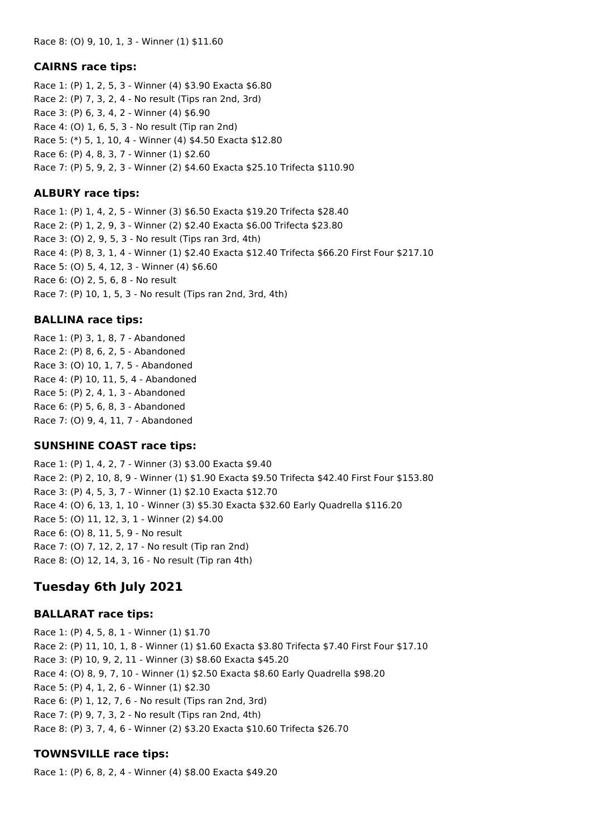#### **CAIRNS race tips:**

Race 1: (P) 1, 2, 5, 3 - Winner (4) \$3.90 Exacta \$6.80 Race 2: (P) 7, 3, 2, 4 - No result (Tips ran 2nd, 3rd) Race 3: (P) 6, 3, 4, 2 - Winner (4) \$6.90 Race 4: (O) 1, 6, 5, 3 - No result (Tip ran 2nd) Race 5: (\*) 5, 1, 10, 4 - Winner (4) \$4.50 Exacta \$12.80 Race 6: (P) 4, 8, 3, 7 - Winner (1) \$2.60 Race 7: (P) 5, 9, 2, 3 - Winner (2) \$4.60 Exacta \$25.10 Trifecta \$110.90

### **ALBURY race tips:**

Race 1: (P) 1, 4, 2, 5 - Winner (3) \$6.50 Exacta \$19.20 Trifecta \$28.40 Race 2: (P) 1, 2, 9, 3 - Winner (2) \$2.40 Exacta \$6.00 Trifecta \$23.80 Race 3: (O) 2, 9, 5, 3 - No result (Tips ran 3rd, 4th) Race 4: (P) 8, 3, 1, 4 - Winner (1) \$2.40 Exacta \$12.40 Trifecta \$66.20 First Four \$217.10 Race 5: (O) 5, 4, 12, 3 - Winner (4) \$6.60 Race 6: (O) 2, 5, 6, 8 - No result Race 7: (P) 10, 1, 5, 3 - No result (Tips ran 2nd, 3rd, 4th)

## **BALLINA race tips:**

Race 1: (P) 3, 1, 8, 7 - Abandoned Race 2: (P) 8, 6, 2, 5 - Abandoned Race 3: (O) 10, 1, 7, 5 - Abandoned Race 4: (P) 10, 11, 5, 4 - Abandoned Race 5: (P) 2, 4, 1, 3 - Abandoned Race 6: (P) 5, 6, 8, 3 - Abandoned Race 7: (O) 9, 4, 11, 7 - Abandoned

### **SUNSHINE COAST race tips:**

Race 1: (P) 1, 4, 2, 7 - Winner (3) \$3.00 Exacta \$9.40 Race 2: (P) 2, 10, 8, 9 - Winner (1) \$1.90 Exacta \$9.50 Trifecta \$42.40 First Four \$153.80 Race 3: (P) 4, 5, 3, 7 - Winner (1) \$2.10 Exacta \$12.70 Race 4: (O) 6, 13, 1, 10 - Winner (3) \$5.30 Exacta \$32.60 Early Quadrella \$116.20 Race 5: (O) 11, 12, 3, 1 - Winner (2) \$4.00 Race 6: (O) 8, 11, 5, 9 - No result Race 7: (O) 7, 12, 2, 17 - No result (Tip ran 2nd) Race 8: (O) 12, 14, 3, 16 - No result (Tip ran 4th)

# **Tuesday 6th July 2021**

### **BALLARAT race tips:**

Race 1: (P) 4, 5, 8, 1 - Winner (1) \$1.70 Race 2: (P) 11, 10, 1, 8 - Winner (1) \$1.60 Exacta \$3.80 Trifecta \$7.40 First Four \$17.10 Race 3: (P) 10, 9, 2, 11 - Winner (3) \$8.60 Exacta \$45.20 Race 4: (O) 8, 9, 7, 10 - Winner (1) \$2.50 Exacta \$8.60 Early Quadrella \$98.20 Race 5: (P) 4, 1, 2, 6 - Winner (1) \$2.30 Race 6: (P) 1, 12, 7, 6 - No result (Tips ran 2nd, 3rd) Race 7: (P) 9, 7, 3, 2 - No result (Tips ran 2nd, 4th) Race 8: (P) 3, 7, 4, 6 - Winner (2) \$3.20 Exacta \$10.60 Trifecta \$26.70

# **TOWNSVILLE race tips:**

Race 1: (P) 6, 8, 2, 4 - Winner (4) \$8.00 Exacta \$49.20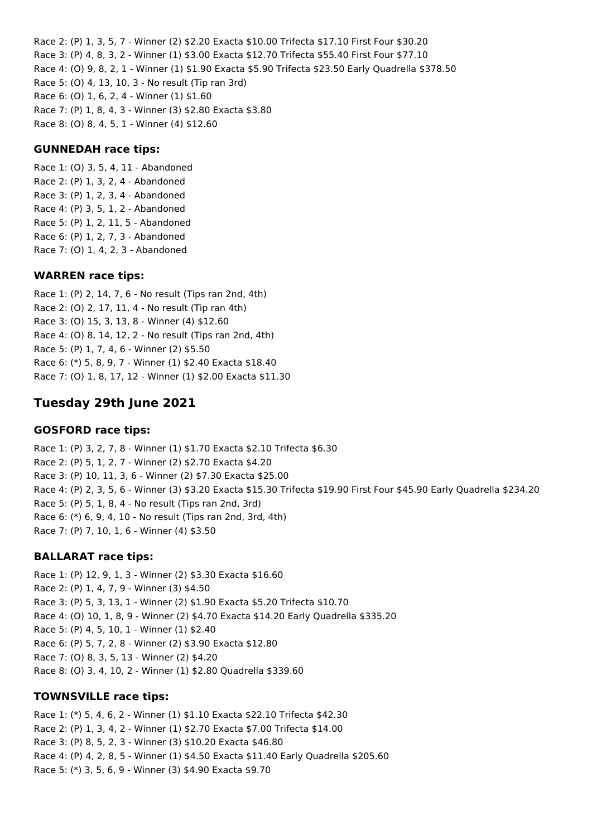Race 2: (P) 1, 3, 5, 7 - Winner (2) \$2.20 Exacta \$10.00 Trifecta \$17.10 First Four \$30.20 Race 3: (P) 4, 8, 3, 2 - Winner (1) \$3.00 Exacta \$12.70 Trifecta \$55.40 First Four \$77.10 Race 4: (O) 9, 8, 2, 1 - Winner (1) \$1.90 Exacta \$5.90 Trifecta \$23.50 Early Quadrella \$378.50 Race 5: (O) 4, 13, 10, 3 - No result (Tip ran 3rd) Race 6: (O) 1, 6, 2, 4 - Winner (1) \$1.60 Race 7: (P) 1, 8, 4, 3 - Winner (3) \$2.80 Exacta \$3.80 Race 8: (O) 8, 4, 5, 1 - Winner (4) \$12.60

#### **GUNNEDAH race tips:**

Race 1: (O) 3, 5, 4, 11 - Abandoned Race 2: (P) 1, 3, 2, 4 - Abandoned Race 3: (P) 1, 2, 3, 4 - Abandoned Race 4: (P) 3, 5, 1, 2 - Abandoned Race 5: (P) 1, 2, 11, 5 - Abandoned Race 6: (P) 1, 2, 7, 3 - Abandoned Race 7: (O) 1, 4, 2, 3 - Abandoned

#### **WARREN race tips:**

Race 1: (P) 2, 14, 7, 6 - No result (Tips ran 2nd, 4th) Race 2: (O) 2, 17, 11, 4 - No result (Tip ran 4th) Race 3: (O) 15, 3, 13, 8 - Winner (4) \$12.60 Race 4: (O) 8, 14, 12, 2 - No result (Tips ran 2nd, 4th) Race 5: (P) 1, 7, 4, 6 - Winner (2) \$5.50 Race 6: (\*) 5, 8, 9, 7 - Winner (1) \$2.40 Exacta \$18.40 Race 7: (O) 1, 8, 17, 12 - Winner (1) \$2.00 Exacta \$11.30

# **Tuesday 29th June 2021**

#### **GOSFORD race tips:**

Race 1: (P) 3, 2, 7, 8 - Winner (1) \$1.70 Exacta \$2.10 Trifecta \$6.30 Race 2: (P) 5, 1, 2, 7 - Winner (2) \$2.70 Exacta \$4.20 Race 3: (P) 10, 11, 3, 6 - Winner (2) \$7.30 Exacta \$25.00 Race 4: (P) 2, 3, 5, 6 - Winner (3) \$3.20 Exacta \$15.30 Trifecta \$19.90 First Four \$45.90 Early Quadrella \$234.20 Race 5: (P) 5, 1, 8, 4 - No result (Tips ran 2nd, 3rd) Race 6: (\*) 6, 9, 4, 10 - No result (Tips ran 2nd, 3rd, 4th) Race 7: (P) 7, 10, 1, 6 - Winner (4) \$3.50

#### **BALLARAT race tips:**

Race 1: (P) 12, 9, 1, 3 - Winner (2) \$3.30 Exacta \$16.60 Race 2: (P) 1, 4, 7, 9 - Winner (3) \$4.50 Race 3: (P) 5, 3, 13, 1 - Winner (2) \$1.90 Exacta \$5.20 Trifecta \$10.70 Race 4: (O) 10, 1, 8, 9 - Winner (2) \$4.70 Exacta \$14.20 Early Quadrella \$335.20 Race 5: (P) 4, 5, 10, 1 - Winner (1) \$2.40 Race 6: (P) 5, 7, 2, 8 - Winner (2) \$3.90 Exacta \$12.80 Race 7: (O) 8, 3, 5, 13 - Winner (2) \$4.20 Race 8: (O) 3, 4, 10, 2 - Winner (1) \$2.80 Quadrella \$339.60

#### **TOWNSVILLE race tips:**

Race 1: (\*) 5, 4, 6, 2 - Winner (1) \$1.10 Exacta \$22.10 Trifecta \$42.30 Race 2: (P) 1, 3, 4, 2 - Winner (1) \$2.70 Exacta \$7.00 Trifecta \$14.00 Race 3: (P) 8, 5, 2, 3 - Winner (3) \$10.20 Exacta \$46.80 Race 4: (P) 4, 2, 8, 5 - Winner (1) \$4.50 Exacta \$11.40 Early Quadrella \$205.60 Race 5: (\*) 3, 5, 6, 9 - Winner (3) \$4.90 Exacta \$9.70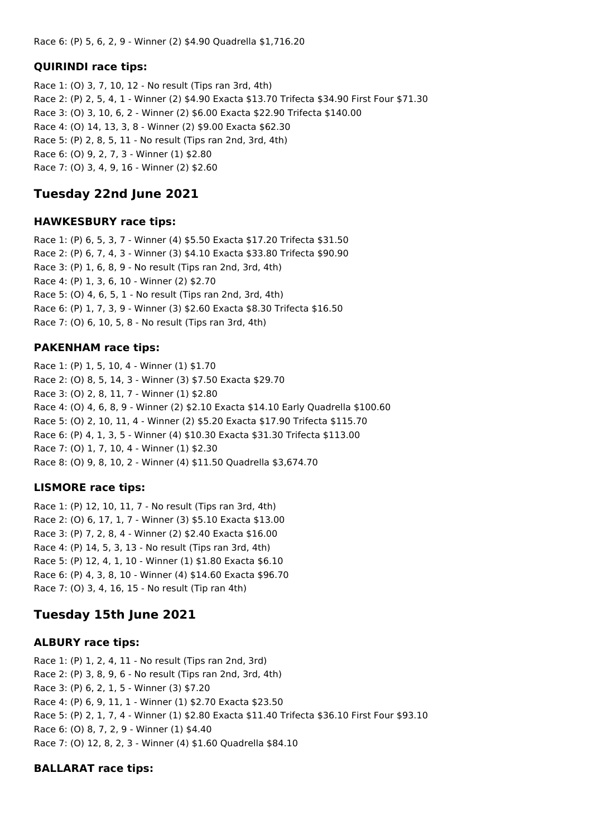## **QUIRINDI race tips:**

Race 1: (O) 3, 7, 10, 12 - No result (Tips ran 3rd, 4th) Race 2: (P) 2, 5, 4, 1 - Winner (2) \$4.90 Exacta \$13.70 Trifecta \$34.90 First Four \$71.30 Race 3: (O) 3, 10, 6, 2 - Winner (2) \$6.00 Exacta \$22.90 Trifecta \$140.00 Race 4: (O) 14, 13, 3, 8 - Winner (2) \$9.00 Exacta \$62.30 Race 5: (P) 2, 8, 5, 11 - No result (Tips ran 2nd, 3rd, 4th) Race 6: (O) 9, 2, 7, 3 - Winner (1) \$2.80 Race 7: (O) 3, 4, 9, 16 - Winner (2) \$2.60

# **Tuesday 22nd June 2021**

#### **HAWKESBURY race tips:**

Race 1: (P) 6, 5, 3, 7 - Winner (4) \$5.50 Exacta \$17.20 Trifecta \$31.50 Race 2: (P) 6, 7, 4, 3 - Winner (3) \$4.10 Exacta \$33.80 Trifecta \$90.90 Race 3: (P) 1, 6, 8, 9 - No result (Tips ran 2nd, 3rd, 4th) Race 4: (P) 1, 3, 6, 10 - Winner (2) \$2.70 Race 5: (O) 4, 6, 5, 1 - No result (Tips ran 2nd, 3rd, 4th) Race 6: (P) 1, 7, 3, 9 - Winner (3) \$2.60 Exacta \$8.30 Trifecta \$16.50 Race 7: (O) 6, 10, 5, 8 - No result (Tips ran 3rd, 4th)

### **PAKENHAM race tips:**

Race 1: (P) 1, 5, 10, 4 - Winner (1) \$1.70 Race 2: (O) 8, 5, 14, 3 - Winner (3) \$7.50 Exacta \$29.70 Race 3: (O) 2, 8, 11, 7 - Winner (1) \$2.80 Race 4: (O) 4, 6, 8, 9 - Winner (2) \$2.10 Exacta \$14.10 Early Quadrella \$100.60 Race 5: (O) 2, 10, 11, 4 - Winner (2) \$5.20 Exacta \$17.90 Trifecta \$115.70 Race 6: (P) 4, 1, 3, 5 - Winner (4) \$10.30 Exacta \$31.30 Trifecta \$113.00 Race 7: (O) 1, 7, 10, 4 - Winner (1) \$2.30 Race 8: (O) 9, 8, 10, 2 - Winner (4) \$11.50 Quadrella \$3,674.70

### **LISMORE race tips:**

Race 1: (P) 12, 10, 11, 7 - No result (Tips ran 3rd, 4th) Race 2: (O) 6, 17, 1, 7 - Winner (3) \$5.10 Exacta \$13.00 Race 3: (P) 7, 2, 8, 4 - Winner (2) \$2.40 Exacta \$16.00 Race 4: (P) 14, 5, 3, 13 - No result (Tips ran 3rd, 4th) Race 5: (P) 12, 4, 1, 10 - Winner (1) \$1.80 Exacta \$6.10 Race 6: (P) 4, 3, 8, 10 - Winner (4) \$14.60 Exacta \$96.70 Race 7: (O) 3, 4, 16, 15 - No result (Tip ran 4th)

# **Tuesday 15th June 2021**

### **ALBURY race tips:**

Race 1: (P) 1, 2, 4, 11 - No result (Tips ran 2nd, 3rd) Race 2: (P) 3, 8, 9, 6 - No result (Tips ran 2nd, 3rd, 4th) Race 3: (P) 6, 2, 1, 5 - Winner (3) \$7.20 Race 4: (P) 6, 9, 11, 1 - Winner (1) \$2.70 Exacta \$23.50 Race 5: (P) 2, 1, 7, 4 - Winner (1) \$2.80 Exacta \$11.40 Trifecta \$36.10 First Four \$93.10 Race 6: (O) 8, 7, 2, 9 - Winner (1) \$4.40 Race 7: (O) 12, 8, 2, 3 - Winner (4) \$1.60 Quadrella \$84.10

### **BALLARAT race tips:**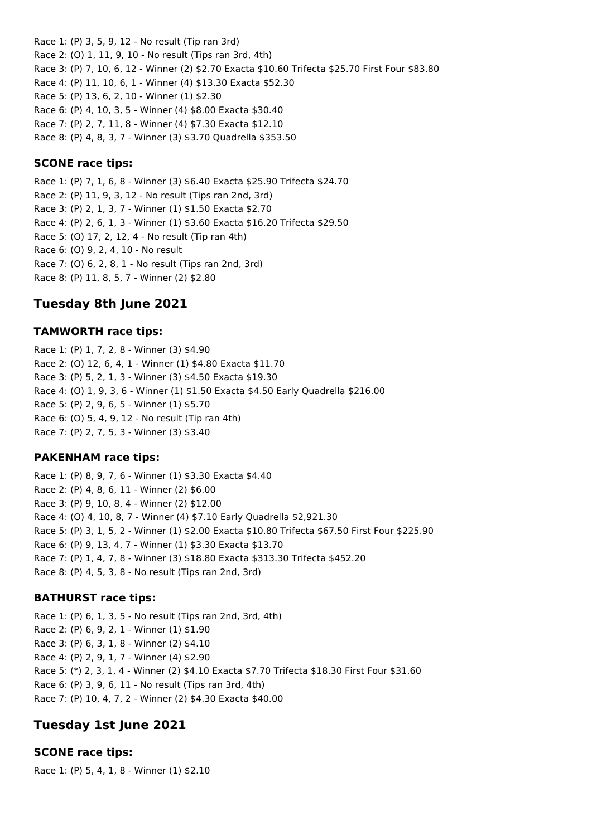Race 1: (P) 3, 5, 9, 12 - No result (Tip ran 3rd) Race 2: (O) 1, 11, 9, 10 - No result (Tips ran 3rd, 4th) Race 3: (P) 7, 10, 6, 12 - Winner (2) \$2.70 Exacta \$10.60 Trifecta \$25.70 First Four \$83.80 Race 4: (P) 11, 10, 6, 1 - Winner (4) \$13.30 Exacta \$52.30 Race 5: (P) 13, 6, 2, 10 - Winner (1) \$2.30 Race 6: (P) 4, 10, 3, 5 - Winner (4) \$8.00 Exacta \$30.40 Race 7: (P) 2, 7, 11, 8 - Winner (4) \$7.30 Exacta \$12.10

Race 8: (P) 4, 8, 3, 7 - Winner (3) \$3.70 Quadrella \$353.50

### **SCONE race tips:**

Race 1: (P) 7, 1, 6, 8 - Winner (3) \$6.40 Exacta \$25.90 Trifecta \$24.70 Race 2: (P) 11, 9, 3, 12 - No result (Tips ran 2nd, 3rd) Race 3: (P) 2, 1, 3, 7 - Winner (1) \$1.50 Exacta \$2.70 Race 4: (P) 2, 6, 1, 3 - Winner (1) \$3.60 Exacta \$16.20 Trifecta \$29.50 Race 5: (O) 17, 2, 12, 4 - No result (Tip ran 4th) Race 6: (O) 9, 2, 4, 10 - No result Race 7: (O) 6, 2, 8, 1 - No result (Tips ran 2nd, 3rd) Race 8: (P) 11, 8, 5, 7 - Winner (2) \$2.80

# **Tuesday 8th June 2021**

#### **TAMWORTH race tips:**

Race 1: (P) 1, 7, 2, 8 - Winner (3) \$4.90 Race 2: (O) 12, 6, 4, 1 - Winner (1) \$4.80 Exacta \$11.70 Race 3: (P) 5, 2, 1, 3 - Winner (3) \$4.50 Exacta \$19.30 Race 4: (O) 1, 9, 3, 6 - Winner (1) \$1.50 Exacta \$4.50 Early Quadrella \$216.00 Race 5: (P) 2, 9, 6, 5 - Winner (1) \$5.70 Race 6: (O) 5, 4, 9, 12 - No result (Tip ran 4th) Race 7: (P) 2, 7, 5, 3 - Winner (3) \$3.40

#### **PAKENHAM race tips:**

Race 1: (P) 8, 9, 7, 6 - Winner (1) \$3.30 Exacta \$4.40 Race 2: (P) 4, 8, 6, 11 - Winner (2) \$6.00 Race 3: (P) 9, 10, 8, 4 - Winner (2) \$12.00 Race 4: (O) 4, 10, 8, 7 - Winner (4) \$7.10 Early Quadrella \$2,921.30 Race 5: (P) 3, 1, 5, 2 - Winner (1) \$2.00 Exacta \$10.80 Trifecta \$67.50 First Four \$225.90 Race 6: (P) 9, 13, 4, 7 - Winner (1) \$3.30 Exacta \$13.70 Race 7: (P) 1, 4, 7, 8 - Winner (3) \$18.80 Exacta \$313.30 Trifecta \$452.20 Race 8: (P) 4, 5, 3, 8 - No result (Tips ran 2nd, 3rd)

### **BATHURST race tips:**

Race 1: (P) 6, 1, 3, 5 - No result (Tips ran 2nd, 3rd, 4th) Race 2: (P) 6, 9, 2, 1 - Winner (1) \$1.90 Race 3: (P) 6, 3, 1, 8 - Winner (2) \$4.10 Race 4: (P) 2, 9, 1, 7 - Winner (4) \$2.90 Race 5: (\*) 2, 3, 1, 4 - Winner (2) \$4.10 Exacta \$7.70 Trifecta \$18.30 First Four \$31.60 Race 6: (P) 3, 9, 6, 11 - No result (Tips ran 3rd, 4th) Race 7: (P) 10, 4, 7, 2 - Winner (2) \$4.30 Exacta \$40.00

# **Tuesday 1st June 2021**

### **SCONE race tips:**

Race 1: (P) 5, 4, 1, 8 - Winner (1) \$2.10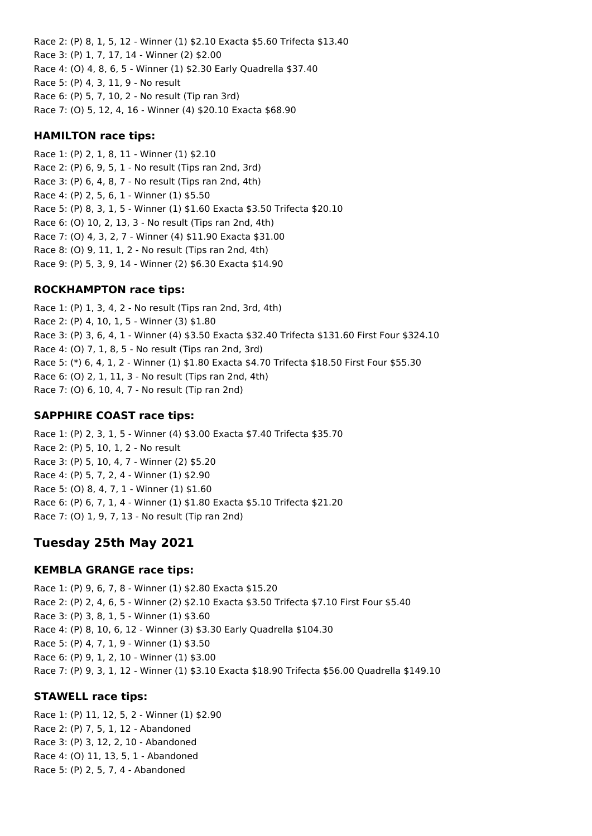Race 2: (P) 8, 1, 5, 12 - Winner (1) \$2.10 Exacta \$5.60 Trifecta \$13.40 Race 3: (P) 1, 7, 17, 14 - Winner (2) \$2.00 Race 4: (O) 4, 8, 6, 5 - Winner (1) \$2.30 Early Quadrella \$37.40 Race 5: (P) 4, 3, 11, 9 - No result Race 6: (P) 5, 7, 10, 2 - No result (Tip ran 3rd) Race 7: (O) 5, 12, 4, 16 - Winner (4) \$20.10 Exacta \$68.90

#### **HAMILTON race tips:**

Race 1: (P) 2, 1, 8, 11 - Winner (1) \$2.10 Race 2: (P) 6, 9, 5, 1 - No result (Tips ran 2nd, 3rd) Race 3: (P) 6, 4, 8, 7 - No result (Tips ran 2nd, 4th) Race 4: (P) 2, 5, 6, 1 - Winner (1) \$5.50 Race 5: (P) 8, 3, 1, 5 - Winner (1) \$1.60 Exacta \$3.50 Trifecta \$20.10 Race 6: (O) 10, 2, 13, 3 - No result (Tips ran 2nd, 4th) Race 7: (O) 4, 3, 2, 7 - Winner (4) \$11.90 Exacta \$31.00 Race 8: (O) 9, 11, 1, 2 - No result (Tips ran 2nd, 4th) Race 9: (P) 5, 3, 9, 14 - Winner (2) \$6.30 Exacta \$14.90

#### **ROCKHAMPTON race tips:**

Race 1: (P) 1, 3, 4, 2 - No result (Tips ran 2nd, 3rd, 4th) Race 2: (P) 4, 10, 1, 5 - Winner (3) \$1.80 Race 3: (P) 3, 6, 4, 1 - Winner (4) \$3.50 Exacta \$32.40 Trifecta \$131.60 First Four \$324.10 Race 4: (O) 7, 1, 8, 5 - No result (Tips ran 2nd, 3rd) Race 5: (\*) 6, 4, 1, 2 - Winner (1) \$1.80 Exacta \$4.70 Trifecta \$18.50 First Four \$55.30 Race 6: (O) 2, 1, 11, 3 - No result (Tips ran 2nd, 4th) Race 7: (O) 6, 10, 4, 7 - No result (Tip ran 2nd)

#### **SAPPHIRE COAST race tips:**

Race 1: (P) 2, 3, 1, 5 - Winner (4) \$3.00 Exacta \$7.40 Trifecta \$35.70 Race 2: (P) 5, 10, 1, 2 - No result Race 3: (P) 5, 10, 4, 7 - Winner (2) \$5.20 Race 4: (P) 5, 7, 2, 4 - Winner (1) \$2.90 Race 5: (O) 8, 4, 7, 1 - Winner (1) \$1.60 Race 6: (P) 6, 7, 1, 4 - Winner (1) \$1.80 Exacta \$5.10 Trifecta \$21.20 Race 7: (O) 1, 9, 7, 13 - No result (Tip ran 2nd)

# **Tuesday 25th May 2021**

#### **KEMBLA GRANGE race tips:**

Race 1: (P) 9, 6, 7, 8 - Winner (1) \$2.80 Exacta \$15.20 Race 2: (P) 2, 4, 6, 5 - Winner (2) \$2.10 Exacta \$3.50 Trifecta \$7.10 First Four \$5.40 Race 3: (P) 3, 8, 1, 5 - Winner (1) \$3.60 Race 4: (P) 8, 10, 6, 12 - Winner (3) \$3.30 Early Quadrella \$104.30 Race 5: (P) 4, 7, 1, 9 - Winner (1) \$3.50 Race 6: (P) 9, 1, 2, 10 - Winner (1) \$3.00 Race 7: (P) 9, 3, 1, 12 - Winner (1) \$3.10 Exacta \$18.90 Trifecta \$56.00 Quadrella \$149.10

#### **STAWELL race tips:**

Race 1: (P) 11, 12, 5, 2 - Winner (1) \$2.90 Race 2: (P) 7, 5, 1, 12 - Abandoned Race 3: (P) 3, 12, 2, 10 - Abandoned Race 4: (O) 11, 13, 5, 1 - Abandoned Race 5: (P) 2, 5, 7, 4 - Abandoned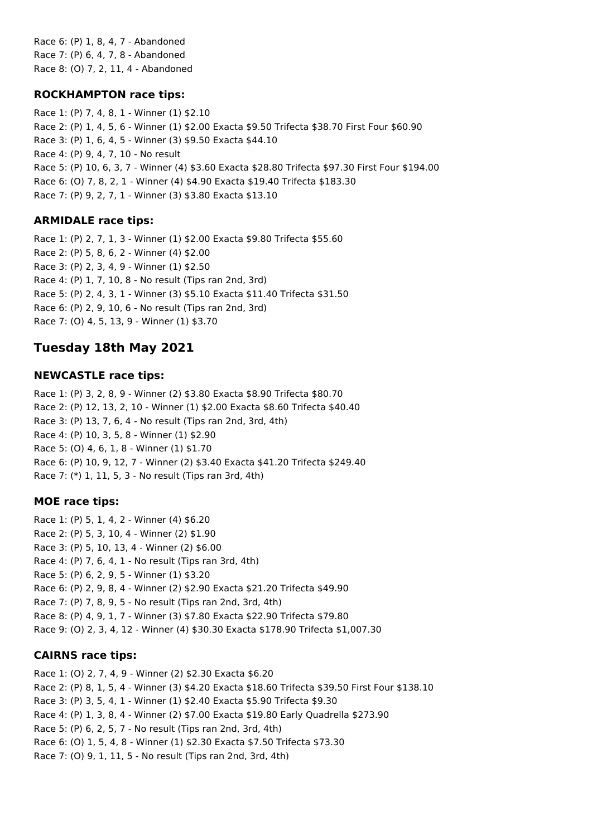Race 6: (P) 1, 8, 4, 7 - Abandoned Race 7: (P) 6, 4, 7, 8 - Abandoned Race 8: (O) 7, 2, 11, 4 - Abandoned

### **ROCKHAMPTON race tips:**

Race 1: (P) 7, 4, 8, 1 - Winner (1) \$2.10 Race 2: (P) 1, 4, 5, 6 - Winner (1) \$2.00 Exacta \$9.50 Trifecta \$38.70 First Four \$60.90 Race 3: (P) 1, 6, 4, 5 - Winner (3) \$9.50 Exacta \$44.10 Race 4: (P) 9, 4, 7, 10 - No result Race 5: (P) 10, 6, 3, 7 - Winner (4) \$3.60 Exacta \$28.80 Trifecta \$97.30 First Four \$194.00 Race 6: (O) 7, 8, 2, 1 - Winner (4) \$4.90 Exacta \$19.40 Trifecta \$183.30 Race 7: (P) 9, 2, 7, 1 - Winner (3) \$3.80 Exacta \$13.10

# **ARMIDALE race tips:**

Race 1: (P) 2, 7, 1, 3 - Winner (1) \$2.00 Exacta \$9.80 Trifecta \$55.60 Race 2: (P) 5, 8, 6, 2 - Winner (4) \$2.00 Race 3: (P) 2, 3, 4, 9 - Winner (1) \$2.50 Race 4: (P) 1, 7, 10, 8 - No result (Tips ran 2nd, 3rd) Race 5: (P) 2, 4, 3, 1 - Winner (3) \$5.10 Exacta \$11.40 Trifecta \$31.50 Race 6: (P) 2, 9, 10, 6 - No result (Tips ran 2nd, 3rd) Race 7: (O) 4, 5, 13, 9 - Winner (1) \$3.70

# **Tuesday 18th May 2021**

## **NEWCASTLE race tips:**

Race 1: (P) 3, 2, 8, 9 - Winner (2) \$3.80 Exacta \$8.90 Trifecta \$80.70 Race 2: (P) 12, 13, 2, 10 - Winner (1) \$2.00 Exacta \$8.60 Trifecta \$40.40 Race 3: (P) 13, 7, 6, 4 - No result (Tips ran 2nd, 3rd, 4th) Race 4: (P) 10, 3, 5, 8 - Winner (1) \$2.90 Race 5: (O) 4, 6, 1, 8 - Winner (1) \$1.70 Race 6: (P) 10, 9, 12, 7 - Winner (2) \$3.40 Exacta \$41.20 Trifecta \$249.40 Race 7: (\*) 1, 11, 5, 3 - No result (Tips ran 3rd, 4th)

### **MOE race tips:**

Race 1: (P) 5, 1, 4, 2 - Winner (4) \$6.20 Race 2: (P) 5, 3, 10, 4 - Winner (2) \$1.90 Race 3: (P) 5, 10, 13, 4 - Winner (2) \$6.00 Race 4: (P) 7, 6, 4, 1 - No result (Tips ran 3rd, 4th) Race 5: (P) 6, 2, 9, 5 - Winner (1) \$3.20 Race 6: (P) 2, 9, 8, 4 - Winner (2) \$2.90 Exacta \$21.20 Trifecta \$49.90 Race 7: (P) 7, 8, 9, 5 - No result (Tips ran 2nd, 3rd, 4th) Race 8: (P) 4, 9, 1, 7 - Winner (3) \$7.80 Exacta \$22.90 Trifecta \$79.80 Race 9: (O) 2, 3, 4, 12 - Winner (4) \$30.30 Exacta \$178.90 Trifecta \$1,007.30

# **CAIRNS race tips:**

Race 1: (O) 2, 7, 4, 9 - Winner (2) \$2.30 Exacta \$6.20 Race 2: (P) 8, 1, 5, 4 - Winner (3) \$4.20 Exacta \$18.60 Trifecta \$39.50 First Four \$138.10 Race 3: (P) 3, 5, 4, 1 - Winner (1) \$2.40 Exacta \$5.90 Trifecta \$9.30 Race 4: (P) 1, 3, 8, 4 - Winner (2) \$7.00 Exacta \$19.80 Early Quadrella \$273.90 Race 5: (P) 6, 2, 5, 7 - No result (Tips ran 2nd, 3rd, 4th) Race 6: (O) 1, 5, 4, 8 - Winner (1) \$2.30 Exacta \$7.50 Trifecta \$73.30 Race 7: (O) 9, 1, 11, 5 - No result (Tips ran 2nd, 3rd, 4th)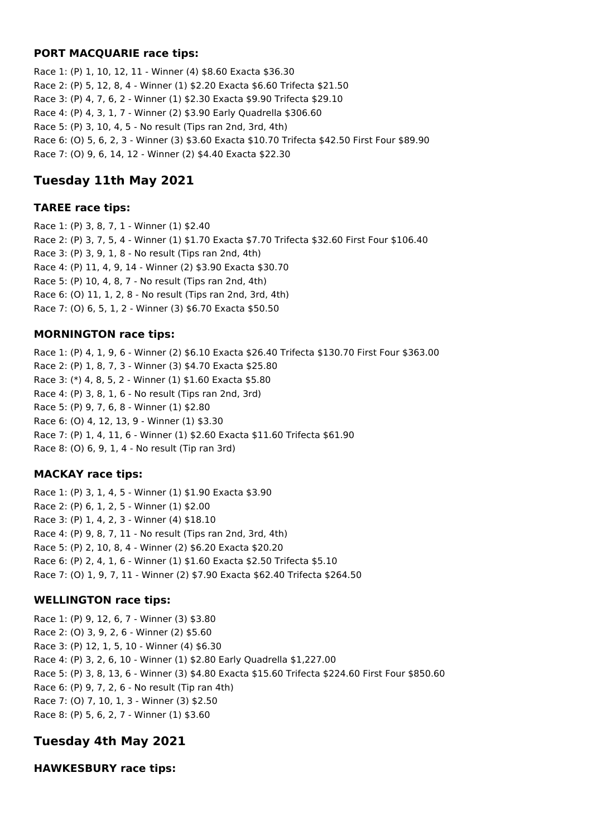#### **PORT MACQUARIE race tips:**

Race 1: (P) 1, 10, 12, 11 - Winner (4) \$8.60 Exacta \$36.30 Race 2: (P) 5, 12, 8, 4 - Winner (1) \$2.20 Exacta \$6.60 Trifecta \$21.50 Race 3: (P) 4, 7, 6, 2 - Winner (1) \$2.30 Exacta \$9.90 Trifecta \$29.10 Race 4: (P) 4, 3, 1, 7 - Winner (2) \$3.90 Early Quadrella \$306.60 Race 5: (P) 3, 10, 4, 5 - No result (Tips ran 2nd, 3rd, 4th) Race 6: (O) 5, 6, 2, 3 - Winner (3) \$3.60 Exacta \$10.70 Trifecta \$42.50 First Four \$89.90 Race 7: (O) 9, 6, 14, 12 - Winner (2) \$4.40 Exacta \$22.30

# **Tuesday 11th May 2021**

#### **TAREE race tips:**

Race 1: (P) 3, 8, 7, 1 - Winner (1) \$2.40 Race 2: (P) 3, 7, 5, 4 - Winner (1) \$1.70 Exacta \$7.70 Trifecta \$32.60 First Four \$106.40 Race 3: (P) 3, 9, 1, 8 - No result (Tips ran 2nd, 4th) Race 4: (P) 11, 4, 9, 14 - Winner (2) \$3.90 Exacta \$30.70 Race 5: (P) 10, 4, 8, 7 - No result (Tips ran 2nd, 4th) Race 6: (O) 11, 1, 2, 8 - No result (Tips ran 2nd, 3rd, 4th) Race 7: (O) 6, 5, 1, 2 - Winner (3) \$6.70 Exacta \$50.50

### **MORNINGTON race tips:**

Race 1: (P) 4, 1, 9, 6 - Winner (2) \$6.10 Exacta \$26.40 Trifecta \$130.70 First Four \$363.00 Race 2: (P) 1, 8, 7, 3 - Winner (3) \$4.70 Exacta \$25.80 Race 3: (\*) 4, 8, 5, 2 - Winner (1) \$1.60 Exacta \$5.80 Race 4: (P) 3, 8, 1, 6 - No result (Tips ran 2nd, 3rd) Race 5: (P) 9, 7, 6, 8 - Winner (1) \$2.80 Race 6: (O) 4, 12, 13, 9 - Winner (1) \$3.30 Race 7: (P) 1, 4, 11, 6 - Winner (1) \$2.60 Exacta \$11.60 Trifecta \$61.90 Race 8: (O) 6, 9, 1, 4 - No result (Tip ran 3rd)

# **MACKAY race tips:**

Race 1: (P) 3, 1, 4, 5 - Winner (1) \$1.90 Exacta \$3.90 Race 2: (P) 6, 1, 2, 5 - Winner (1) \$2.00 Race 3: (P) 1, 4, 2, 3 - Winner (4) \$18.10 Race 4: (P) 9, 8, 7, 11 - No result (Tips ran 2nd, 3rd, 4th) Race 5: (P) 2, 10, 8, 4 - Winner (2) \$6.20 Exacta \$20.20 Race 6: (P) 2, 4, 1, 6 - Winner (1) \$1.60 Exacta \$2.50 Trifecta \$5.10 Race 7: (O) 1, 9, 7, 11 - Winner (2) \$7.90 Exacta \$62.40 Trifecta \$264.50

### **WELLINGTON race tips:**

Race 1: (P) 9, 12, 6, 7 - Winner (3) \$3.80 Race 2: (O) 3, 9, 2, 6 - Winner (2) \$5.60 Race 3: (P) 12, 1, 5, 10 - Winner (4) \$6.30 Race 4: (P) 3, 2, 6, 10 - Winner (1) \$2.80 Early Quadrella \$1,227.00 Race 5: (P) 3, 8, 13, 6 - Winner (3) \$4.80 Exacta \$15.60 Trifecta \$224.60 First Four \$850.60 Race 6: (P) 9, 7, 2, 6 - No result (Tip ran 4th) Race 7: (O) 7, 10, 1, 3 - Winner (3) \$2.50 Race 8: (P) 5, 6, 2, 7 - Winner (1) \$3.60

# **Tuesday 4th May 2021**

**HAWKESBURY race tips:**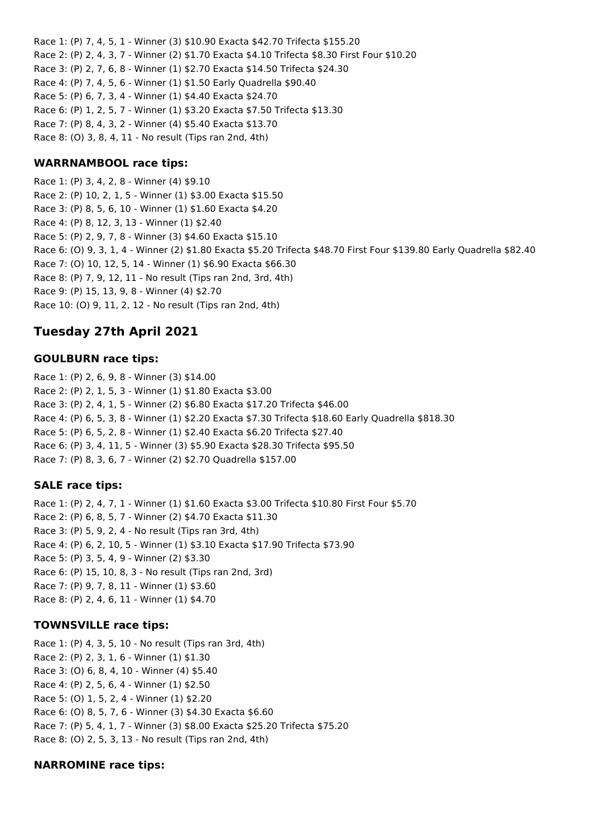Race 1: (P) 7, 4, 5, 1 - Winner (3) \$10.90 Exacta \$42.70 Trifecta \$155.20 Race 2: (P) 2, 4, 3, 7 - Winner (2) \$1.70 Exacta \$4.10 Trifecta \$8.30 First Four \$10.20 Race 3: (P) 2, 7, 6, 8 - Winner (1) \$2.70 Exacta \$14.50 Trifecta \$24.30 Race 4: (P) 7, 4, 5, 6 - Winner (1) \$1.50 Early Quadrella \$90.40 Race 5: (P) 6, 7, 3, 4 - Winner (1) \$4.40 Exacta \$24.70 Race 6: (P) 1, 2, 5, 7 - Winner (1) \$3.20 Exacta \$7.50 Trifecta \$13.30 Race 7: (P) 8, 4, 3, 2 - Winner (4) \$5.40 Exacta \$13.70 Race 8: (O) 3, 8, 4, 11 - No result (Tips ran 2nd, 4th)

#### **WARRNAMBOOL race tips:**

Race 1: (P) 3, 4, 2, 8 - Winner (4) \$9.10 Race 2: (P) 10, 2, 1, 5 - Winner (1) \$3.00 Exacta \$15.50 Race 3: (P) 8, 5, 6, 10 - Winner (1) \$1.60 Exacta \$4.20 Race 4: (P) 8, 12, 3, 13 - Winner (1) \$2.40 Race 5: (P) 2, 9, 7, 8 - Winner (3) \$4.60 Exacta \$15.10 Race 6: (O) 9, 3, 1, 4 - Winner (2) \$1.80 Exacta \$5.20 Trifecta \$48.70 First Four \$139.80 Early Quadrella \$82.40 Race 7: (O) 10, 12, 5, 14 - Winner (1) \$6.90 Exacta \$66.30 Race 8: (P) 7, 9, 12, 11 - No result (Tips ran 2nd, 3rd, 4th) Race 9: (P) 15, 13, 9, 8 - Winner (4) \$2.70 Race 10: (O) 9, 11, 2, 12 - No result (Tips ran 2nd, 4th)

# **Tuesday 27th April 2021**

#### **GOULBURN race tips:**

Race 1: (P) 2, 6, 9, 8 - Winner (3) \$14.00 Race 2: (P) 2, 1, 5, 3 - Winner (1) \$1.80 Exacta \$3.00 Race 3: (P) 2, 4, 1, 5 - Winner (2) \$6.80 Exacta \$17.20 Trifecta \$46.00 Race 4: (P) 6, 5, 3, 8 - Winner (1) \$2.20 Exacta \$7.30 Trifecta \$18.60 Early Quadrella \$818.30 Race 5: (P) 6, 5, 2, 8 - Winner (1) \$2.40 Exacta \$6.20 Trifecta \$27.40 Race 6: (P) 3, 4, 11, 5 - Winner (3) \$5.90 Exacta \$28.30 Trifecta \$95.50 Race 7: (P) 8, 3, 6, 7 - Winner (2) \$2.70 Quadrella \$157.00

#### **SALE race tips:**

Race 1: (P) 2, 4, 7, 1 - Winner (1) \$1.60 Exacta \$3.00 Trifecta \$10.80 First Four \$5.70 Race 2: (P) 6, 8, 5, 7 - Winner (2) \$4.70 Exacta \$11.30 Race 3: (P) 5, 9, 2, 4 - No result (Tips ran 3rd, 4th) Race 4: (P) 6, 2, 10, 5 - Winner (1) \$3.10 Exacta \$17.90 Trifecta \$73.90 Race 5: (P) 3, 5, 4, 9 - Winner (2) \$3.30 Race 6: (P) 15, 10, 8, 3 - No result (Tips ran 2nd, 3rd) Race 7: (P) 9, 7, 8, 11 - Winner (1) \$3.60 Race 8: (P) 2, 4, 6, 11 - Winner (1) \$4.70

#### **TOWNSVILLE race tips:**

Race 1: (P) 4, 3, 5, 10 - No result (Tips ran 3rd, 4th) Race 2: (P) 2, 3, 1, 6 - Winner (1) \$1.30 Race 3: (O) 6, 8, 4, 10 - Winner (4) \$5.40 Race 4: (P) 2, 5, 6, 4 - Winner (1) \$2.50 Race 5: (O) 1, 5, 2, 4 - Winner (1) \$2.20 Race 6: (O) 8, 5, 7, 6 - Winner (3) \$4.30 Exacta \$6.60 Race 7: (P) 5, 4, 1, 7 - Winner (3) \$8.00 Exacta \$25.20 Trifecta \$75.20 Race 8: (O) 2, 5, 3, 13 - No result (Tips ran 2nd, 4th)

#### **NARROMINE race tips:**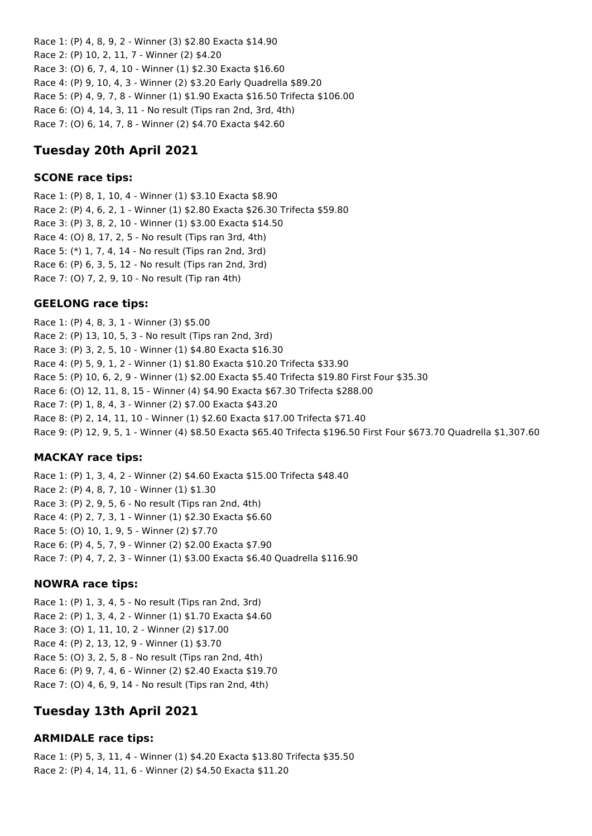Race 1: (P) 4, 8, 9, 2 - Winner (3) \$2.80 Exacta \$14.90 Race 2: (P) 10, 2, 11, 7 - Winner (2) \$4.20 Race 3: (O) 6, 7, 4, 10 - Winner (1) \$2.30 Exacta \$16.60 Race 4: (P) 9, 10, 4, 3 - Winner (2) \$3.20 Early Quadrella \$89.20 Race 5: (P) 4, 9, 7, 8 - Winner (1) \$1.90 Exacta \$16.50 Trifecta \$106.00 Race 6: (O) 4, 14, 3, 11 - No result (Tips ran 2nd, 3rd, 4th) Race 7: (O) 6, 14, 7, 8 - Winner (2) \$4.70 Exacta \$42.60

# **Tuesday 20th April 2021**

## **SCONE race tips:**

Race 1: (P) 8, 1, 10, 4 - Winner (1) \$3.10 Exacta \$8.90 Race 2: (P) 4, 6, 2, 1 - Winner (1) \$2.80 Exacta \$26.30 Trifecta \$59.80 Race 3: (P) 3, 8, 2, 10 - Winner (1) \$3.00 Exacta \$14.50 Race 4: (O) 8, 17, 2, 5 - No result (Tips ran 3rd, 4th) Race 5: (\*) 1, 7, 4, 14 - No result (Tips ran 2nd, 3rd) Race 6: (P) 6, 3, 5, 12 - No result (Tips ran 2nd, 3rd) Race 7: (O) 7, 2, 9, 10 - No result (Tip ran 4th)

# **GEELONG race tips:**

Race 1: (P) 4, 8, 3, 1 - Winner (3) \$5.00 Race 2: (P) 13, 10, 5, 3 - No result (Tips ran 2nd, 3rd) Race 3: (P) 3, 2, 5, 10 - Winner (1) \$4.80 Exacta \$16.30 Race 4: (P) 5, 9, 1, 2 - Winner (1) \$1.80 Exacta \$10.20 Trifecta \$33.90 Race 5: (P) 10, 6, 2, 9 - Winner (1) \$2.00 Exacta \$5.40 Trifecta \$19.80 First Four \$35.30 Race 6: (O) 12, 11, 8, 15 - Winner (4) \$4.90 Exacta \$67.30 Trifecta \$288.00 Race 7: (P) 1, 8, 4, 3 - Winner (2) \$7.00 Exacta \$43.20 Race 8: (P) 2, 14, 11, 10 - Winner (1) \$2.60 Exacta \$17.00 Trifecta \$71.40 Race 9: (P) 12, 9, 5, 1 - Winner (4) \$8.50 Exacta \$65.40 Trifecta \$196.50 First Four \$673.70 Quadrella \$1,307.60

# **MACKAY race tips:**

Race 1: (P) 1, 3, 4, 2 - Winner (2) \$4.60 Exacta \$15.00 Trifecta \$48.40 Race 2: (P) 4, 8, 7, 10 - Winner (1) \$1.30 Race 3: (P) 2, 9, 5, 6 - No result (Tips ran 2nd, 4th) Race 4: (P) 2, 7, 3, 1 - Winner (1) \$2.30 Exacta \$6.60 Race 5: (O) 10, 1, 9, 5 - Winner (2) \$7.70 Race 6: (P) 4, 5, 7, 9 - Winner (2) \$2.00 Exacta \$7.90 Race 7: (P) 4, 7, 2, 3 - Winner (1) \$3.00 Exacta \$6.40 Quadrella \$116.90

# **NOWRA race tips:**

Race 1: (P) 1, 3, 4, 5 - No result (Tips ran 2nd, 3rd) Race 2: (P) 1, 3, 4, 2 - Winner (1) \$1.70 Exacta \$4.60 Race 3: (O) 1, 11, 10, 2 - Winner (2) \$17.00 Race 4: (P) 2, 13, 12, 9 - Winner (1) \$3.70 Race 5: (O) 3, 2, 5, 8 - No result (Tips ran 2nd, 4th) Race 6: (P) 9, 7, 4, 6 - Winner (2) \$2.40 Exacta \$19.70 Race 7: (O) 4, 6, 9, 14 - No result (Tips ran 2nd, 4th)

# **Tuesday 13th April 2021**

### **ARMIDALE race tips:**

Race 1: (P) 5, 3, 11, 4 - Winner (1) \$4.20 Exacta \$13.80 Trifecta \$35.50 Race 2: (P) 4, 14, 11, 6 - Winner (2) \$4.50 Exacta \$11.20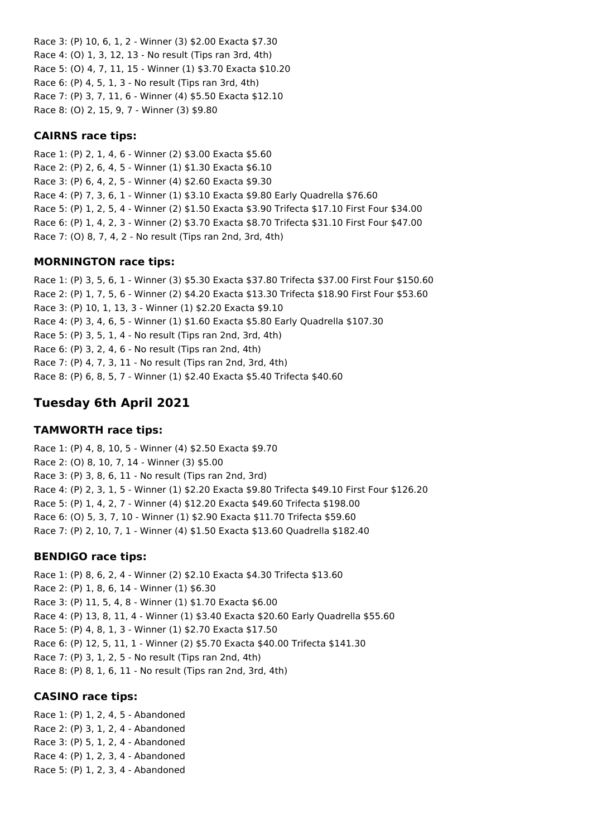Race 3: (P) 10, 6, 1, 2 - Winner (3) \$2.00 Exacta \$7.30 Race 4: (O) 1, 3, 12, 13 - No result (Tips ran 3rd, 4th) Race 5: (O) 4, 7, 11, 15 - Winner (1) \$3.70 Exacta \$10.20 Race 6: (P) 4, 5, 1, 3 - No result (Tips ran 3rd, 4th) Race 7: (P) 3, 7, 11, 6 - Winner (4) \$5.50 Exacta \$12.10 Race 8: (O) 2, 15, 9, 7 - Winner (3) \$9.80

### **CAIRNS race tips:**

Race 1: (P) 2, 1, 4, 6 - Winner (2) \$3.00 Exacta \$5.60 Race 2: (P) 2, 6, 4, 5 - Winner (1) \$1.30 Exacta \$6.10 Race 3: (P) 6, 4, 2, 5 - Winner (4) \$2.60 Exacta \$9.30 Race 4: (P) 7, 3, 6, 1 - Winner (1) \$3.10 Exacta \$9.80 Early Quadrella \$76.60 Race 5: (P) 1, 2, 5, 4 - Winner (2) \$1.50 Exacta \$3.90 Trifecta \$17.10 First Four \$34.00 Race 6: (P) 1, 4, 2, 3 - Winner (2) \$3.70 Exacta \$8.70 Trifecta \$31.10 First Four \$47.00 Race 7: (O) 8, 7, 4, 2 - No result (Tips ran 2nd, 3rd, 4th)

### **MORNINGTON race tips:**

Race 1: (P) 3, 5, 6, 1 - Winner (3) \$5.30 Exacta \$37.80 Trifecta \$37.00 First Four \$150.60 Race 2: (P) 1, 7, 5, 6 - Winner (2) \$4.20 Exacta \$13.30 Trifecta \$18.90 First Four \$53.60 Race 3: (P) 10, 1, 13, 3 - Winner (1) \$2.20 Exacta \$9.10 Race 4: (P) 3, 4, 6, 5 - Winner (1) \$1.60 Exacta \$5.80 Early Quadrella \$107.30 Race 5: (P) 3, 5, 1, 4 - No result (Tips ran 2nd, 3rd, 4th) Race 6: (P) 3, 2, 4, 6 - No result (Tips ran 2nd, 4th) Race 7: (P) 4, 7, 3, 11 - No result (Tips ran 2nd, 3rd, 4th) Race 8: (P) 6, 8, 5, 7 - Winner (1) \$2.40 Exacta \$5.40 Trifecta \$40.60

# **Tuesday 6th April 2021**

# **TAMWORTH race tips:**

Race 1: (P) 4, 8, 10, 5 - Winner (4) \$2.50 Exacta \$9.70 Race 2: (O) 8, 10, 7, 14 - Winner (3) \$5.00 Race 3: (P) 3, 8, 6, 11 - No result (Tips ran 2nd, 3rd) Race 4: (P) 2, 3, 1, 5 - Winner (1) \$2.20 Exacta \$9.80 Trifecta \$49.10 First Four \$126.20 Race 5: (P) 1, 4, 2, 7 - Winner (4) \$12.20 Exacta \$49.60 Trifecta \$198.00 Race 6: (O) 5, 3, 7, 10 - Winner (1) \$2.90 Exacta \$11.70 Trifecta \$59.60 Race 7: (P) 2, 10, 7, 1 - Winner (4) \$1.50 Exacta \$13.60 Quadrella \$182.40

# **BENDIGO race tips:**

Race 1: (P) 8, 6, 2, 4 - Winner (2) \$2.10 Exacta \$4.30 Trifecta \$13.60 Race 2: (P) 1, 8, 6, 14 - Winner (1) \$6.30 Race 3: (P) 11, 5, 4, 8 - Winner (1) \$1.70 Exacta \$6.00 Race 4: (P) 13, 8, 11, 4 - Winner (1) \$3.40 Exacta \$20.60 Early Quadrella \$55.60 Race 5: (P) 4, 8, 1, 3 - Winner (1) \$2.70 Exacta \$17.50 Race 6: (P) 12, 5, 11, 1 - Winner (2) \$5.70 Exacta \$40.00 Trifecta \$141.30 Race 7: (P) 3, 1, 2, 5 - No result (Tips ran 2nd, 4th) Race 8: (P) 8, 1, 6, 11 - No result (Tips ran 2nd, 3rd, 4th)

### **CASINO race tips:**

Race 1: (P) 1, 2, 4, 5 - Abandoned Race 2: (P) 3, 1, 2, 4 - Abandoned Race 3: (P) 5, 1, 2, 4 - Abandoned Race 4: (P) 1, 2, 3, 4 - Abandoned Race 5: (P) 1, 2, 3, 4 - Abandoned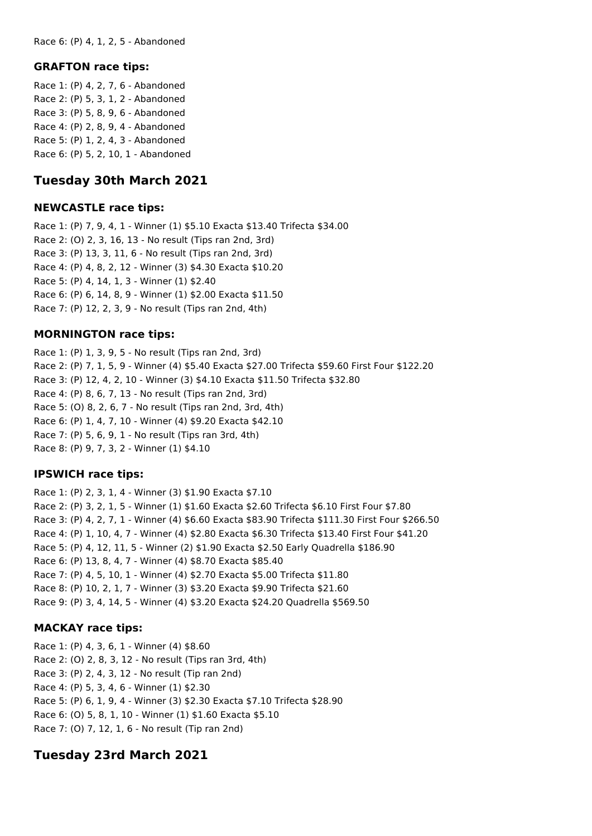Race 6: (P) 4, 1, 2, 5 - Abandoned

#### **GRAFTON race tips:**

Race 1: (P) 4, 2, 7, 6 - Abandoned Race 2: (P) 5, 3, 1, 2 - Abandoned Race 3: (P) 5, 8, 9, 6 - Abandoned Race 4: (P) 2, 8, 9, 4 - Abandoned Race 5: (P) 1, 2, 4, 3 - Abandoned Race 6: (P) 5, 2, 10, 1 - Abandoned

# **Tuesday 30th March 2021**

#### **NEWCASTLE race tips:**

Race 1: (P) 7, 9, 4, 1 - Winner (1) \$5.10 Exacta \$13.40 Trifecta \$34.00 Race 2: (O) 2, 3, 16, 13 - No result (Tips ran 2nd, 3rd) Race 3: (P) 13, 3, 11, 6 - No result (Tips ran 2nd, 3rd) Race 4: (P) 4, 8, 2, 12 - Winner (3) \$4.30 Exacta \$10.20 Race 5: (P) 4, 14, 1, 3 - Winner (1) \$2.40 Race 6: (P) 6, 14, 8, 9 - Winner (1) \$2.00 Exacta \$11.50 Race 7: (P) 12, 2, 3, 9 - No result (Tips ran 2nd, 4th)

#### **MORNINGTON race tips:**

Race 1: (P) 1, 3, 9, 5 - No result (Tips ran 2nd, 3rd) Race 2: (P) 7, 1, 5, 9 - Winner (4) \$5.40 Exacta \$27.00 Trifecta \$59.60 First Four \$122.20 Race 3: (P) 12, 4, 2, 10 - Winner (3) \$4.10 Exacta \$11.50 Trifecta \$32.80 Race 4: (P) 8, 6, 7, 13 - No result (Tips ran 2nd, 3rd) Race 5: (O) 8, 2, 6, 7 - No result (Tips ran 2nd, 3rd, 4th) Race 6: (P) 1, 4, 7, 10 - Winner (4) \$9.20 Exacta \$42.10 Race 7: (P) 5, 6, 9, 1 - No result (Tips ran 3rd, 4th) Race 8: (P) 9, 7, 3, 2 - Winner (1) \$4.10

#### **IPSWICH race tips:**

Race 1: (P) 2, 3, 1, 4 - Winner (3) \$1.90 Exacta \$7.10 Race 2: (P) 3, 2, 1, 5 - Winner (1) \$1.60 Exacta \$2.60 Trifecta \$6.10 First Four \$7.80 Race 3: (P) 4, 2, 7, 1 - Winner (4) \$6.60 Exacta \$83.90 Trifecta \$111.30 First Four \$266.50 Race 4: (P) 1, 10, 4, 7 - Winner (4) \$2.80 Exacta \$6.30 Trifecta \$13.40 First Four \$41.20 Race 5: (P) 4, 12, 11, 5 - Winner (2) \$1.90 Exacta \$2.50 Early Quadrella \$186.90 Race 6: (P) 13, 8, 4, 7 - Winner (4) \$8.70 Exacta \$85.40 Race 7: (P) 4, 5, 10, 1 - Winner (4) \$2.70 Exacta \$5.00 Trifecta \$11.80 Race 8: (P) 10, 2, 1, 7 - Winner (3) \$3.20 Exacta \$9.90 Trifecta \$21.60 Race 9: (P) 3, 4, 14, 5 - Winner (4) \$3.20 Exacta \$24.20 Quadrella \$569.50

### **MACKAY race tips:**

Race 1: (P) 4, 3, 6, 1 - Winner (4) \$8.60 Race 2: (O) 2, 8, 3, 12 - No result (Tips ran 3rd, 4th) Race 3: (P) 2, 4, 3, 12 - No result (Tip ran 2nd) Race 4: (P) 5, 3, 4, 6 - Winner (1) \$2.30 Race 5: (P) 6, 1, 9, 4 - Winner (3) \$2.30 Exacta \$7.10 Trifecta \$28.90 Race 6: (O) 5, 8, 1, 10 - Winner (1) \$1.60 Exacta \$5.10 Race 7: (O) 7, 12, 1, 6 - No result (Tip ran 2nd)

# **Tuesday 23rd March 2021**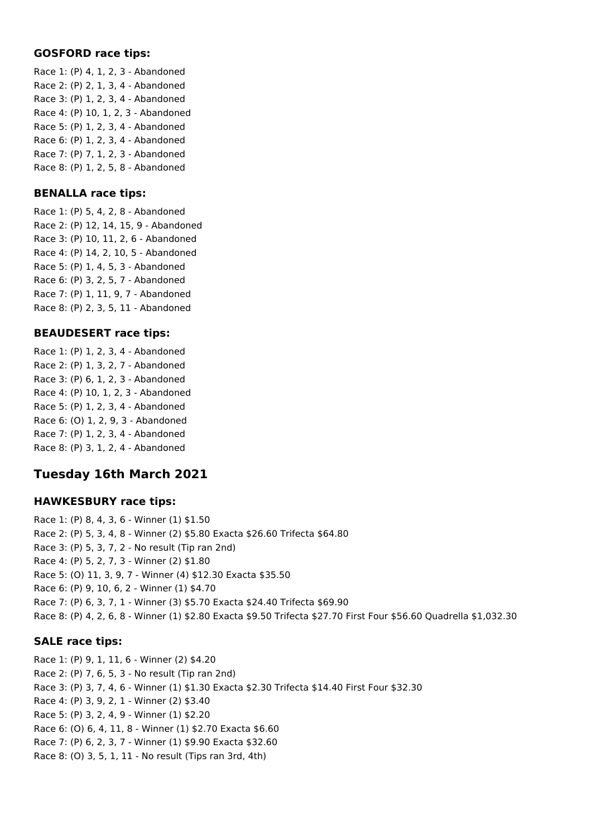#### **GOSFORD race tips:**

Race 1: (P) 4, 1, 2, 3 - Abandoned Race 2: (P) 2, 1, 3, 4 - Abandoned Race 3: (P) 1, 2, 3, 4 - Abandoned Race 4: (P) 10, 1, 2, 3 - Abandoned Race 5: (P) 1, 2, 3, 4 - Abandoned Race 6: (P) 1, 2, 3, 4 - Abandoned Race 7: (P) 7, 1, 2, 3 - Abandoned Race 8: (P) 1, 2, 5, 8 - Abandoned

#### **BENALLA race tips:**

Race 1: (P) 5, 4, 2, 8 - Abandoned Race 2: (P) 12, 14, 15, 9 - Abandoned Race 3: (P) 10, 11, 2, 6 - Abandoned Race 4: (P) 14, 2, 10, 5 - Abandoned Race 5: (P) 1, 4, 5, 3 - Abandoned Race 6: (P) 3, 2, 5, 7 - Abandoned Race 7: (P) 1, 11, 9, 7 - Abandoned Race 8: (P) 2, 3, 5, 11 - Abandoned

### **BEAUDESERT race tips:**

Race 1: (P) 1, 2, 3, 4 - Abandoned Race 2: (P) 1, 3, 2, 7 - Abandoned Race 3: (P) 6, 1, 2, 3 - Abandoned Race 4: (P) 10, 1, 2, 3 - Abandoned Race 5: (P) 1, 2, 3, 4 - Abandoned Race 6: (O) 1, 2, 9, 3 - Abandoned Race 7: (P) 1, 2, 3, 4 - Abandoned Race 8: (P) 3, 1, 2, 4 - Abandoned

# **Tuesday 16th March 2021**

#### **HAWKESBURY race tips:**

Race 1: (P) 8, 4, 3, 6 - Winner (1) \$1.50 Race 2: (P) 5, 3, 4, 8 - Winner (2) \$5.80 Exacta \$26.60 Trifecta \$64.80 Race 3: (P) 5, 3, 7, 2 - No result (Tip ran 2nd) Race 4: (P) 5, 2, 7, 3 - Winner (2) \$1.80 Race 5: (O) 11, 3, 9, 7 - Winner (4) \$12.30 Exacta \$35.50 Race 6: (P) 9, 10, 6, 2 - Winner (1) \$4.70 Race 7: (P) 6, 3, 7, 1 - Winner (3) \$5.70 Exacta \$24.40 Trifecta \$69.90 Race 8: (P) 4, 2, 6, 8 - Winner (1) \$2.80 Exacta \$9.50 Trifecta \$27.70 First Four \$56.60 Quadrella \$1,032.30

### **SALE race tips:**

Race 1: (P) 9, 1, 11, 6 - Winner (2) \$4.20 Race 2: (P) 7, 6, 5, 3 - No result (Tip ran 2nd) Race 3: (P) 3, 7, 4, 6 - Winner (1) \$1.30 Exacta \$2.30 Trifecta \$14.40 First Four \$32.30 Race 4: (P) 3, 9, 2, 1 - Winner (2) \$3.40 Race 5: (P) 3, 2, 4, 9 - Winner (1) \$2.20 Race 6: (O) 6, 4, 11, 8 - Winner (1) \$2.70 Exacta \$6.60 Race 7: (P) 6, 2, 3, 7 - Winner (1) \$9.90 Exacta \$32.60 Race 8: (O) 3, 5, 1, 11 - No result (Tips ran 3rd, 4th)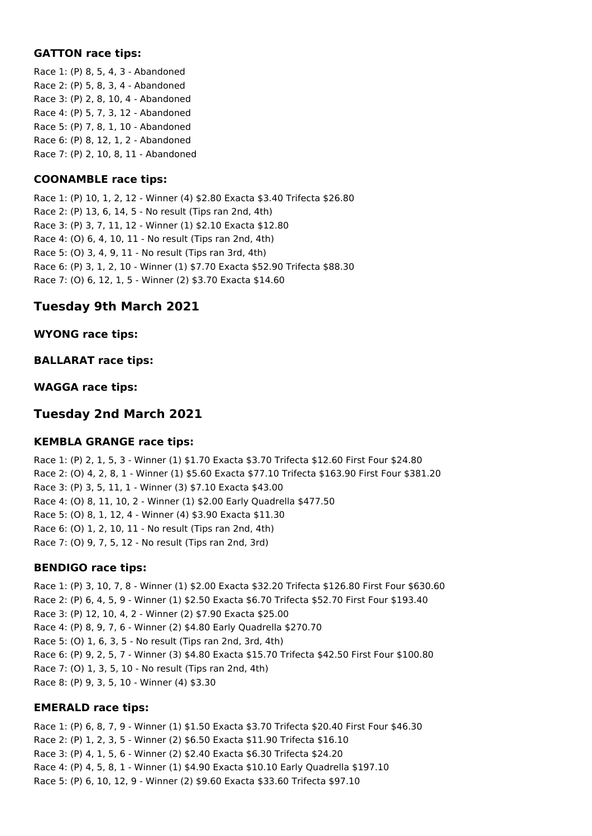#### **GATTON race tips:**

Race 1: (P) 8, 5, 4, 3 - Abandoned Race 2: (P) 5, 8, 3, 4 - Abandoned Race 3: (P) 2, 8, 10, 4 - Abandoned Race 4: (P) 5, 7, 3, 12 - Abandoned Race 5: (P) 7, 8, 1, 10 - Abandoned Race 6: (P) 8, 12, 1, 2 - Abandoned Race 7: (P) 2, 10, 8, 11 - Abandoned

## **COONAMBLE race tips:**

Race 1: (P) 10, 1, 2, 12 - Winner (4) \$2.80 Exacta \$3.40 Trifecta \$26.80 Race 2: (P) 13, 6, 14, 5 - No result (Tips ran 2nd, 4th) Race 3: (P) 3, 7, 11, 12 - Winner (1) \$2.10 Exacta \$12.80 Race 4: (O) 6, 4, 10, 11 - No result (Tips ran 2nd, 4th) Race 5: (O) 3, 4, 9, 11 - No result (Tips ran 3rd, 4th) Race 6: (P) 3, 1, 2, 10 - Winner (1) \$7.70 Exacta \$52.90 Trifecta \$88.30 Race 7: (O) 6, 12, 1, 5 - Winner (2) \$3.70 Exacta \$14.60

# **Tuesday 9th March 2021**

### **WYONG race tips:**

### **BALLARAT race tips:**

### **WAGGA race tips:**

# **Tuesday 2nd March 2021**

### **KEMBLA GRANGE race tips:**

Race 1: (P) 2, 1, 5, 3 - Winner (1) \$1.70 Exacta \$3.70 Trifecta \$12.60 First Four \$24.80 Race 2: (O) 4, 2, 8, 1 - Winner (1) \$5.60 Exacta \$77.10 Trifecta \$163.90 First Four \$381.20 Race 3: (P) 3, 5, 11, 1 - Winner (3) \$7.10 Exacta \$43.00 Race 4: (O) 8, 11, 10, 2 - Winner (1) \$2.00 Early Quadrella \$477.50 Race 5: (O) 8, 1, 12, 4 - Winner (4) \$3.90 Exacta \$11.30 Race 6: (O) 1, 2, 10, 11 - No result (Tips ran 2nd, 4th) Race 7: (O) 9, 7, 5, 12 - No result (Tips ran 2nd, 3rd)

### **BENDIGO race tips:**

Race 1: (P) 3, 10, 7, 8 - Winner (1) \$2.00 Exacta \$32.20 Trifecta \$126.80 First Four \$630.60 Race 2: (P) 6, 4, 5, 9 - Winner (1) \$2.50 Exacta \$6.70 Trifecta \$52.70 First Four \$193.40 Race 3: (P) 12, 10, 4, 2 - Winner (2) \$7.90 Exacta \$25.00 Race 4: (P) 8, 9, 7, 6 - Winner (2) \$4.80 Early Quadrella \$270.70 Race 5: (O) 1, 6, 3, 5 - No result (Tips ran 2nd, 3rd, 4th) Race 6: (P) 9, 2, 5, 7 - Winner (3) \$4.80 Exacta \$15.70 Trifecta \$42.50 First Four \$100.80 Race 7: (O) 1, 3, 5, 10 - No result (Tips ran 2nd, 4th) Race 8: (P) 9, 3, 5, 10 - Winner (4) \$3.30

### **EMERALD race tips:**

Race 1: (P) 6, 8, 7, 9 - Winner (1) \$1.50 Exacta \$3.70 Trifecta \$20.40 First Four \$46.30 Race 2: (P) 1, 2, 3, 5 - Winner (2) \$6.50 Exacta \$11.90 Trifecta \$16.10 Race 3: (P) 4, 1, 5, 6 - Winner (2) \$2.40 Exacta \$6.30 Trifecta \$24.20 Race 4: (P) 4, 5, 8, 1 - Winner (1) \$4.90 Exacta \$10.10 Early Quadrella \$197.10 Race 5: (P) 6, 10, 12, 9 - Winner (2) \$9.60 Exacta \$33.60 Trifecta \$97.10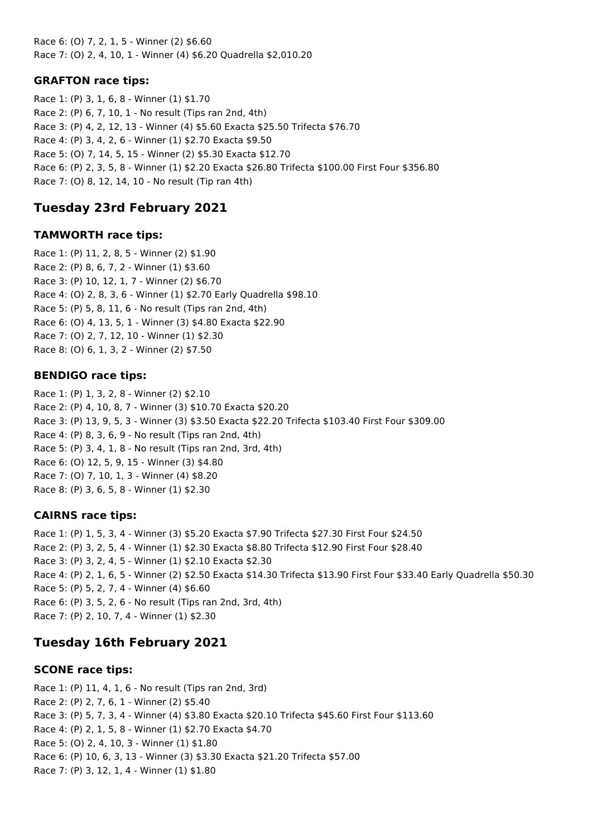Race 6: (O) 7, 2, 1, 5 - Winner (2) \$6.60 Race 7: (O) 2, 4, 10, 1 - Winner (4) \$6.20 Quadrella \$2,010.20

## **GRAFTON race tips:**

Race 1: (P) 3, 1, 6, 8 - Winner (1) \$1.70 Race 2: (P) 6, 7, 10, 1 - No result (Tips ran 2nd, 4th) Race 3: (P) 4, 2, 12, 13 - Winner (4) \$5.60 Exacta \$25.50 Trifecta \$76.70 Race 4: (P) 3, 4, 2, 6 - Winner (1) \$2.70 Exacta \$9.50 Race 5: (O) 7, 14, 5, 15 - Winner (2) \$5.30 Exacta \$12.70 Race 6: (P) 2, 3, 5, 8 - Winner (1) \$2.20 Exacta \$26.80 Trifecta \$100.00 First Four \$356.80 Race 7: (O) 8, 12, 14, 10 - No result (Tip ran 4th)

# **Tuesday 23rd February 2021**

### **TAMWORTH race tips:**

Race 1: (P) 11, 2, 8, 5 - Winner (2) \$1.90 Race 2: (P) 8, 6, 7, 2 - Winner (1) \$3.60 Race 3: (P) 10, 12, 1, 7 - Winner (2) \$6.70 Race 4: (O) 2, 8, 3, 6 - Winner (1) \$2.70 Early Quadrella \$98.10 Race 5: (P) 5, 8, 11, 6 - No result (Tips ran 2nd, 4th) Race 6: (O) 4, 13, 5, 1 - Winner (3) \$4.80 Exacta \$22.90 Race 7: (O) 2, 7, 12, 10 - Winner (1) \$2.30 Race 8: (O) 6, 1, 3, 2 - Winner (2) \$7.50

### **BENDIGO race tips:**

Race 1: (P) 1, 3, 2, 8 - Winner (2) \$2.10 Race 2: (P) 4, 10, 8, 7 - Winner (3) \$10.70 Exacta \$20.20 Race 3: (P) 13, 9, 5, 3 - Winner (3) \$3.50 Exacta \$22.20 Trifecta \$103.40 First Four \$309.00 Race 4: (P) 8, 3, 6, 9 - No result (Tips ran 2nd, 4th) Race 5: (P) 3, 4, 1, 8 - No result (Tips ran 2nd, 3rd, 4th) Race 6: (O) 12, 5, 9, 15 - Winner (3) \$4.80 Race 7: (O) 7, 10, 1, 3 - Winner (4) \$8.20 Race 8: (P) 3, 6, 5, 8 - Winner (1) \$2.30

### **CAIRNS race tips:**

Race 1: (P) 1, 5, 3, 4 - Winner (3) \$5.20 Exacta \$7.90 Trifecta \$27.30 First Four \$24.50 Race 2: (P) 3, 2, 5, 4 - Winner (1) \$2.30 Exacta \$8.80 Trifecta \$12.90 First Four \$28.40 Race 3: (P) 3, 2, 4, 5 - Winner (1) \$2.10 Exacta \$2.30 Race 4: (P) 2, 1, 6, 5 - Winner (2) \$2.50 Exacta \$14.30 Trifecta \$13.90 First Four \$33.40 Early Quadrella \$50.30 Race 5: (P) 5, 2, 7, 4 - Winner (4) \$6.60 Race 6: (P) 3, 5, 2, 6 - No result (Tips ran 2nd, 3rd, 4th) Race 7: (P) 2, 10, 7, 4 - Winner (1) \$2.30

# **Tuesday 16th February 2021**

### **SCONE race tips:**

Race 1: (P) 11, 4, 1, 6 - No result (Tips ran 2nd, 3rd) Race 2: (P) 2, 7, 6, 1 - Winner (2) \$5.40 Race 3: (P) 5, 7, 3, 4 - Winner (4) \$3.80 Exacta \$20.10 Trifecta \$45.60 First Four \$113.60 Race 4: (P) 2, 1, 5, 8 - Winner (1) \$2.70 Exacta \$4.70 Race 5: (O) 2, 4, 10, 3 - Winner (1) \$1.80 Race 6: (P) 10, 6, 3, 13 - Winner (3) \$3.30 Exacta \$21.20 Trifecta \$57.00 Race 7: (P) 3, 12, 1, 4 - Winner (1) \$1.80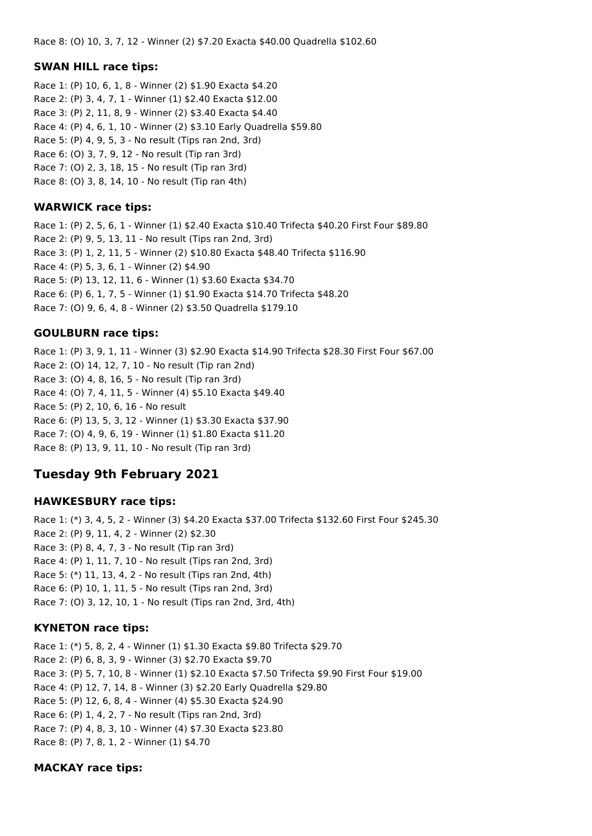Race 8: (O) 10, 3, 7, 12 - Winner (2) \$7.20 Exacta \$40.00 Quadrella \$102.60

#### **SWAN HILL race tips:**

Race 1: (P) 10, 6, 1, 8 - Winner (2) \$1.90 Exacta \$4.20 Race 2: (P) 3, 4, 7, 1 - Winner (1) \$2.40 Exacta \$12.00 Race 3: (P) 2, 11, 8, 9 - Winner (2) \$3.40 Exacta \$4.40 Race 4: (P) 4, 6, 1, 10 - Winner (2) \$3.10 Early Quadrella \$59.80 Race 5: (P) 4, 9, 5, 3 - No result (Tips ran 2nd, 3rd) Race 6: (O) 3, 7, 9, 12 - No result (Tip ran 3rd) Race 7: (O) 2, 3, 18, 15 - No result (Tip ran 3rd) Race 8: (O) 3, 8, 14, 10 - No result (Tip ran 4th)

#### **WARWICK race tips:**

Race 1: (P) 2, 5, 6, 1 - Winner (1) \$2.40 Exacta \$10.40 Trifecta \$40.20 First Four \$89.80 Race 2: (P) 9, 5, 13, 11 - No result (Tips ran 2nd, 3rd) Race 3: (P) 1, 2, 11, 5 - Winner (2) \$10.80 Exacta \$48.40 Trifecta \$116.90 Race 4: (P) 5, 3, 6, 1 - Winner (2) \$4.90 Race 5: (P) 13, 12, 11, 6 - Winner (1) \$3.60 Exacta \$34.70 Race 6: (P) 6, 1, 7, 5 - Winner (1) \$1.90 Exacta \$14.70 Trifecta \$48.20 Race 7: (O) 9, 6, 4, 8 - Winner (2) \$3.50 Quadrella \$179.10

### **GOULBURN race tips:**

Race 1: (P) 3, 9, 1, 11 - Winner (3) \$2.90 Exacta \$14.90 Trifecta \$28.30 First Four \$67.00 Race 2: (O) 14, 12, 7, 10 - No result (Tip ran 2nd) Race 3: (O) 4, 8, 16, 5 - No result (Tip ran 3rd) Race 4: (O) 7, 4, 11, 5 - Winner (4) \$5.10 Exacta \$49.40 Race 5: (P) 2, 10, 6, 16 - No result Race 6: (P) 13, 5, 3, 12 - Winner (1) \$3.30 Exacta \$37.90 Race 7: (O) 4, 9, 6, 19 - Winner (1) \$1.80 Exacta \$11.20 Race 8: (P) 13, 9, 11, 10 - No result (Tip ran 3rd)

# **Tuesday 9th February 2021**

### **HAWKESBURY race tips:**

Race 1: (\*) 3, 4, 5, 2 - Winner (3) \$4.20 Exacta \$37.00 Trifecta \$132.60 First Four \$245.30 Race 2: (P) 9, 11, 4, 2 - Winner (2) \$2.30 Race 3: (P) 8, 4, 7, 3 - No result (Tip ran 3rd) Race 4: (P) 1, 11, 7, 10 - No result (Tips ran 2nd, 3rd) Race 5: (\*) 11, 13, 4, 2 - No result (Tips ran 2nd, 4th) Race 6: (P) 10, 1, 11, 5 - No result (Tips ran 2nd, 3rd) Race 7: (O) 3, 12, 10, 1 - No result (Tips ran 2nd, 3rd, 4th)

### **KYNETON race tips:**

Race 1: (\*) 5, 8, 2, 4 - Winner (1) \$1.30 Exacta \$9.80 Trifecta \$29.70 Race 2: (P) 6, 8, 3, 9 - Winner (3) \$2.70 Exacta \$9.70 Race 3: (P) 5, 7, 10, 8 - Winner (1) \$2.10 Exacta \$7.50 Trifecta \$9.90 First Four \$19.00 Race 4: (P) 12, 7, 14, 8 - Winner (3) \$2.20 Early Quadrella \$29.80 Race 5: (P) 12, 6, 8, 4 - Winner (4) \$5.30 Exacta \$24.90 Race 6: (P) 1, 4, 2, 7 - No result (Tips ran 2nd, 3rd) Race 7: (P) 4, 8, 3, 10 - Winner (4) \$7.30 Exacta \$23.80 Race 8: (P) 7, 8, 1, 2 - Winner (1) \$4.70

### **MACKAY race tips:**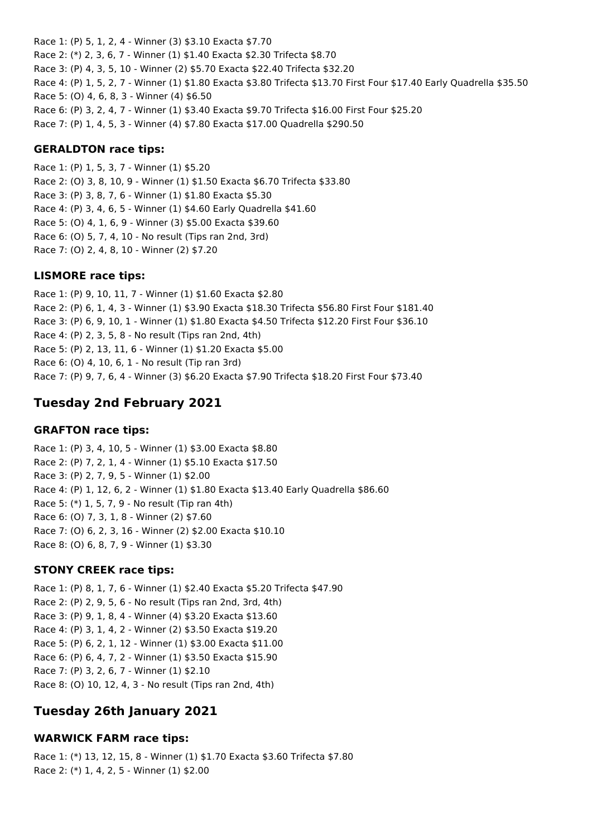Race 1: (P) 5, 1, 2, 4 - Winner (3) \$3.10 Exacta \$7.70 Race 2: (\*) 2, 3, 6, 7 - Winner (1) \$1.40 Exacta \$2.30 Trifecta \$8.70 Race 3: (P) 4, 3, 5, 10 - Winner (2) \$5.70 Exacta \$22.40 Trifecta \$32.20 Race 4: (P) 1, 5, 2, 7 - Winner (1) \$1.80 Exacta \$3.80 Trifecta \$13.70 First Four \$17.40 Early Quadrella \$35.50 Race 5: (O) 4, 6, 8, 3 - Winner (4) \$6.50 Race 6: (P) 3, 2, 4, 7 - Winner (1) \$3.40 Exacta \$9.70 Trifecta \$16.00 First Four \$25.20 Race 7: (P) 1, 4, 5, 3 - Winner (4) \$7.80 Exacta \$17.00 Quadrella \$290.50

#### **GERALDTON race tips:**

Race 1: (P) 1, 5, 3, 7 - Winner (1) \$5.20 Race 2: (O) 3, 8, 10, 9 - Winner (1) \$1.50 Exacta \$6.70 Trifecta \$33.80 Race 3: (P) 3, 8, 7, 6 - Winner (1) \$1.80 Exacta \$5.30 Race 4: (P) 3, 4, 6, 5 - Winner (1) \$4.60 Early Quadrella \$41.60 Race 5: (O) 4, 1, 6, 9 - Winner (3) \$5.00 Exacta \$39.60 Race 6: (O) 5, 7, 4, 10 - No result (Tips ran 2nd, 3rd) Race 7: (O) 2, 4, 8, 10 - Winner (2) \$7.20

#### **LISMORE race tips:**

Race 1: (P) 9, 10, 11, 7 - Winner (1) \$1.60 Exacta \$2.80 Race 2: (P) 6, 1, 4, 3 - Winner (1) \$3.90 Exacta \$18.30 Trifecta \$56.80 First Four \$181.40 Race 3: (P) 6, 9, 10, 1 - Winner (1) \$1.80 Exacta \$4.50 Trifecta \$12.20 First Four \$36.10 Race 4: (P) 2, 3, 5, 8 - No result (Tips ran 2nd, 4th) Race 5: (P) 2, 13, 11, 6 - Winner (1) \$1.20 Exacta \$5.00 Race 6: (O) 4, 10, 6, 1 - No result (Tip ran 3rd) Race 7: (P) 9, 7, 6, 4 - Winner (3) \$6.20 Exacta \$7.90 Trifecta \$18.20 First Four \$73.40

# **Tuesday 2nd February 2021**

#### **GRAFTON race tips:**

Race 1: (P) 3, 4, 10, 5 - Winner (1) \$3.00 Exacta \$8.80 Race 2: (P) 7, 2, 1, 4 - Winner (1) \$5.10 Exacta \$17.50 Race 3: (P) 2, 7, 9, 5 - Winner (1) \$2.00 Race 4: (P) 1, 12, 6, 2 - Winner (1) \$1.80 Exacta \$13.40 Early Quadrella \$86.60 Race 5: (\*) 1, 5, 7, 9 - No result (Tip ran 4th) Race 6: (O) 7, 3, 1, 8 - Winner (2) \$7.60 Race 7: (O) 6, 2, 3, 16 - Winner (2) \$2.00 Exacta \$10.10 Race 8: (O) 6, 8, 7, 9 - Winner (1) \$3.30

#### **STONY CREEK race tips:**

Race 1: (P) 8, 1, 7, 6 - Winner (1) \$2.40 Exacta \$5.20 Trifecta \$47.90 Race 2: (P) 2, 9, 5, 6 - No result (Tips ran 2nd, 3rd, 4th) Race 3: (P) 9, 1, 8, 4 - Winner (4) \$3.20 Exacta \$13.60 Race 4: (P) 3, 1, 4, 2 - Winner (2) \$3.50 Exacta \$19.20 Race 5: (P) 6, 2, 1, 12 - Winner (1) \$3.00 Exacta \$11.00 Race 6: (P) 6, 4, 7, 2 - Winner (1) \$3.50 Exacta \$15.90 Race 7: (P) 3, 2, 6, 7 - Winner (1) \$2.10 Race 8: (O) 10, 12, 4, 3 - No result (Tips ran 2nd, 4th)

# **Tuesday 26th January 2021**

#### **WARWICK FARM race tips:**

Race 1: (\*) 13, 12, 15, 8 - Winner (1) \$1.70 Exacta \$3.60 Trifecta \$7.80 Race 2: (\*) 1, 4, 2, 5 - Winner (1) \$2.00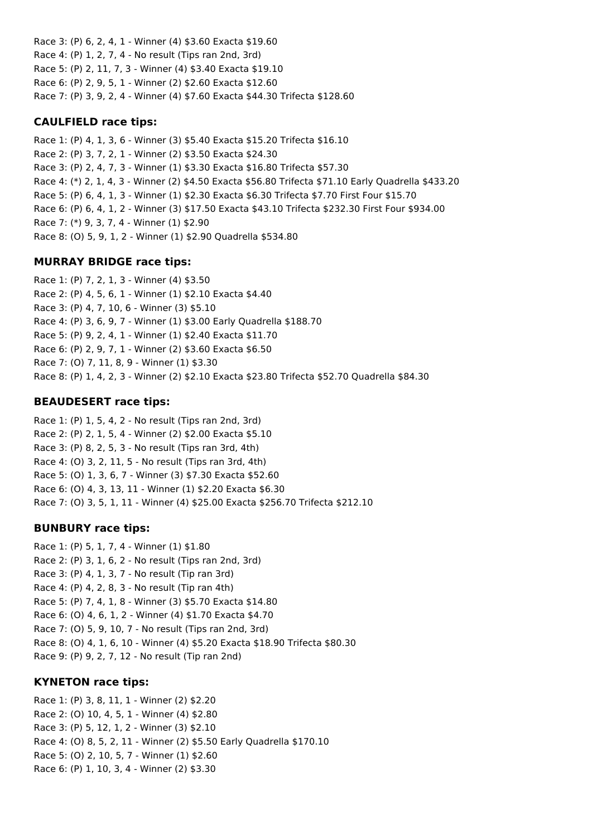Race 3: (P) 6, 2, 4, 1 - Winner (4) \$3.60 Exacta \$19.60 Race 4: (P) 1, 2, 7, 4 - No result (Tips ran 2nd, 3rd) Race 5: (P) 2, 11, 7, 3 - Winner (4) \$3.40 Exacta \$19.10 Race 6: (P) 2, 9, 5, 1 - Winner (2) \$2.60 Exacta \$12.60 Race 7: (P) 3, 9, 2, 4 - Winner (4) \$7.60 Exacta \$44.30 Trifecta \$128.60

#### **CAULFIELD race tips:**

Race 1: (P) 4, 1, 3, 6 - Winner (3) \$5.40 Exacta \$15.20 Trifecta \$16.10 Race 2: (P) 3, 7, 2, 1 - Winner (2) \$3.50 Exacta \$24.30 Race 3: (P) 2, 4, 7, 3 - Winner (1) \$3.30 Exacta \$16.80 Trifecta \$57.30 Race 4: (\*) 2, 1, 4, 3 - Winner (2) \$4.50 Exacta \$56.80 Trifecta \$71.10 Early Quadrella \$433.20 Race 5: (P) 6, 4, 1, 3 - Winner (1) \$2.30 Exacta \$6.30 Trifecta \$7.70 First Four \$15.70 Race 6: (P) 6, 4, 1, 2 - Winner (3) \$17.50 Exacta \$43.10 Trifecta \$232.30 First Four \$934.00 Race 7: (\*) 9, 3, 7, 4 - Winner (1) \$2.90 Race 8: (O) 5, 9, 1, 2 - Winner (1) \$2.90 Quadrella \$534.80

### **MURRAY BRIDGE race tips:**

Race 1: (P) 7, 2, 1, 3 - Winner (4) \$3.50 Race 2: (P) 4, 5, 6, 1 - Winner (1) \$2.10 Exacta \$4.40 Race 3: (P) 4, 7, 10, 6 - Winner (3) \$5.10 Race 4: (P) 3, 6, 9, 7 - Winner (1) \$3.00 Early Quadrella \$188.70 Race 5: (P) 9, 2, 4, 1 - Winner (1) \$2.40 Exacta \$11.70 Race 6: (P) 2, 9, 7, 1 - Winner (2) \$3.60 Exacta \$6.50 Race 7: (O) 7, 11, 8, 9 - Winner (1) \$3.30 Race 8: (P) 1, 4, 2, 3 - Winner (2) \$2.10 Exacta \$23.80 Trifecta \$52.70 Quadrella \$84.30

### **BEAUDESERT race tips:**

Race 1: (P) 1, 5, 4, 2 - No result (Tips ran 2nd, 3rd) Race 2: (P) 2, 1, 5, 4 - Winner (2) \$2.00 Exacta \$5.10 Race 3: (P) 8, 2, 5, 3 - No result (Tips ran 3rd, 4th) Race 4: (O) 3, 2, 11, 5 - No result (Tips ran 3rd, 4th) Race 5: (O) 1, 3, 6, 7 - Winner (3) \$7.30 Exacta \$52.60 Race 6: (O) 4, 3, 13, 11 - Winner (1) \$2.20 Exacta \$6.30 Race 7: (O) 3, 5, 1, 11 - Winner (4) \$25.00 Exacta \$256.70 Trifecta \$212.10

### **BUNBURY race tips:**

Race 1: (P) 5, 1, 7, 4 - Winner (1) \$1.80 Race 2: (P) 3, 1, 6, 2 - No result (Tips ran 2nd, 3rd) Race 3: (P) 4, 1, 3, 7 - No result (Tip ran 3rd) Race 4: (P) 4, 2, 8, 3 - No result (Tip ran 4th) Race 5: (P) 7, 4, 1, 8 - Winner (3) \$5.70 Exacta \$14.80 Race 6: (O) 4, 6, 1, 2 - Winner (4) \$1.70 Exacta \$4.70 Race 7: (O) 5, 9, 10, 7 - No result (Tips ran 2nd, 3rd) Race 8: (O) 4, 1, 6, 10 - Winner (4) \$5.20 Exacta \$18.90 Trifecta \$80.30 Race 9: (P) 9, 2, 7, 12 - No result (Tip ran 2nd)

### **KYNETON race tips:**

Race 1: (P) 3, 8, 11, 1 - Winner (2) \$2.20 Race 2: (O) 10, 4, 5, 1 - Winner (4) \$2.80 Race 3: (P) 5, 12, 1, 2 - Winner (3) \$2.10 Race 4: (O) 8, 5, 2, 11 - Winner (2) \$5.50 Early Quadrella \$170.10 Race 5: (O) 2, 10, 5, 7 - Winner (1) \$2.60 Race 6: (P) 1, 10, 3, 4 - Winner (2) \$3.30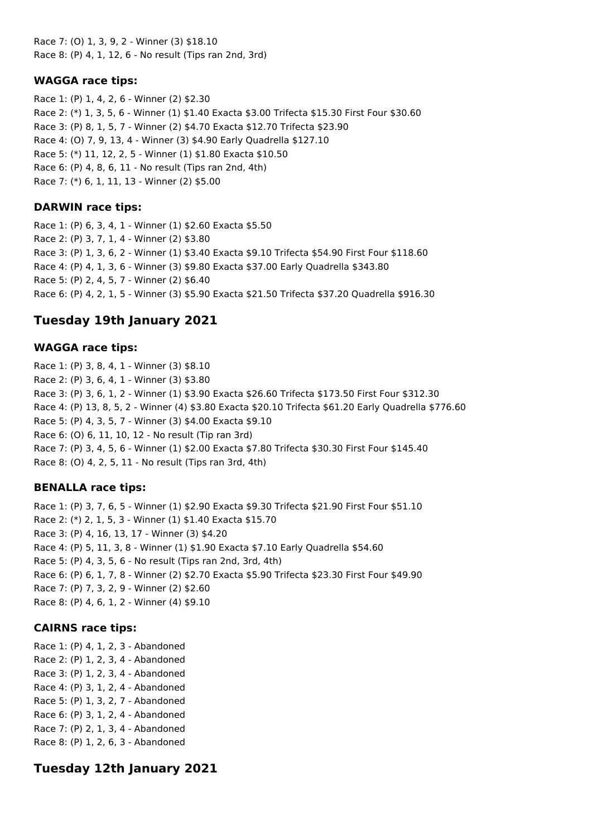Race 7: (O) 1, 3, 9, 2 - Winner (3) \$18.10 Race 8: (P) 4, 1, 12, 6 - No result (Tips ran 2nd, 3rd)

#### **WAGGA race tips:**

Race 1: (P) 1, 4, 2, 6 - Winner (2) \$2.30 Race 2: (\*) 1, 3, 5, 6 - Winner (1) \$1.40 Exacta \$3.00 Trifecta \$15.30 First Four \$30.60 Race 3: (P) 8, 1, 5, 7 - Winner (2) \$4.70 Exacta \$12.70 Trifecta \$23.90 Race 4: (O) 7, 9, 13, 4 - Winner (3) \$4.90 Early Quadrella \$127.10 Race 5: (\*) 11, 12, 2, 5 - Winner (1) \$1.80 Exacta \$10.50 Race 6: (P) 4, 8, 6, 11 - No result (Tips ran 2nd, 4th) Race 7: (\*) 6, 1, 11, 13 - Winner (2) \$5.00

#### **DARWIN race tips:**

Race 1: (P) 6, 3, 4, 1 - Winner (1) \$2.60 Exacta \$5.50 Race 2: (P) 3, 7, 1, 4 - Winner (2) \$3.80 Race 3: (P) 1, 3, 6, 2 - Winner (1) \$3.40 Exacta \$9.10 Trifecta \$54.90 First Four \$118.60 Race 4: (P) 4, 1, 3, 6 - Winner (3) \$9.80 Exacta \$37.00 Early Quadrella \$343.80 Race 5: (P) 2, 4, 5, 7 - Winner (2) \$6.40 Race 6: (P) 4, 2, 1, 5 - Winner (3) \$5.90 Exacta \$21.50 Trifecta \$37.20 Quadrella \$916.30

# **Tuesday 19th January 2021**

#### **WAGGA race tips:**

Race 1: (P) 3, 8, 4, 1 - Winner (3) \$8.10 Race 2: (P) 3, 6, 4, 1 - Winner (3) \$3.80 Race 3: (P) 3, 6, 1, 2 - Winner (1) \$3.90 Exacta \$26.60 Trifecta \$173.50 First Four \$312.30 Race 4: (P) 13, 8, 5, 2 - Winner (4) \$3.80 Exacta \$20.10 Trifecta \$61.20 Early Quadrella \$776.60 Race 5: (P) 4, 3, 5, 7 - Winner (3) \$4.00 Exacta \$9.10 Race 6: (O) 6, 11, 10, 12 - No result (Tip ran 3rd) Race 7: (P) 3, 4, 5, 6 - Winner (1) \$2.00 Exacta \$7.80 Trifecta \$30.30 First Four \$145.40 Race 8: (O) 4, 2, 5, 11 - No result (Tips ran 3rd, 4th)

### **BENALLA race tips:**

Race 1: (P) 3, 7, 6, 5 - Winner (1) \$2.90 Exacta \$9.30 Trifecta \$21.90 First Four \$51.10 Race 2: (\*) 2, 1, 5, 3 - Winner (1) \$1.40 Exacta \$15.70 Race 3: (P) 4, 16, 13, 17 - Winner (3) \$4.20 Race 4: (P) 5, 11, 3, 8 - Winner (1) \$1.90 Exacta \$7.10 Early Quadrella \$54.60 Race 5: (P) 4, 3, 5, 6 - No result (Tips ran 2nd, 3rd, 4th) Race 6: (P) 6, 1, 7, 8 - Winner (2) \$2.70 Exacta \$5.90 Trifecta \$23.30 First Four \$49.90 Race 7: (P) 7, 3, 2, 9 - Winner (2) \$2.60 Race 8: (P) 4, 6, 1, 2 - Winner (4) \$9.10

### **CAIRNS race tips:**

Race 1: (P) 4, 1, 2, 3 - Abandoned Race 2: (P) 1, 2, 3, 4 - Abandoned Race 3: (P) 1, 2, 3, 4 - Abandoned Race 4: (P) 3, 1, 2, 4 - Abandoned Race 5: (P) 1, 3, 2, 7 - Abandoned Race 6: (P) 3, 1, 2, 4 - Abandoned Race 7: (P) 2, 1, 3, 4 - Abandoned Race 8: (P) 1, 2, 6, 3 - Abandoned

# **Tuesday 12th January 2021**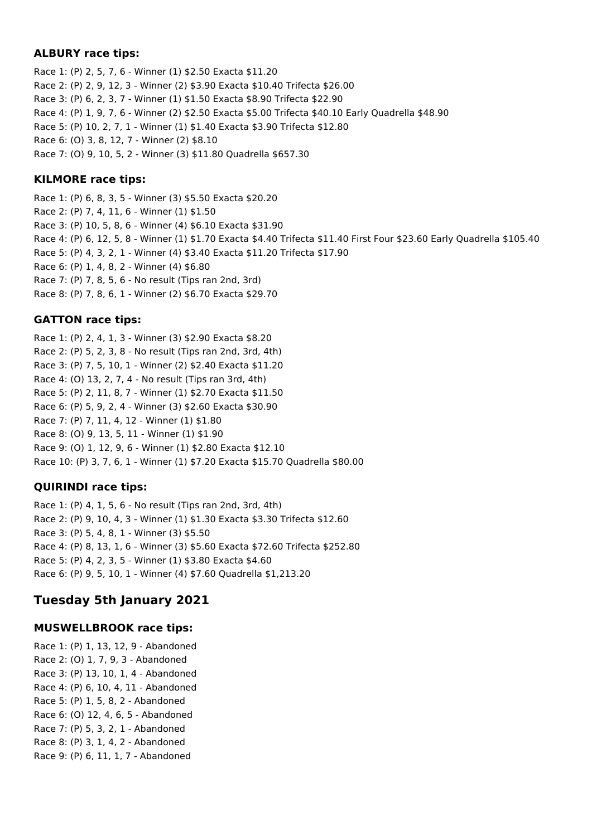## **ALBURY race tips:**

Race 1: (P) 2, 5, 7, 6 - Winner (1) \$2.50 Exacta \$11.20 Race 2: (P) 2, 9, 12, 3 - Winner (2) \$3.90 Exacta \$10.40 Trifecta \$26.00 Race 3: (P) 6, 2, 3, 7 - Winner (1) \$1.50 Exacta \$8.90 Trifecta \$22.90 Race 4: (P) 1, 9, 7, 6 - Winner (2) \$2.50 Exacta \$5.00 Trifecta \$40.10 Early Quadrella \$48.90 Race 5: (P) 10, 2, 7, 1 - Winner (1) \$1.40 Exacta \$3.90 Trifecta \$12.80 Race 6: (O) 3, 8, 12, 7 - Winner (2) \$8.10 Race 7: (O) 9, 10, 5, 2 - Winner (3) \$11.80 Quadrella \$657.30

## **KILMORE race tips:**

Race 1: (P) 6, 8, 3, 5 - Winner (3) \$5.50 Exacta \$20.20 Race 2: (P) 7, 4, 11, 6 - Winner (1) \$1.50 Race 3: (P) 10, 5, 8, 6 - Winner (4) \$6.10 Exacta \$31.90 Race 4: (P) 6, 12, 5, 8 - Winner (1) \$1.70 Exacta \$4.40 Trifecta \$11.40 First Four \$23.60 Early Quadrella \$105.40 Race 5: (P) 4, 3, 2, 1 - Winner (4) \$3.40 Exacta \$11.20 Trifecta \$17.90 Race 6: (P) 1, 4, 8, 2 - Winner (4) \$6.80 Race 7: (P) 7, 8, 5, 6 - No result (Tips ran 2nd, 3rd) Race 8: (P) 7, 8, 6, 1 - Winner (2) \$6.70 Exacta \$29.70

# **GATTON race tips:**

Race 1: (P) 2, 4, 1, 3 - Winner (3) \$2.90 Exacta \$8.20 Race 2: (P) 5, 2, 3, 8 - No result (Tips ran 2nd, 3rd, 4th) Race 3: (P) 7, 5, 10, 1 - Winner (2) \$2.40 Exacta \$11.20 Race 4: (O) 13, 2, 7, 4 - No result (Tips ran 3rd, 4th) Race 5: (P) 2, 11, 8, 7 - Winner (1) \$2.70 Exacta \$11.50 Race 6: (P) 5, 9, 2, 4 - Winner (3) \$2.60 Exacta \$30.90 Race 7: (P) 7, 11, 4, 12 - Winner (1) \$1.80 Race 8: (O) 9, 13, 5, 11 - Winner (1) \$1.90 Race 9: (O) 1, 12, 9, 6 - Winner (1) \$2.80 Exacta \$12.10 Race 10: (P) 3, 7, 6, 1 - Winner (1) \$7.20 Exacta \$15.70 Quadrella \$80.00

# **QUIRINDI race tips:**

Race 1: (P) 4, 1, 5, 6 - No result (Tips ran 2nd, 3rd, 4th) Race 2: (P) 9, 10, 4, 3 - Winner (1) \$1.30 Exacta \$3.30 Trifecta \$12.60 Race 3: (P) 5, 4, 8, 1 - Winner (3) \$5.50 Race 4: (P) 8, 13, 1, 6 - Winner (3) \$5.60 Exacta \$72.60 Trifecta \$252.80 Race 5: (P) 4, 2, 3, 5 - Winner (1) \$3.80 Exacta \$4.60 Race 6: (P) 9, 5, 10, 1 - Winner (4) \$7.60 Quadrella \$1,213.20

# **Tuesday 5th January 2021**

# **MUSWELLBROOK race tips:**

Race 1: (P) 1, 13, 12, 9 - Abandoned Race 2: (O) 1, 7, 9, 3 - Abandoned Race 3: (P) 13, 10, 1, 4 - Abandoned Race 4: (P) 6, 10, 4, 11 - Abandoned Race 5: (P) 1, 5, 8, 2 - Abandoned Race 6: (O) 12, 4, 6, 5 - Abandoned Race 7: (P) 5, 3, 2, 1 - Abandoned Race 8: (P) 3, 1, 4, 2 - Abandoned Race 9: (P) 6, 11, 1, 7 - Abandoned